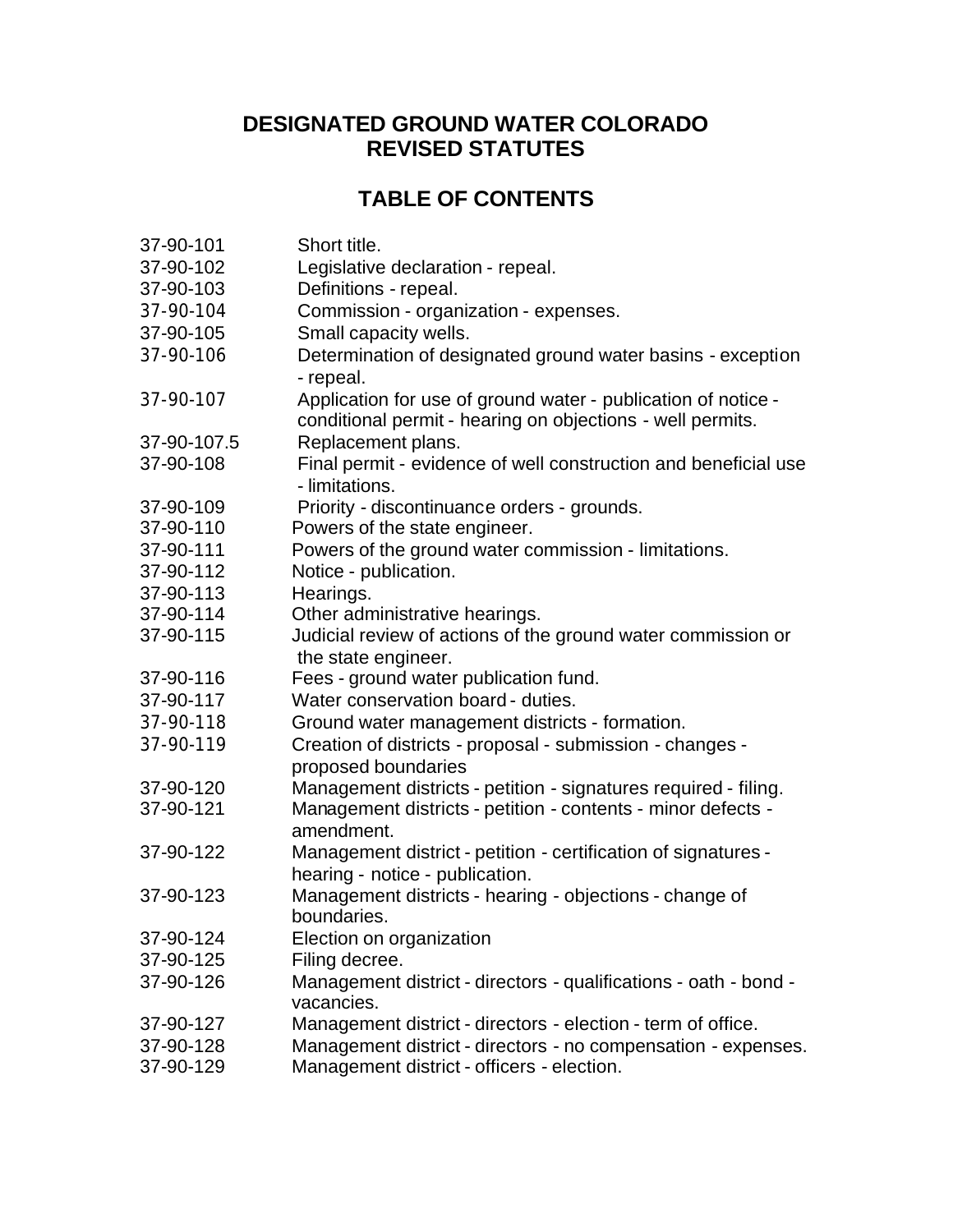# **DESIGNATED GROUND WATER COLORADO REVISED STATUTES**

# **TABLE OF CONTENTS**

| 37-90-101   | Short title.                                                                                                                |
|-------------|-----------------------------------------------------------------------------------------------------------------------------|
| 37-90-102   | Legislative declaration - repeal.                                                                                           |
| 37-90-103   | Definitions - repeal.                                                                                                       |
| 37-90-104   | Commission - organization - expenses.                                                                                       |
| 37-90-105   | Small capacity wells.                                                                                                       |
| 37-90-106   | Determination of designated ground water basins - exception<br>- repeal.                                                    |
| 37-90-107   | Application for use of ground water - publication of notice -<br>conditional permit - hearing on objections - well permits. |
| 37-90-107.5 | Replacement plans.                                                                                                          |
| 37-90-108   | Final permit - evidence of well construction and beneficial use<br>- limitations.                                           |
| 37-90-109   | Priority - discontinuance orders - grounds.                                                                                 |
| 37-90-110   | Powers of the state engineer.                                                                                               |
| 37-90-111   | Powers of the ground water commission - limitations.                                                                        |
| 37-90-112   | Notice - publication.                                                                                                       |
| 37-90-113   | Hearings.                                                                                                                   |
| 37-90-114   | Other administrative hearings.                                                                                              |
| 37-90-115   | Judicial review of actions of the ground water commission or<br>the state engineer.                                         |
| 37-90-116   | Fees - ground water publication fund.                                                                                       |
| 37-90-117   | Water conservation board - duties.                                                                                          |
| 37-90-118   | Ground water management districts - formation.                                                                              |
| 37-90-119   | Creation of districts - proposal - submission - changes -                                                                   |
|             | proposed boundaries                                                                                                         |
| 37-90-120   | Management districts - petition - signatures required - filing.                                                             |
| 37-90-121   | Management districts - petition - contents - minor defects -<br>amendment.                                                  |
| 37-90-122   | Management district - petition - certification of signatures -                                                              |
|             | hearing - notice - publication.                                                                                             |
| 37-90-123   | Management districts - hearing - objections - change of<br>boundaries.                                                      |
| 37-90-124   | Election on organization                                                                                                    |
| 37-90-125   | Filing decree.                                                                                                              |
| 37-90-126   | Management district - directors - qualifications - oath - bond -<br>vacancies.                                              |
| 37-90-127   | Management district - directors - election - term of office.                                                                |
| 37-90-128   | Management district - directors - no compensation - expenses.                                                               |
| 37-90-129   | Management district - officers - election.                                                                                  |
|             |                                                                                                                             |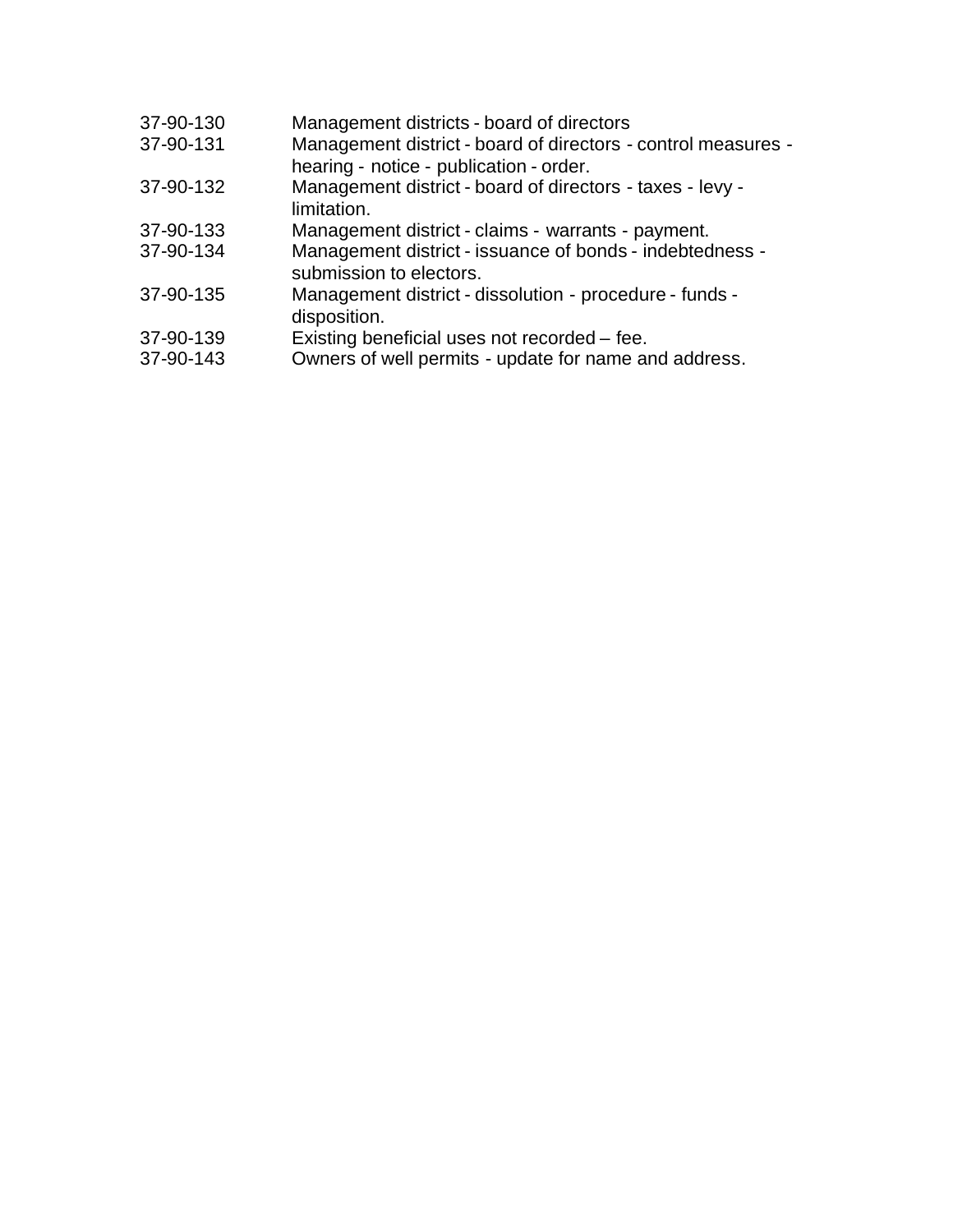| 37-90-130 | Management districts - board of directors                                                                |
|-----------|----------------------------------------------------------------------------------------------------------|
| 37-90-131 | Management district - board of directors - control measures -<br>hearing - notice - publication - order. |
| 37-90-132 | Management district - board of directors - taxes - levy -<br>limitation.                                 |
| 37-90-133 | Management district - claims - warrants - payment.                                                       |
| 37-90-134 | Management district - issuance of bonds - indebtedness -<br>submission to electors.                      |
| 37-90-135 | Management district - dissolution - procedure - funds -<br>disposition.                                  |
| 37-90-139 | Existing beneficial uses not recorded – fee.                                                             |
| 37-90-143 | Owners of well permits - update for name and address.                                                    |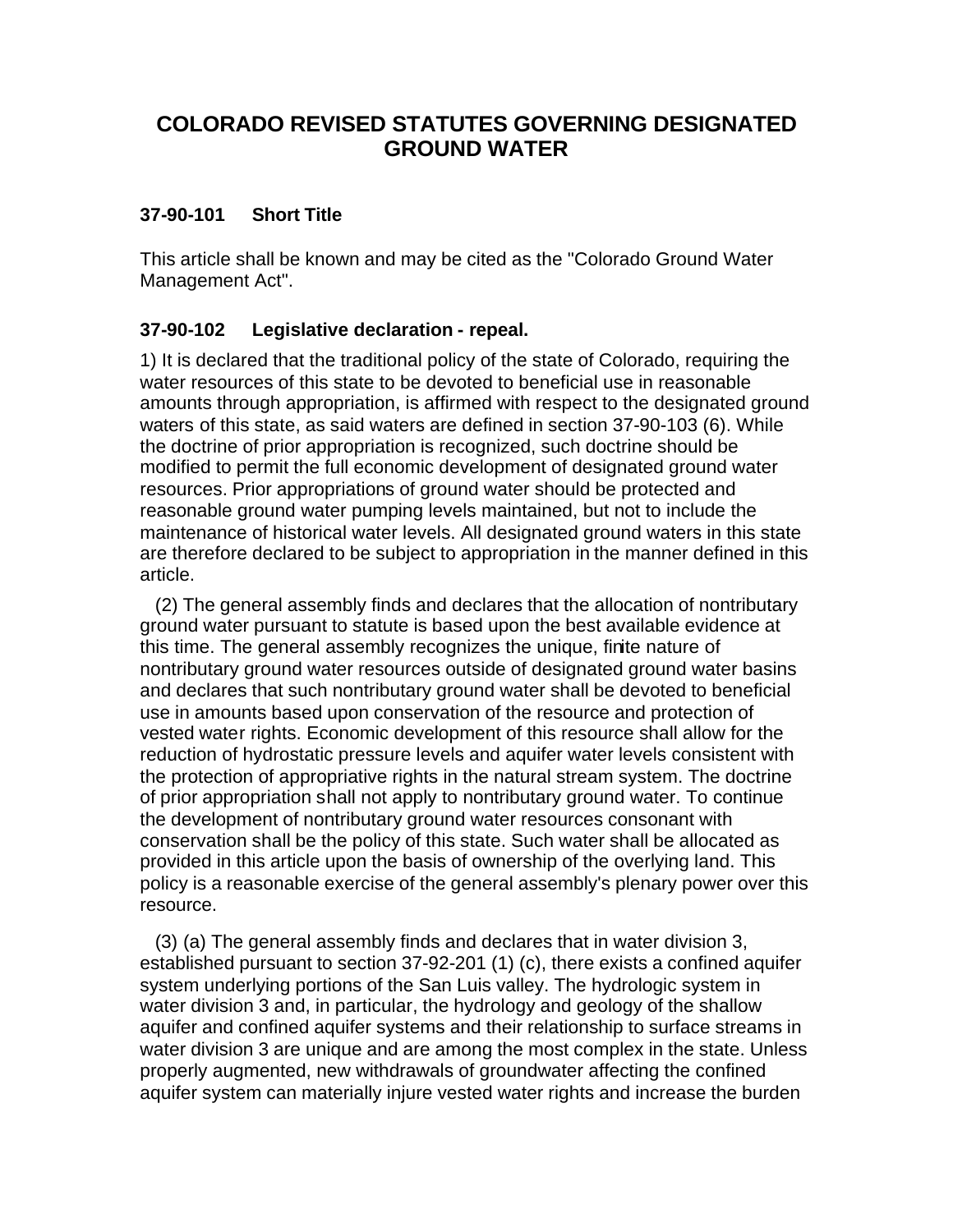# **COLORADO REVISED STATUTES GOVERNING DESIGNATED GROUND WATER**

## **37-90-101 Short Title**

This article shall be known and may be cited as the "Colorado Ground Water Management Act".

## **37-90-102 Legislative declaration - repeal.**

1) It is declared that the traditional policy of the state of Colorado, requiring the water resources of this state to be devoted to beneficial use in reasonable amounts through appropriation, is affirmed with respect to the designated ground waters of this state, as said waters are defined in section 37-90-103 (6). While the doctrine of prior appropriation is recognized, such doctrine should be modified to permit the full economic development of designated ground water resources. Prior appropriations of ground water should be protected and reasonable ground water pumping levels maintained, but not to include the maintenance of historical water levels. All designated ground waters in this state are therefore declared to be subject to appropriation in the manner defined in this article.

 (2) The general assembly finds and declares that the allocation of nontributary ground water pursuant to statute is based upon the best available evidence at this time. The general assembly recognizes the unique, finite nature of nontributary ground water resources outside of designated ground water basins and declares that such nontributary ground water shall be devoted to beneficial use in amounts based upon conservation of the resource and protection of vested water rights. Economic development of this resource shall allow for the reduction of hydrostatic pressure levels and aquifer water levels consistent with the protection of appropriative rights in the natural stream system. The doctrine of prior appropriation shall not apply to nontributary ground water. To continue the development of nontributary ground water resources consonant with conservation shall be the policy of this state. Such water shall be allocated as provided in this article upon the basis of ownership of the overlying land. This policy is a reasonable exercise of the general assembly's plenary power over this resource.

 (3) (a) The general assembly finds and declares that in water division 3, established pursuant to section 37-92-201 (1) (c), there exists a confined aquifer system underlying portions of the San Luis valley. The hydrologic system in water division 3 and, in particular, the hydrology and geology of the shallow aquifer and confined aquifer systems and their relationship to surface streams in water division 3 are unique and are among the most complex in the state. Unless properly augmented, new withdrawals of groundwater affecting the confined aquifer system can materially injure vested water rights and increase the burden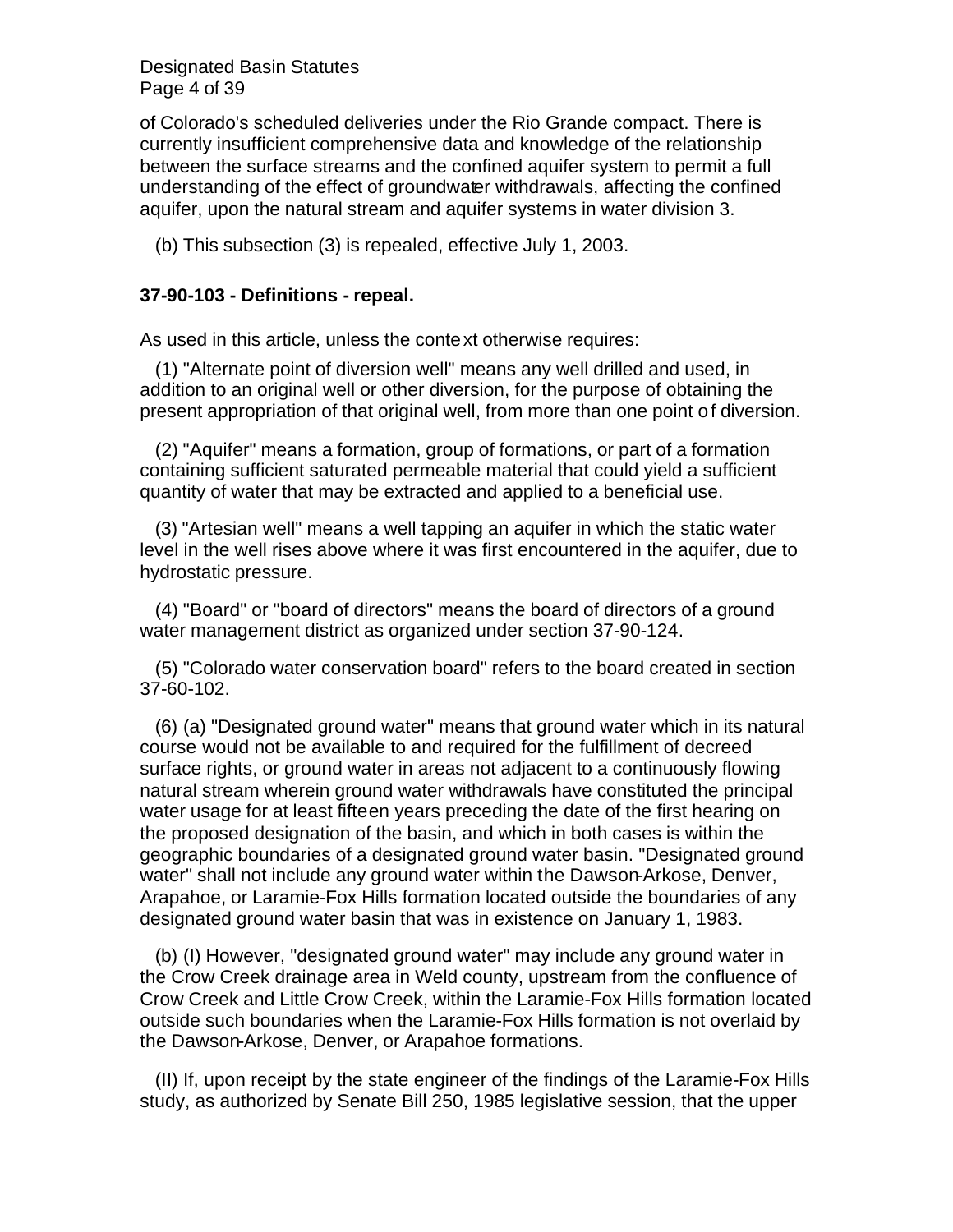Designated Basin Statutes Page 4 of 39

of Colorado's scheduled deliveries under the Rio Grande compact. There is currently insufficient comprehensive data and knowledge of the relationship between the surface streams and the confined aquifer system to permit a full understanding of the effect of groundwater withdrawals, affecting the confined aquifer, upon the natural stream and aquifer systems in water division 3.

(b) This subsection (3) is repealed, effective July 1, 2003.

### **37-90-103 - Definitions - repeal.**

As used in this article, unless the context otherwise requires:

 (1) "Alternate point of diversion well" means any well drilled and used, in addition to an original well or other diversion, for the purpose of obtaining the present appropriation of that original well, from more than one point of diversion.

 (2) "Aquifer" means a formation, group of formations, or part of a formation containing sufficient saturated permeable material that could yield a sufficient quantity of water that may be extracted and applied to a beneficial use.

 (3) "Artesian well" means a well tapping an aquifer in which the static water level in the well rises above where it was first encountered in the aquifer, due to hydrostatic pressure.

 (4) "Board" or "board of directors" means the board of directors of a ground water management district as organized under section 37-90-124.

 (5) "Colorado water conservation board" refers to the board created in section 37-60-102.

 (6) (a) "Designated ground water" means that ground water which in its natural course would not be available to and required for the fulfillment of decreed surface rights, or ground water in areas not adjacent to a continuously flowing natural stream wherein ground water withdrawals have constituted the principal water usage for at least fifteen years preceding the date of the first hearing on the proposed designation of the basin, and which in both cases is within the geographic boundaries of a designated ground water basin. "Designated ground water" shall not include any ground water within the Dawson-Arkose, Denver, Arapahoe, or Laramie-Fox Hills formation located outside the boundaries of any designated ground water basin that was in existence on January 1, 1983.

 (b) (I) However, "designated ground water" may include any ground water in the Crow Creek drainage area in Weld county, upstream from the confluence of Crow Creek and Little Crow Creek, within the Laramie-Fox Hills formation located outside such boundaries when the Laramie-Fox Hills formation is not overlaid by the Dawson-Arkose, Denver, or Arapahoe formations.

 (II) If, upon receipt by the state engineer of the findings of the Laramie-Fox Hills study, as authorized by Senate Bill 250, 1985 legislative session, that the upper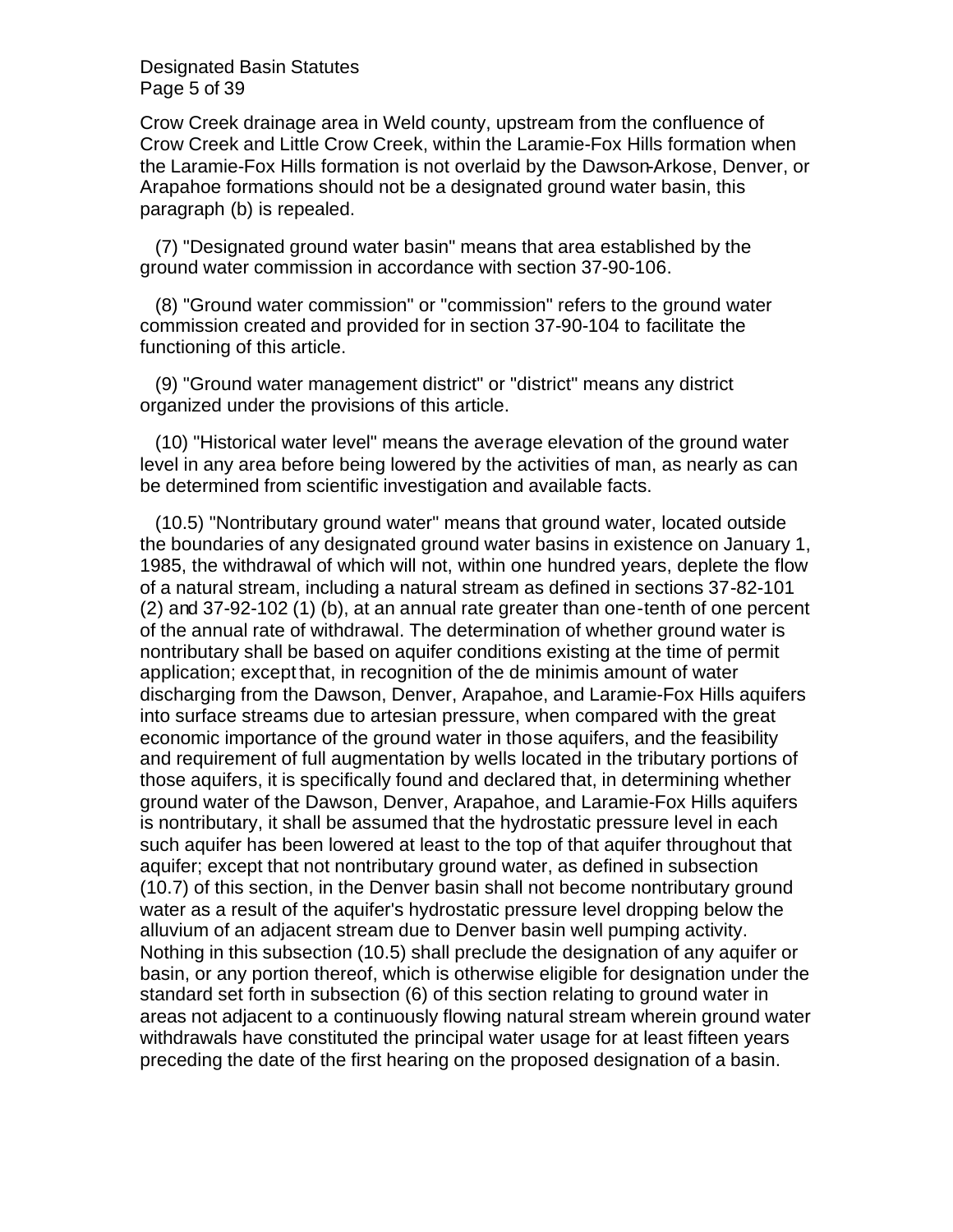Designated Basin Statutes Page 5 of 39

Crow Creek drainage area in Weld county, upstream from the confluence of Crow Creek and Little Crow Creek, within the Laramie-Fox Hills formation when the Laramie-Fox Hills formation is not overlaid by the Dawson-Arkose, Denver, or Arapahoe formations should not be a designated ground water basin, this paragraph (b) is repealed.

 (7) "Designated ground water basin" means that area established by the ground water commission in accordance with section 37-90-106.

 (8) "Ground water commission" or "commission" refers to the ground water commission created and provided for in section 37-90-104 to facilitate the functioning of this article.

 (9) "Ground water management district" or "district" means any district organized under the provisions of this article.

 (10) "Historical water level" means the average elevation of the ground water level in any area before being lowered by the activities of man, as nearly as can be determined from scientific investigation and available facts.

 (10.5) "Nontributary ground water" means that ground water, located outside the boundaries of any designated ground water basins in existence on January 1, 1985, the withdrawal of which will not, within one hundred years, deplete the flow of a natural stream, including a natural stream as defined in sections 37-82-101 (2) and 37-92-102 (1) (b), at an annual rate greater than one-tenth of one percent of the annual rate of withdrawal. The determination of whether ground water is nontributary shall be based on aquifer conditions existing at the time of permit application; except that, in recognition of the de minimis amount of water discharging from the Dawson, Denver, Arapahoe, and Laramie-Fox Hills aquifers into surface streams due to artesian pressure, when compared with the great economic importance of the ground water in those aquifers, and the feasibility and requirement of full augmentation by wells located in the tributary portions of those aquifers, it is specifically found and declared that, in determining whether ground water of the Dawson, Denver, Arapahoe, and Laramie-Fox Hills aquifers is nontributary, it shall be assumed that the hydrostatic pressure level in each such aquifer has been lowered at least to the top of that aquifer throughout that aquifer; except that not nontributary ground water, as defined in subsection (10.7) of this section, in the Denver basin shall not become nontributary ground water as a result of the aquifer's hydrostatic pressure level dropping below the alluvium of an adjacent stream due to Denver basin well pumping activity. Nothing in this subsection (10.5) shall preclude the designation of any aquifer or basin, or any portion thereof, which is otherwise eligible for designation under the standard set forth in subsection (6) of this section relating to ground water in areas not adjacent to a continuously flowing natural stream wherein ground water withdrawals have constituted the principal water usage for at least fifteen years preceding the date of the first hearing on the proposed designation of a basin.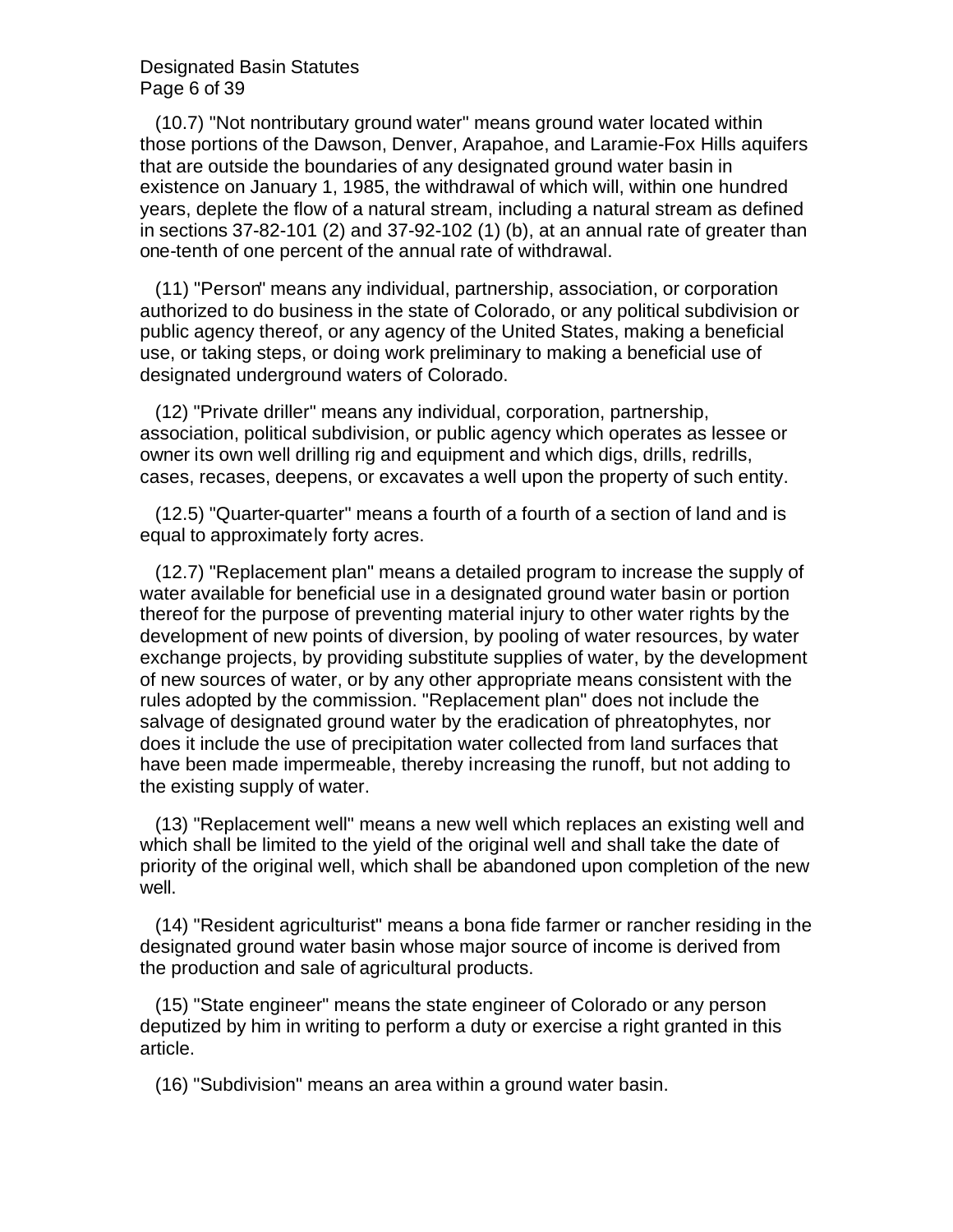Designated Basin Statutes Page 6 of 39

 (10.7) "Not nontributary ground water" means ground water located within those portions of the Dawson, Denver, Arapahoe, and Laramie-Fox Hills aquifers that are outside the boundaries of any designated ground water basin in existence on January 1, 1985, the withdrawal of which will, within one hundred years, deplete the flow of a natural stream, including a natural stream as defined in sections 37-82-101 (2) and 37-92-102 (1) (b), at an annual rate of greater than one-tenth of one percent of the annual rate of withdrawal.

 (11) "Person" means any individual, partnership, association, or corporation authorized to do business in the state of Colorado, or any political subdivision or public agency thereof, or any agency of the United States, making a beneficial use, or taking steps, or doing work preliminary to making a beneficial use of designated underground waters of Colorado.

 (12) "Private driller" means any individual, corporation, partnership, association, political subdivision, or public agency which operates as lessee or owner its own well drilling rig and equipment and which digs, drills, redrills, cases, recases, deepens, or excavates a well upon the property of such entity.

 (12.5) "Quarter-quarter" means a fourth of a fourth of a section of land and is equal to approximately forty acres.

 (12.7) "Replacement plan" means a detailed program to increase the supply of water available for beneficial use in a designated ground water basin or portion thereof for the purpose of preventing material injury to other water rights by the development of new points of diversion, by pooling of water resources, by water exchange projects, by providing substitute supplies of water, by the development of new sources of water, or by any other appropriate means consistent with the rules adopted by the commission. "Replacement plan" does not include the salvage of designated ground water by the eradication of phreatophytes, nor does it include the use of precipitation water collected from land surfaces that have been made impermeable, thereby increasing the runoff, but not adding to the existing supply of water.

 (13) "Replacement well" means a new well which replaces an existing well and which shall be limited to the yield of the original well and shall take the date of priority of the original well, which shall be abandoned upon completion of the new well.

 (14) "Resident agriculturist" means a bona fide farmer or rancher residing in the designated ground water basin whose major source of income is derived from the production and sale of agricultural products.

 (15) "State engineer" means the state engineer of Colorado or any person deputized by him in writing to perform a duty or exercise a right granted in this article.

(16) "Subdivision" means an area within a ground water basin.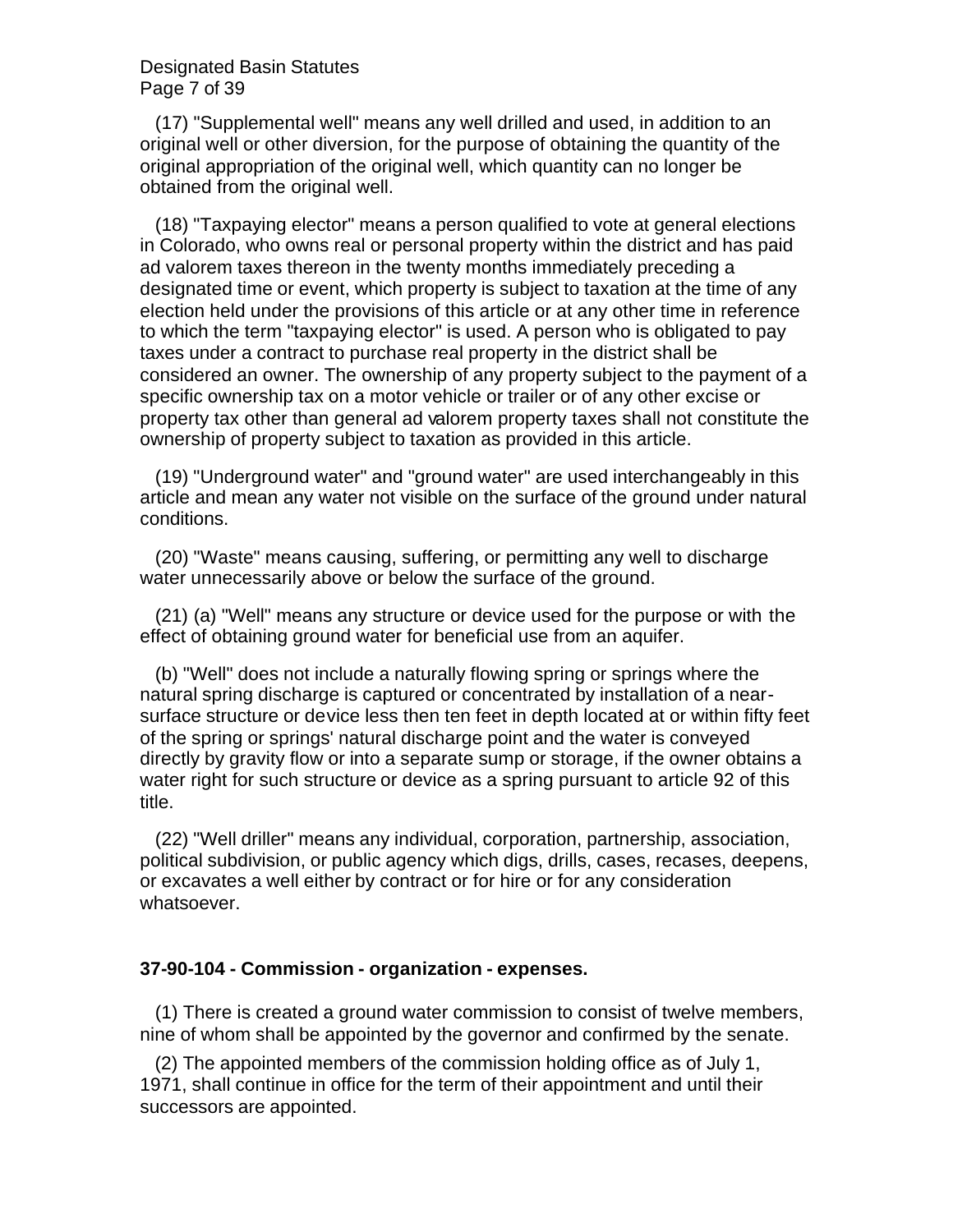#### Designated Basin Statutes Page 7 of 39

 (17) "Supplemental well" means any well drilled and used, in addition to an original well or other diversion, for the purpose of obtaining the quantity of the original appropriation of the original well, which quantity can no longer be obtained from the original well.

 (18) "Taxpaying elector" means a person qualified to vote at general elections in Colorado, who owns real or personal property within the district and has paid ad valorem taxes thereon in the twenty months immediately preceding a designated time or event, which property is subject to taxation at the time of any election held under the provisions of this article or at any other time in reference to which the term "taxpaying elector" is used. A person who is obligated to pay taxes under a contract to purchase real property in the district shall be considered an owner. The ownership of any property subject to the payment of a specific ownership tax on a motor vehicle or trailer or of any other excise or property tax other than general ad valorem property taxes shall not constitute the ownership of property subject to taxation as provided in this article.

 (19) "Underground water" and "ground water" are used interchangeably in this article and mean any water not visible on the surface of the ground under natural conditions.

 (20) "Waste" means causing, suffering, or permitting any well to discharge water unnecessarily above or below the surface of the ground.

 (21) (a) "Well" means any structure or device used for the purpose or with the effect of obtaining ground water for beneficial use from an aquifer.

 (b) "Well" does not include a naturally flowing spring or springs where the natural spring discharge is captured or concentrated by installation of a nearsurface structure or device less then ten feet in depth located at or within fifty feet of the spring or springs' natural discharge point and the water is conveyed directly by gravity flow or into a separate sump or storage, if the owner obtains a water right for such structure or device as a spring pursuant to article 92 of this title.

 (22) "Well driller" means any individual, corporation, partnership, association, political subdivision, or public agency which digs, drills, cases, recases, deepens, or excavates a well either by contract or for hire or for any consideration whatsoever.

#### **37-90-104 - Commission - organization - expenses.**

 (1) There is created a ground water commission to consist of twelve members, nine of whom shall be appointed by the governor and confirmed by the senate.

 (2) The appointed members of the commission holding office as of July 1, 1971, shall continue in office for the term of their appointment and until their successors are appointed.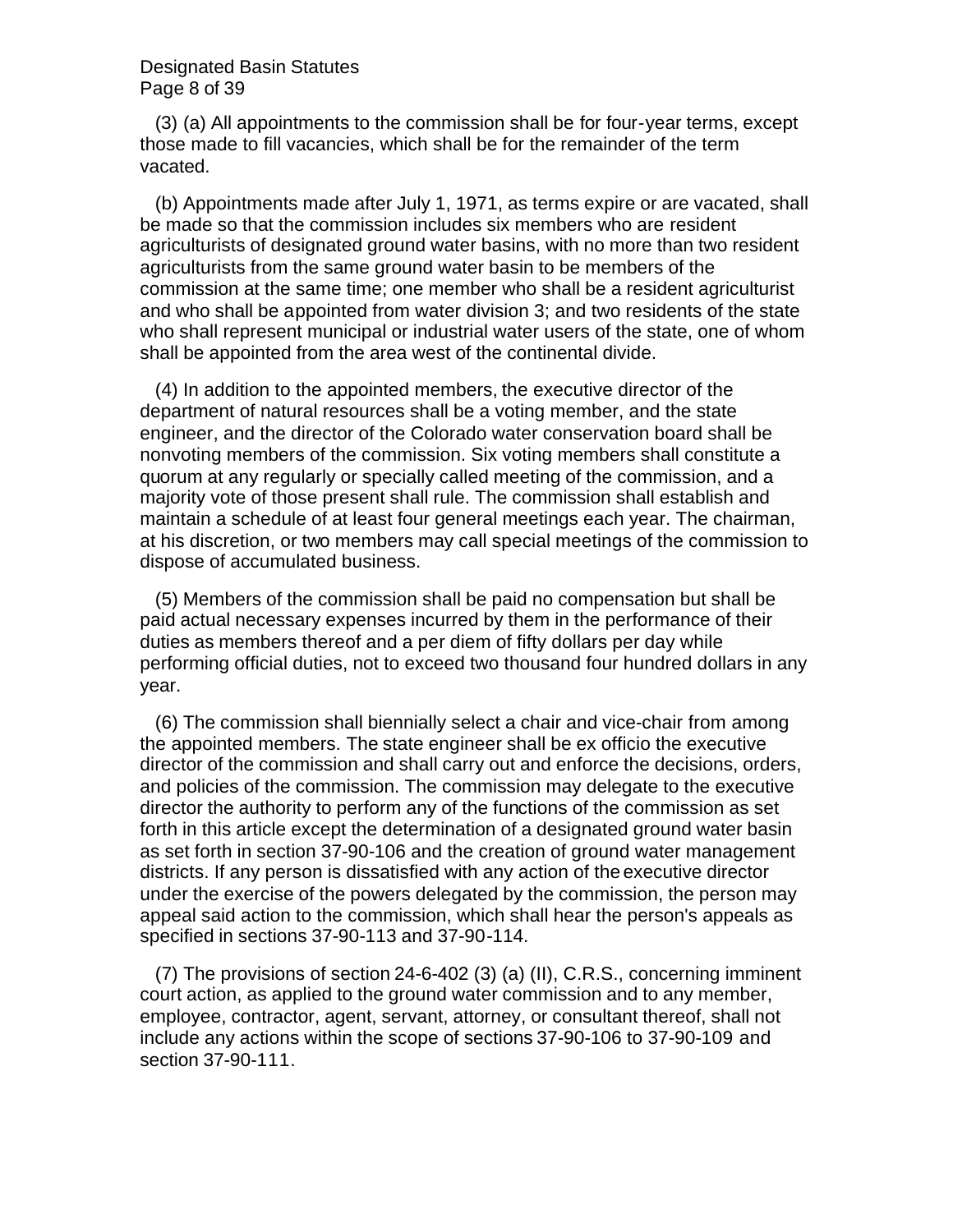#### Designated Basin Statutes Page 8 of 39

 (3) (a) All appointments to the commission shall be for four-year terms, except those made to fill vacancies, which shall be for the remainder of the term vacated.

 (b) Appointments made after July 1, 1971, as terms expire or are vacated, shall be made so that the commission includes six members who are resident agriculturists of designated ground water basins, with no more than two resident agriculturists from the same ground water basin to be members of the commission at the same time; one member who shall be a resident agriculturist and who shall be appointed from water division 3; and two residents of the state who shall represent municipal or industrial water users of the state, one of whom shall be appointed from the area west of the continental divide.

 (4) In addition to the appointed members, the executive director of the department of natural resources shall be a voting member, and the state engineer, and the director of the Colorado water conservation board shall be nonvoting members of the commission. Six voting members shall constitute a quorum at any regularly or specially called meeting of the commission, and a majority vote of those present shall rule. The commission shall establish and maintain a schedule of at least four general meetings each year. The chairman, at his discretion, or two members may call special meetings of the commission to dispose of accumulated business.

 (5) Members of the commission shall be paid no compensation but shall be paid actual necessary expenses incurred by them in the performance of their duties as members thereof and a per diem of fifty dollars per day while performing official duties, not to exceed two thousand four hundred dollars in any year.

 (6) The commission shall biennially select a chair and vice-chair from among the appointed members. The state engineer shall be ex officio the executive director of the commission and shall carry out and enforce the decisions, orders, and policies of the commission. The commission may delegate to the executive director the authority to perform any of the functions of the commission as set forth in this article except the determination of a designated ground water basin as set forth in section 37-90-106 and the creation of ground water management districts. If any person is dissatisfied with any action of the executive director under the exercise of the powers delegated by the commission, the person may appeal said action to the commission, which shall hear the person's appeals as specified in sections 37-90-113 and 37-90-114.

 (7) The provisions of section 24-6-402 (3) (a) (II), C.R.S., concerning imminent court action, as applied to the ground water commission and to any member, employee, contractor, agent, servant, attorney, or consultant thereof, shall not include any actions within the scope of sections 37-90-106 to 37-90-109 and section 37-90-111.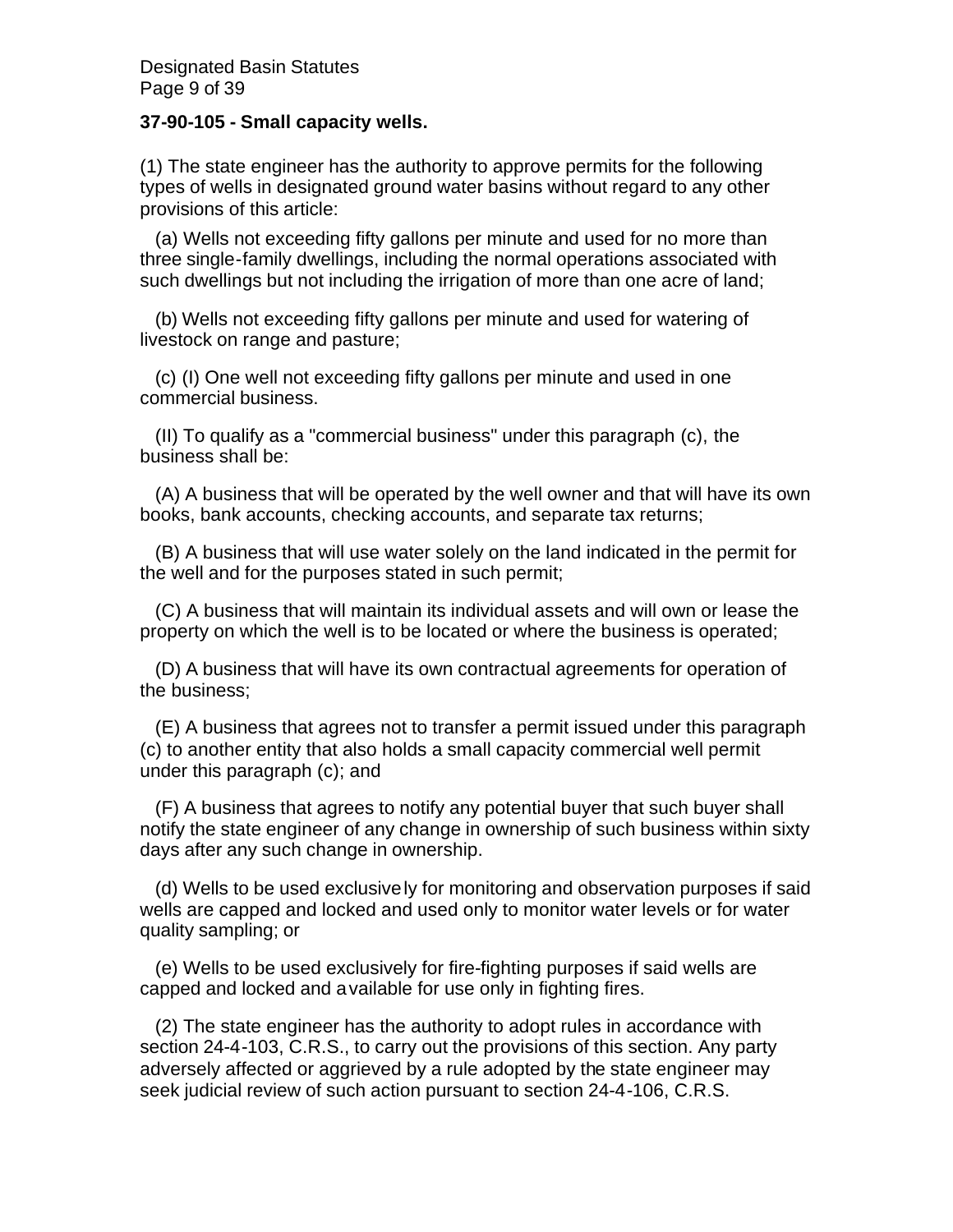### **37-90-105 - Small capacity wells.**

(1) The state engineer has the authority to approve permits for the following types of wells in designated ground water basins without regard to any other provisions of this article:

 (a) Wells not exceeding fifty gallons per minute and used for no more than three single-family dwellings, including the normal operations associated with such dwellings but not including the irrigation of more than one acre of land;

 (b) Wells not exceeding fifty gallons per minute and used for watering of livestock on range and pasture;

 (c) (I) One well not exceeding fifty gallons per minute and used in one commercial business.

 (II) To qualify as a "commercial business" under this paragraph (c), the business shall be:

 (A) A business that will be operated by the well owner and that will have its own books, bank accounts, checking accounts, and separate tax returns;

 (B) A business that will use water solely on the land indicated in the permit for the well and for the purposes stated in such permit;

 (C) A business that will maintain its individual assets and will own or lease the property on which the well is to be located or where the business is operated;

 (D) A business that will have its own contractual agreements for operation of the business;

 (E) A business that agrees not to transfer a permit issued under this paragraph (c) to another entity that also holds a small capacity commercial well permit under this paragraph (c); and

 (F) A business that agrees to notify any potential buyer that such buyer shall notify the state engineer of any change in ownership of such business within sixty days after any such change in ownership.

 (d) Wells to be used exclusively for monitoring and observation purposes if said wells are capped and locked and used only to monitor water levels or for water quality sampling; or

 (e) Wells to be used exclusively for fire-fighting purposes if said wells are capped and locked and available for use only in fighting fires.

 (2) The state engineer has the authority to adopt rules in accordance with section 24-4-103, C.R.S., to carry out the provisions of this section. Any party adversely affected or aggrieved by a rule adopted by the state engineer may seek judicial review of such action pursuant to section 24-4-106, C.R.S.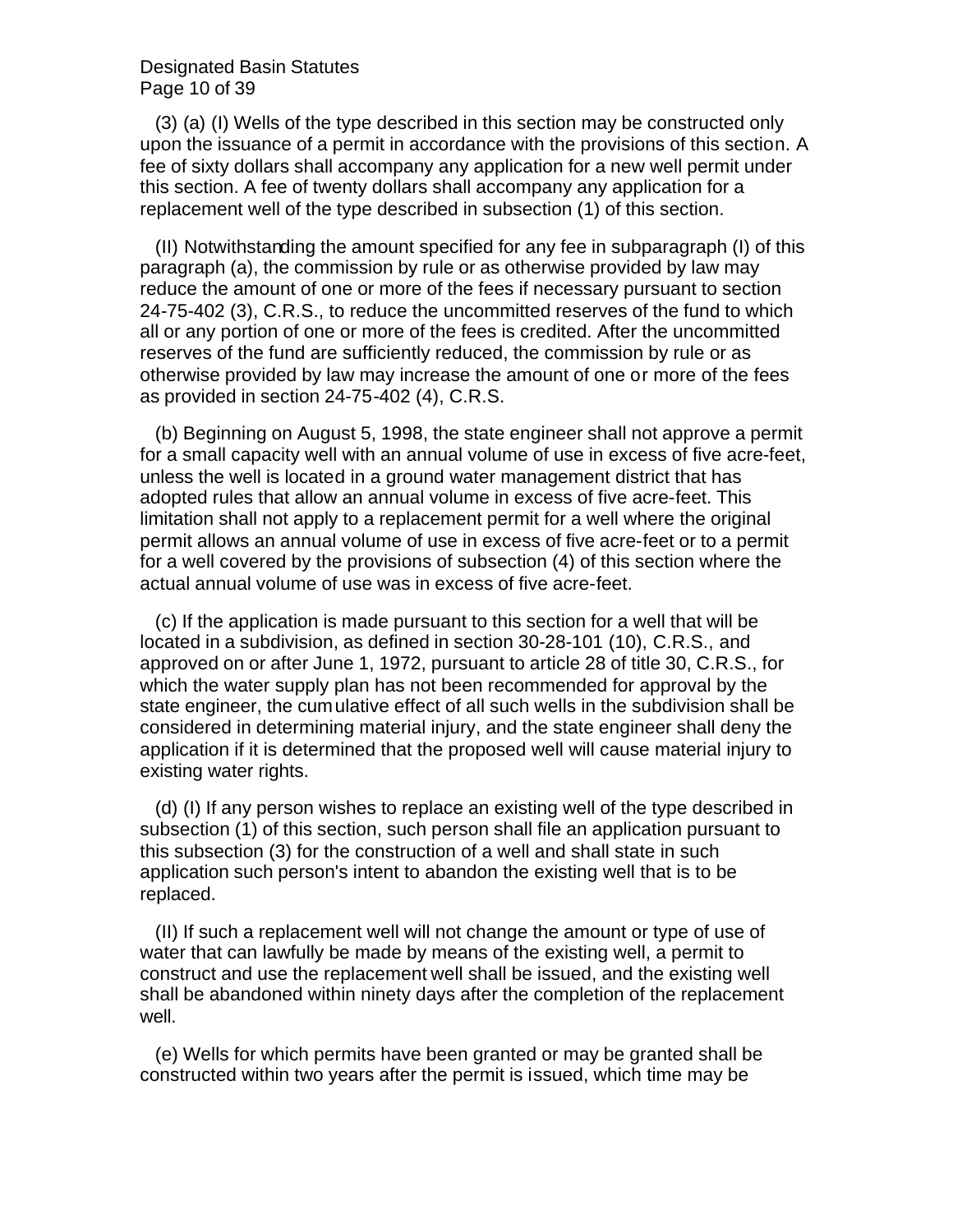#### Designated Basin Statutes Page 10 of 39

 (3) (a) (I) Wells of the type described in this section may be constructed only upon the issuance of a permit in accordance with the provisions of this section. A fee of sixty dollars shall accompany any application for a new well permit under this section. A fee of twenty dollars shall accompany any application for a replacement well of the type described in subsection (1) of this section.

 (II) Notwithstanding the amount specified for any fee in subparagraph (I) of this paragraph (a), the commission by rule or as otherwise provided by law may reduce the amount of one or more of the fees if necessary pursuant to section 24-75-402 (3), C.R.S., to reduce the uncommitted reserves of the fund to which all or any portion of one or more of the fees is credited. After the uncommitted reserves of the fund are sufficiently reduced, the commission by rule or as otherwise provided by law may increase the amount of one or more of the fees as provided in section 24-75-402 (4), C.R.S.

 (b) Beginning on August 5, 1998, the state engineer shall not approve a permit for a small capacity well with an annual volume of use in excess of five acre-feet, unless the well is located in a ground water management district that has adopted rules that allow an annual volume in excess of five acre-feet. This limitation shall not apply to a replacement permit for a well where the original permit allows an annual volume of use in excess of five acre-feet or to a permit for a well covered by the provisions of subsection (4) of this section where the actual annual volume of use was in excess of five acre-feet.

 (c) If the application is made pursuant to this section for a well that will be located in a subdivision, as defined in section 30-28-101 (10), C.R.S., and approved on or after June 1, 1972, pursuant to article 28 of title 30, C.R.S., for which the water supply plan has not been recommended for approval by the state engineer, the cumulative effect of all such wells in the subdivision shall be considered in determining material injury, and the state engineer shall deny the application if it is determined that the proposed well will cause material injury to existing water rights.

 (d) (I) If any person wishes to replace an existing well of the type described in subsection (1) of this section, such person shall file an application pursuant to this subsection (3) for the construction of a well and shall state in such application such person's intent to abandon the existing well that is to be replaced.

 (II) If such a replacement well will not change the amount or type of use of water that can lawfully be made by means of the existing well, a permit to construct and use the replacement well shall be issued, and the existing well shall be abandoned within ninety days after the completion of the replacement well.

 (e) Wells for which permits have been granted or may be granted shall be constructed within two years after the permit is issued, which time may be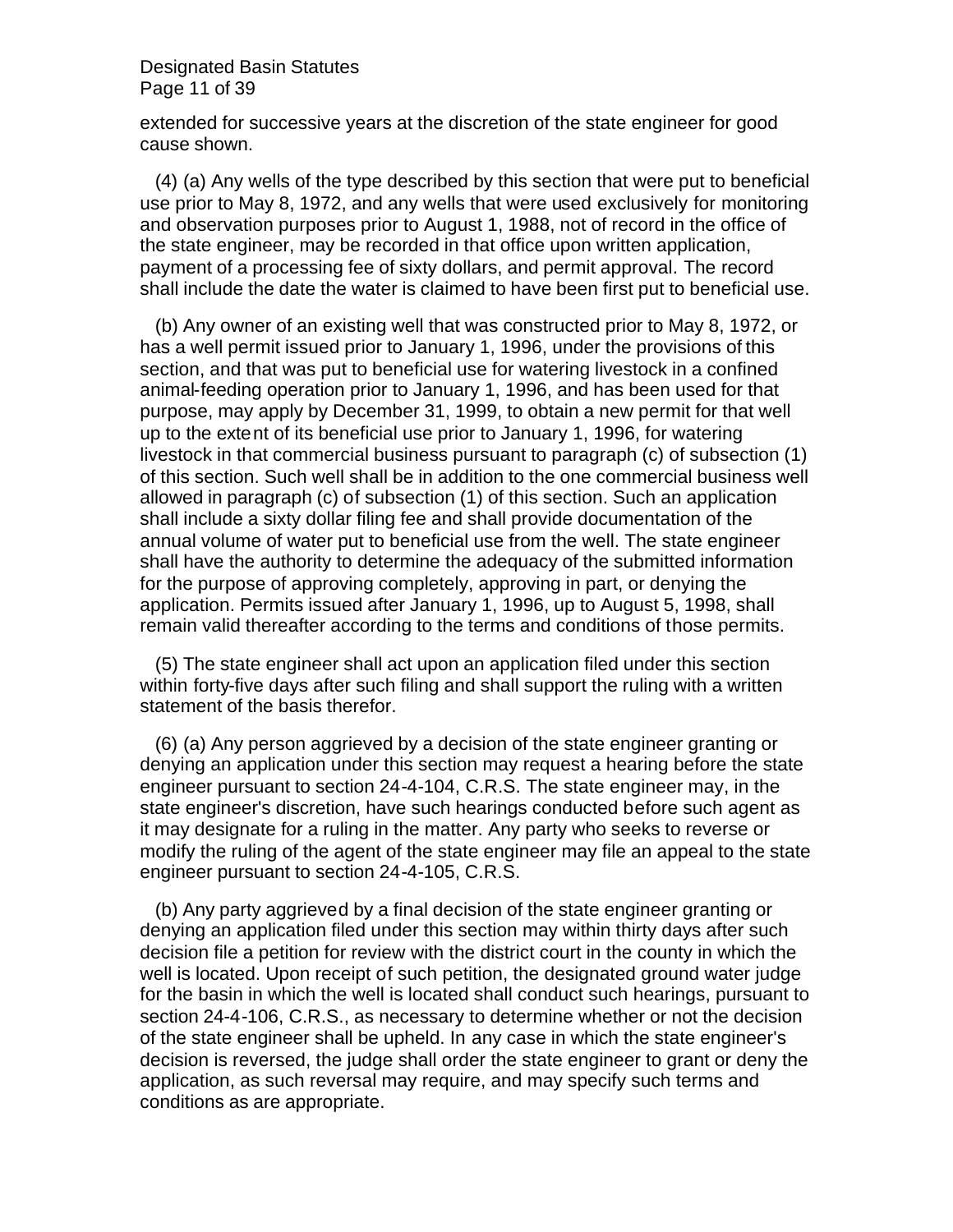#### Designated Basin Statutes Page 11 of 39

extended for successive years at the discretion of the state engineer for good cause shown.

 (4) (a) Any wells of the type described by this section that were put to beneficial use prior to May 8, 1972, and any wells that were used exclusively for monitoring and observation purposes prior to August 1, 1988, not of record in the office of the state engineer, may be recorded in that office upon written application, payment of a processing fee of sixty dollars, and permit approval. The record shall include the date the water is claimed to have been first put to beneficial use.

 (b) Any owner of an existing well that was constructed prior to May 8, 1972, or has a well permit issued prior to January 1, 1996, under the provisions of this section, and that was put to beneficial use for watering livestock in a confined animal-feeding operation prior to January 1, 1996, and has been used for that purpose, may apply by December 31, 1999, to obtain a new permit for that well up to the extent of its beneficial use prior to January 1, 1996, for watering livestock in that commercial business pursuant to paragraph (c) of subsection (1) of this section. Such well shall be in addition to the one commercial business well allowed in paragraph (c) of subsection (1) of this section. Such an application shall include a sixty dollar filing fee and shall provide documentation of the annual volume of water put to beneficial use from the well. The state engineer shall have the authority to determine the adequacy of the submitted information for the purpose of approving completely, approving in part, or denying the application. Permits issued after January 1, 1996, up to August 5, 1998, shall remain valid thereafter according to the terms and conditions of those permits.

 (5) The state engineer shall act upon an application filed under this section within forty-five days after such filing and shall support the ruling with a written statement of the basis therefor.

 (6) (a) Any person aggrieved by a decision of the state engineer granting or denying an application under this section may request a hearing before the state engineer pursuant to section 24-4-104, C.R.S. The state engineer may, in the state engineer's discretion, have such hearings conducted before such agent as it may designate for a ruling in the matter. Any party who seeks to reverse or modify the ruling of the agent of the state engineer may file an appeal to the state engineer pursuant to section 24-4-105, C.R.S.

 (b) Any party aggrieved by a final decision of the state engineer granting or denying an application filed under this section may within thirty days after such decision file a petition for review with the district court in the county in which the well is located. Upon receipt of such petition, the designated ground water judge for the basin in which the well is located shall conduct such hearings, pursuant to section 24-4-106, C.R.S., as necessary to determine whether or not the decision of the state engineer shall be upheld. In any case in which the state engineer's decision is reversed, the judge shall order the state engineer to grant or deny the application, as such reversal may require, and may specify such terms and conditions as are appropriate.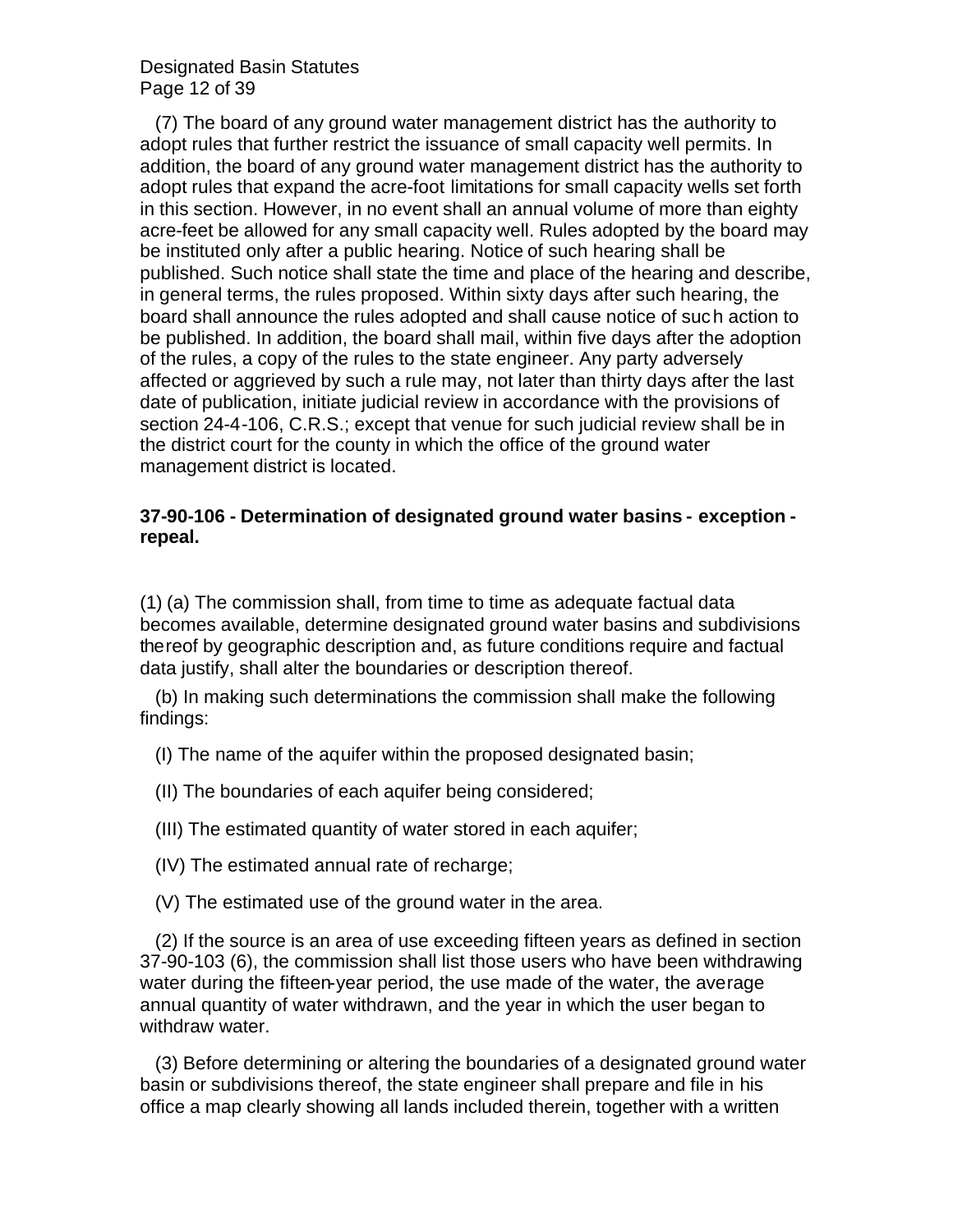#### Designated Basin Statutes Page 12 of 39

 (7) The board of any ground water management district has the authority to adopt rules that further restrict the issuance of small capacity well permits. In addition, the board of any ground water management district has the authority to adopt rules that expand the acre-foot limitations for small capacity wells set forth in this section. However, in no event shall an annual volume of more than eighty acre-feet be allowed for any small capacity well. Rules adopted by the board may be instituted only after a public hearing. Notice of such hearing shall be published. Such notice shall state the time and place of the hearing and describe, in general terms, the rules proposed. Within sixty days after such hearing, the board shall announce the rules adopted and shall cause notice of such action to be published. In addition, the board shall mail, within five days after the adoption of the rules, a copy of the rules to the state engineer. Any party adversely affected or aggrieved by such a rule may, not later than thirty days after the last date of publication, initiate judicial review in accordance with the provisions of section 24-4-106, C.R.S.; except that venue for such judicial review shall be in the district court for the county in which the office of the ground water management district is located.

### **37-90-106 - Determination of designated ground water basins - exception repeal.**

(1) (a) The commission shall, from time to time as adequate factual data becomes available, determine designated ground water basins and subdivisions thereof by geographic description and, as future conditions require and factual data justify, shall alter the boundaries or description thereof.

 (b) In making such determinations the commission shall make the following findings:

(I) The name of the aquifer within the proposed designated basin;

- (II) The boundaries of each aquifer being considered;
- (III) The estimated quantity of water stored in each aquifer;
- (IV) The estimated annual rate of recharge;
- (V) The estimated use of the ground water in the area.

 (2) If the source is an area of use exceeding fifteen years as defined in section 37-90-103 (6), the commission shall list those users who have been withdrawing water during the fifteen-year period, the use made of the water, the average annual quantity of water withdrawn, and the year in which the user began to withdraw water.

 (3) Before determining or altering the boundaries of a designated ground water basin or subdivisions thereof, the state engineer shall prepare and file in his office a map clearly showing all lands included therein, together with a written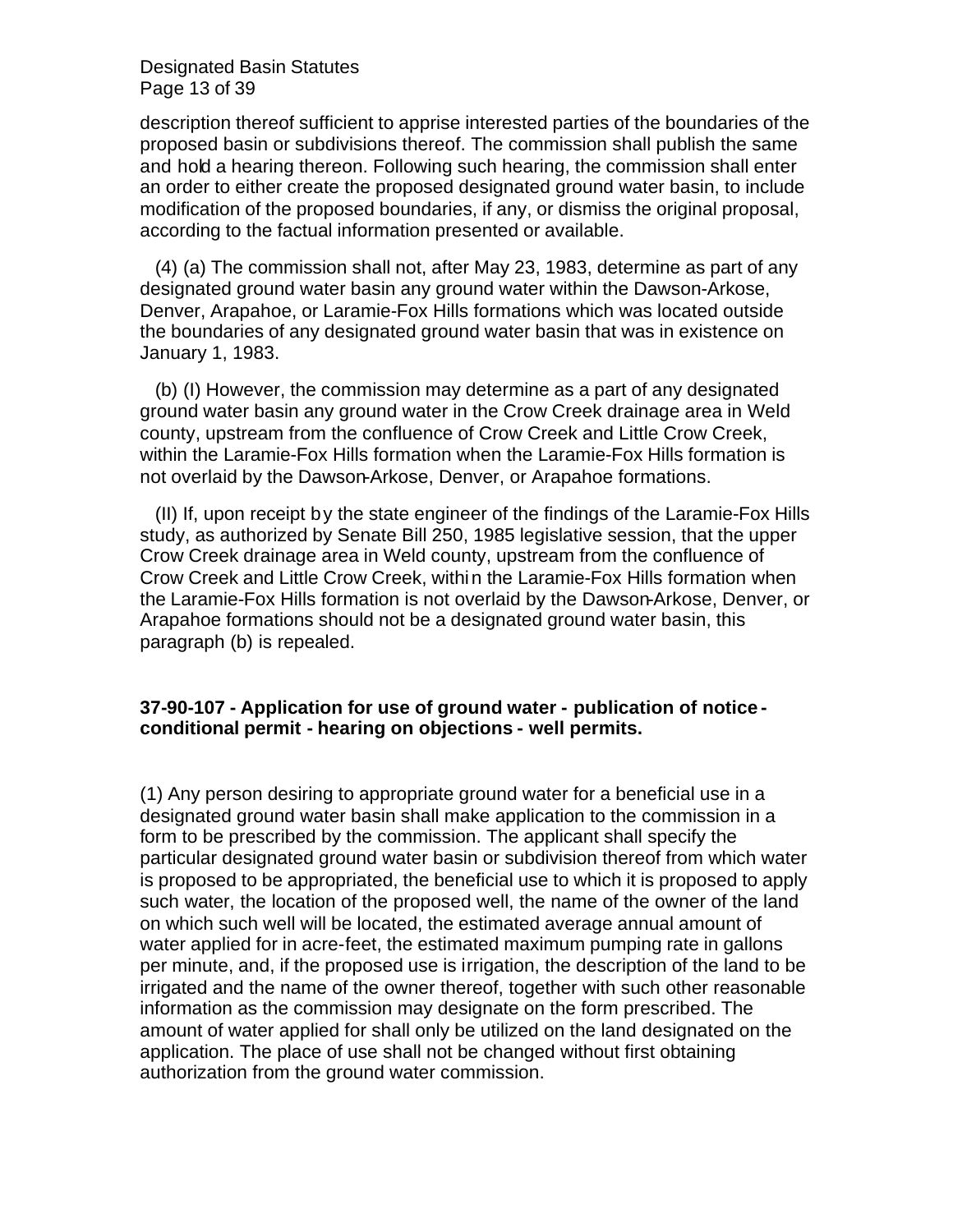Designated Basin Statutes Page 13 of 39

description thereof sufficient to apprise interested parties of the boundaries of the proposed basin or subdivisions thereof. The commission shall publish the same and hold a hearing thereon. Following such hearing, the commission shall enter an order to either create the proposed designated ground water basin, to include modification of the proposed boundaries, if any, or dismiss the original proposal, according to the factual information presented or available.

 (4) (a) The commission shall not, after May 23, 1983, determine as part of any designated ground water basin any ground water within the Dawson-Arkose, Denver, Arapahoe, or Laramie-Fox Hills formations which was located outside the boundaries of any designated ground water basin that was in existence on January 1, 1983.

 (b) (I) However, the commission may determine as a part of any designated ground water basin any ground water in the Crow Creek drainage area in Weld county, upstream from the confluence of Crow Creek and Little Crow Creek, within the Laramie-Fox Hills formation when the Laramie-Fox Hills formation is not overlaid by the Dawson-Arkose, Denver, or Arapahoe formations.

 (II) If, upon receipt by the state engineer of the findings of the Laramie-Fox Hills study, as authorized by Senate Bill 250, 1985 legislative session, that the upper Crow Creek drainage area in Weld county, upstream from the confluence of Crow Creek and Little Crow Creek, within the Laramie-Fox Hills formation when the Laramie-Fox Hills formation is not overlaid by the Dawson-Arkose, Denver, or Arapahoe formations should not be a designated ground water basin, this paragraph (b) is repealed.

#### **37-90-107 - Application for use of ground water - publication of notice conditional permit - hearing on objections - well permits.**

(1) Any person desiring to appropriate ground water for a beneficial use in a designated ground water basin shall make application to the commission in a form to be prescribed by the commission. The applicant shall specify the particular designated ground water basin or subdivision thereof from which water is proposed to be appropriated, the beneficial use to which it is proposed to apply such water, the location of the proposed well, the name of the owner of the land on which such well will be located, the estimated average annual amount of water applied for in acre-feet, the estimated maximum pumping rate in gallons per minute, and, if the proposed use is irrigation, the description of the land to be irrigated and the name of the owner thereof, together with such other reasonable information as the commission may designate on the form prescribed. The amount of water applied for shall only be utilized on the land designated on the application. The place of use shall not be changed without first obtaining authorization from the ground water commission.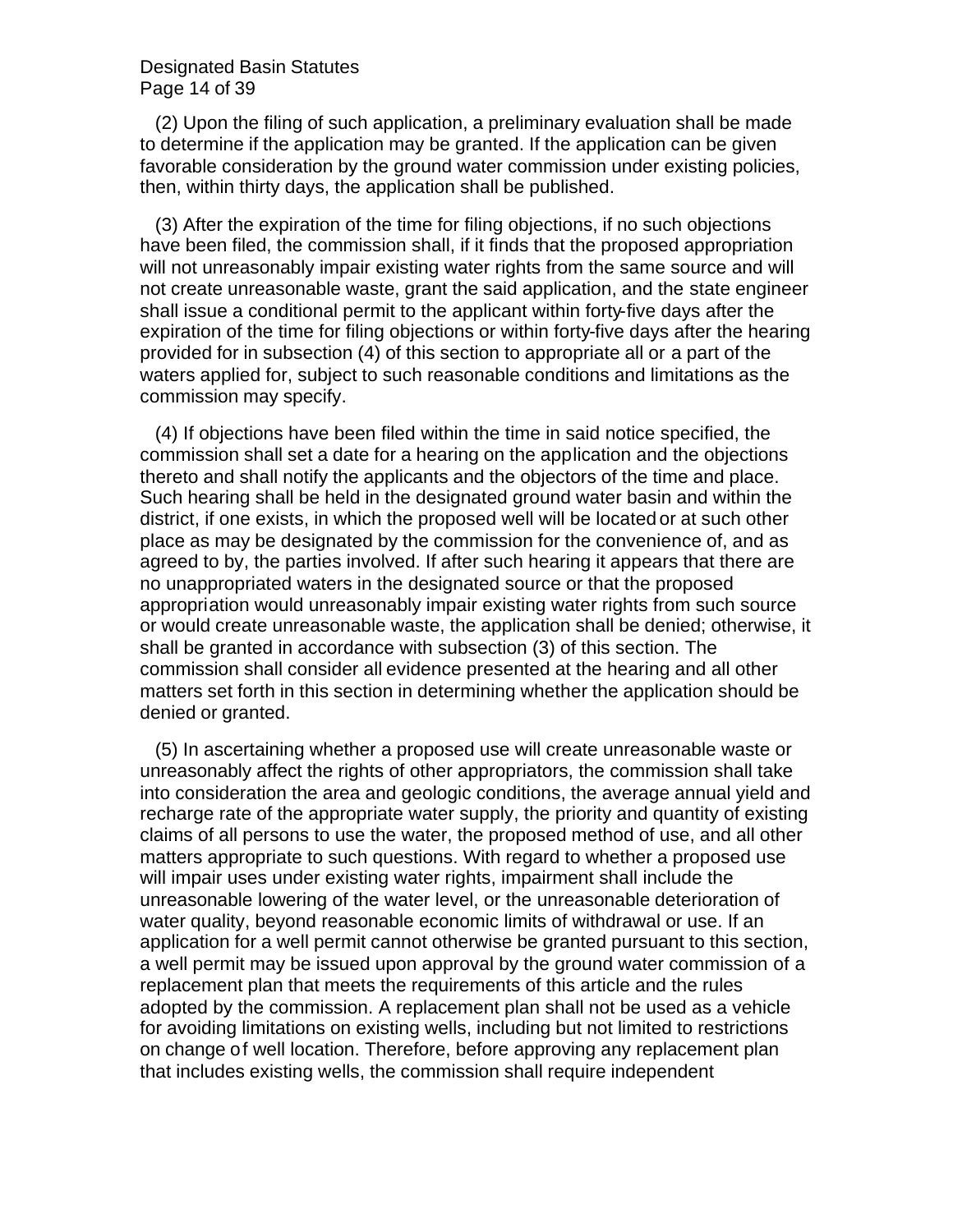#### Designated Basin Statutes Page 14 of 39

 (2) Upon the filing of such application, a preliminary evaluation shall be made to determine if the application may be granted. If the application can be given favorable consideration by the ground water commission under existing policies, then, within thirty days, the application shall be published.

 (3) After the expiration of the time for filing objections, if no such objections have been filed, the commission shall, if it finds that the proposed appropriation will not unreasonably impair existing water rights from the same source and will not create unreasonable waste, grant the said application, and the state engineer shall issue a conditional permit to the applicant within forty-five days after the expiration of the time for filing objections or within forty-five days after the hearing provided for in subsection (4) of this section to appropriate all or a part of the waters applied for, subject to such reasonable conditions and limitations as the commission may specify.

 (4) If objections have been filed within the time in said notice specified, the commission shall set a date for a hearing on the application and the objections thereto and shall notify the applicants and the objectors of the time and place. Such hearing shall be held in the designated ground water basin and within the district, if one exists, in which the proposed well will be located or at such other place as may be designated by the commission for the convenience of, and as agreed to by, the parties involved. If after such hearing it appears that there are no unappropriated waters in the designated source or that the proposed appropriation would unreasonably impair existing water rights from such source or would create unreasonable waste, the application shall be denied; otherwise, it shall be granted in accordance with subsection (3) of this section. The commission shall consider all evidence presented at the hearing and all other matters set forth in this section in determining whether the application should be denied or granted.

 (5) In ascertaining whether a proposed use will create unreasonable waste or unreasonably affect the rights of other appropriators, the commission shall take into consideration the area and geologic conditions, the average annual yield and recharge rate of the appropriate water supply, the priority and quantity of existing claims of all persons to use the water, the proposed method of use, and all other matters appropriate to such questions. With regard to whether a proposed use will impair uses under existing water rights, impairment shall include the unreasonable lowering of the water level, or the unreasonable deterioration of water quality, beyond reasonable economic limits of withdrawal or use. If an application for a well permit cannot otherwise be granted pursuant to this section, a well permit may be issued upon approval by the ground water commission of a replacement plan that meets the requirements of this article and the rules adopted by the commission. A replacement plan shall not be used as a vehicle for avoiding limitations on existing wells, including but not limited to restrictions on change of well location. Therefore, before approving any replacement plan that includes existing wells, the commission shall require independent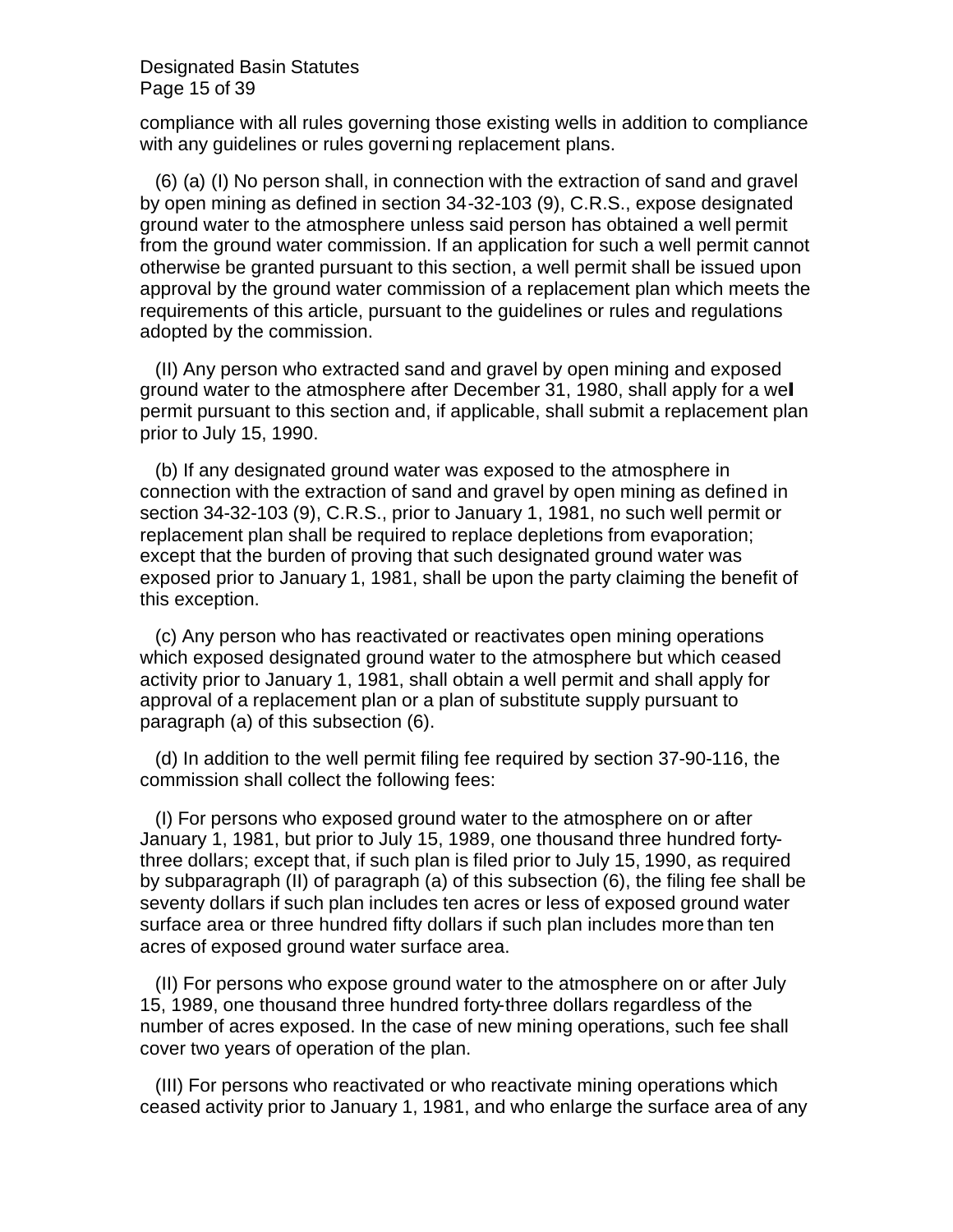#### Designated Basin Statutes Page 15 of 39

compliance with all rules governing those existing wells in addition to compliance with any guidelines or rules governing replacement plans.

 (6) (a) (I) No person shall, in connection with the extraction of sand and gravel by open mining as defined in section 34-32-103 (9), C.R.S., expose designated ground water to the atmosphere unless said person has obtained a well permit from the ground water commission. If an application for such a well permit cannot otherwise be granted pursuant to this section, a well permit shall be issued upon approval by the ground water commission of a replacement plan which meets the requirements of this article, pursuant to the guidelines or rules and regulations adopted by the commission.

 (II) Any person who extracted sand and gravel by open mining and exposed ground water to the atmosphere after December 31, 1980, shall apply for a well permit pursuant to this section and, if applicable, shall submit a replacement plan prior to July 15, 1990.

 (b) If any designated ground water was exposed to the atmosphere in connection with the extraction of sand and gravel by open mining as defined in section 34-32-103 (9), C.R.S., prior to January 1, 1981, no such well permit or replacement plan shall be required to replace depletions from evaporation; except that the burden of proving that such designated ground water was exposed prior to January 1, 1981, shall be upon the party claiming the benefit of this exception.

 (c) Any person who has reactivated or reactivates open mining operations which exposed designated ground water to the atmosphere but which ceased activity prior to January 1, 1981, shall obtain a well permit and shall apply for approval of a replacement plan or a plan of substitute supply pursuant to paragraph (a) of this subsection (6).

 (d) In addition to the well permit filing fee required by section 37-90-116, the commission shall collect the following fees:

 (I) For persons who exposed ground water to the atmosphere on or after January 1, 1981, but prior to July 15, 1989, one thousand three hundred fortythree dollars; except that, if such plan is filed prior to July 15, 1990, as required by subparagraph (II) of paragraph (a) of this subsection (6), the filing fee shall be seventy dollars if such plan includes ten acres or less of exposed ground water surface area or three hundred fifty dollars if such plan includes more than ten acres of exposed ground water surface area.

 (II) For persons who expose ground water to the atmosphere on or after July 15, 1989, one thousand three hundred forty-three dollars regardless of the number of acres exposed. In the case of new mining operations, such fee shall cover two years of operation of the plan.

 (III) For persons who reactivated or who reactivate mining operations which ceased activity prior to January 1, 1981, and who enlarge the surface area of any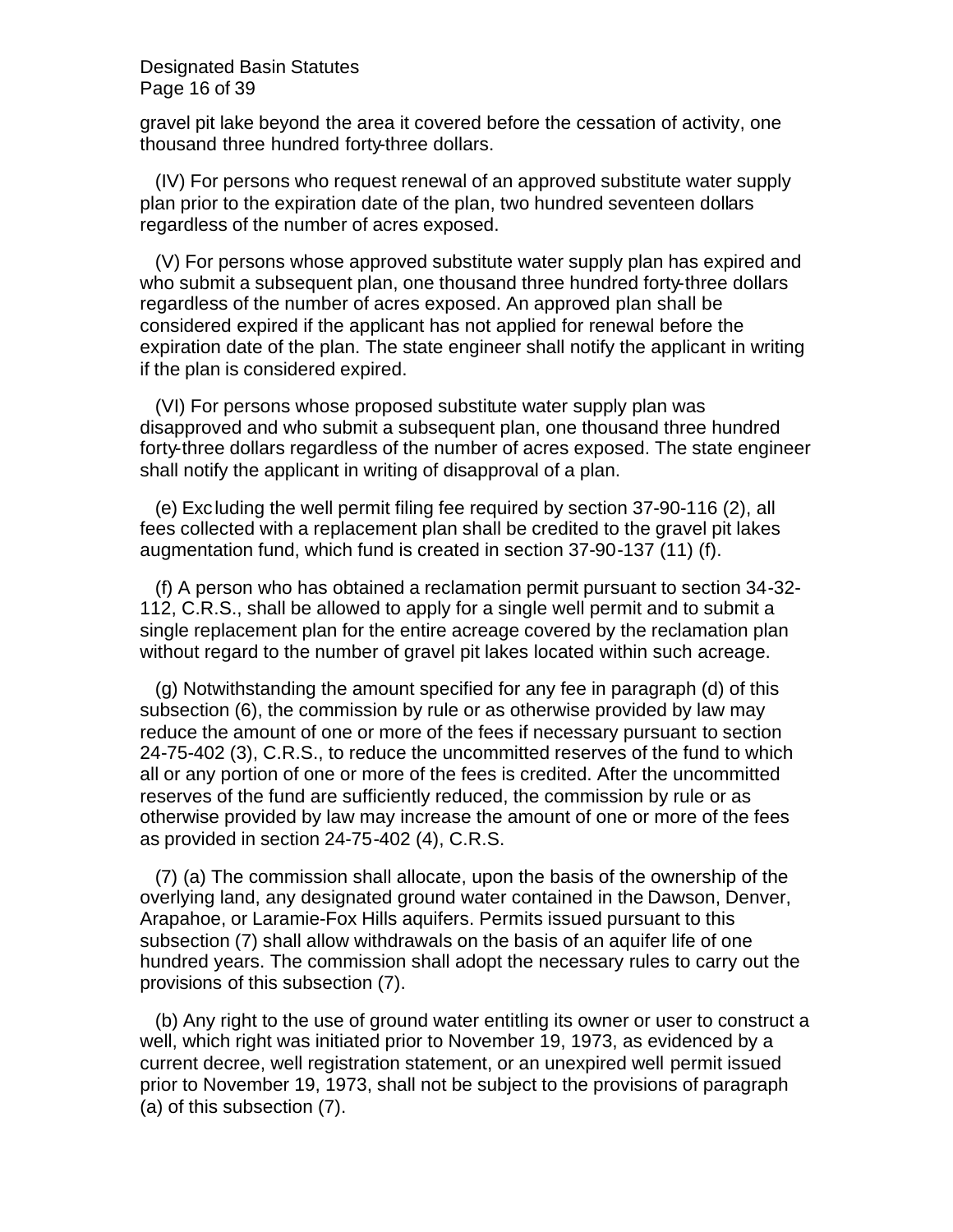#### Designated Basin Statutes Page 16 of 39

gravel pit lake beyond the area it covered before the cessation of activity, one thousand three hundred forty-three dollars.

 (IV) For persons who request renewal of an approved substitute water supply plan prior to the expiration date of the plan, two hundred seventeen dollars regardless of the number of acres exposed.

 (V) For persons whose approved substitute water supply plan has expired and who submit a subsequent plan, one thousand three hundred forty-three dollars regardless of the number of acres exposed. An approved plan shall be considered expired if the applicant has not applied for renewal before the expiration date of the plan. The state engineer shall notify the applicant in writing if the plan is considered expired.

 (VI) For persons whose proposed substitute water supply plan was disapproved and who submit a subsequent plan, one thousand three hundred forty-three dollars regardless of the number of acres exposed. The state engineer shall notify the applicant in writing of disapproval of a plan.

 (e) Excluding the well permit filing fee required by section 37-90-116 (2), all fees collected with a replacement plan shall be credited to the gravel pit lakes augmentation fund, which fund is created in section 37-90-137 (11) (f).

 (f) A person who has obtained a reclamation permit pursuant to section 34-32- 112, C.R.S., shall be allowed to apply for a single well permit and to submit a single replacement plan for the entire acreage covered by the reclamation plan without regard to the number of gravel pit lakes located within such acreage.

 (g) Notwithstanding the amount specified for any fee in paragraph (d) of this subsection (6), the commission by rule or as otherwise provided by law may reduce the amount of one or more of the fees if necessary pursuant to section 24-75-402 (3), C.R.S., to reduce the uncommitted reserves of the fund to which all or any portion of one or more of the fees is credited. After the uncommitted reserves of the fund are sufficiently reduced, the commission by rule or as otherwise provided by law may increase the amount of one or more of the fees as provided in section 24-75-402 (4), C.R.S.

 (7) (a) The commission shall allocate, upon the basis of the ownership of the overlying land, any designated ground water contained in the Dawson, Denver, Arapahoe, or Laramie-Fox Hills aquifers. Permits issued pursuant to this subsection (7) shall allow withdrawals on the basis of an aquifer life of one hundred years. The commission shall adopt the necessary rules to carry out the provisions of this subsection (7).

 (b) Any right to the use of ground water entitling its owner or user to construct a well, which right was initiated prior to November 19, 1973, as evidenced by a current decree, well registration statement, or an unexpired well permit issued prior to November 19, 1973, shall not be subject to the provisions of paragraph (a) of this subsection (7).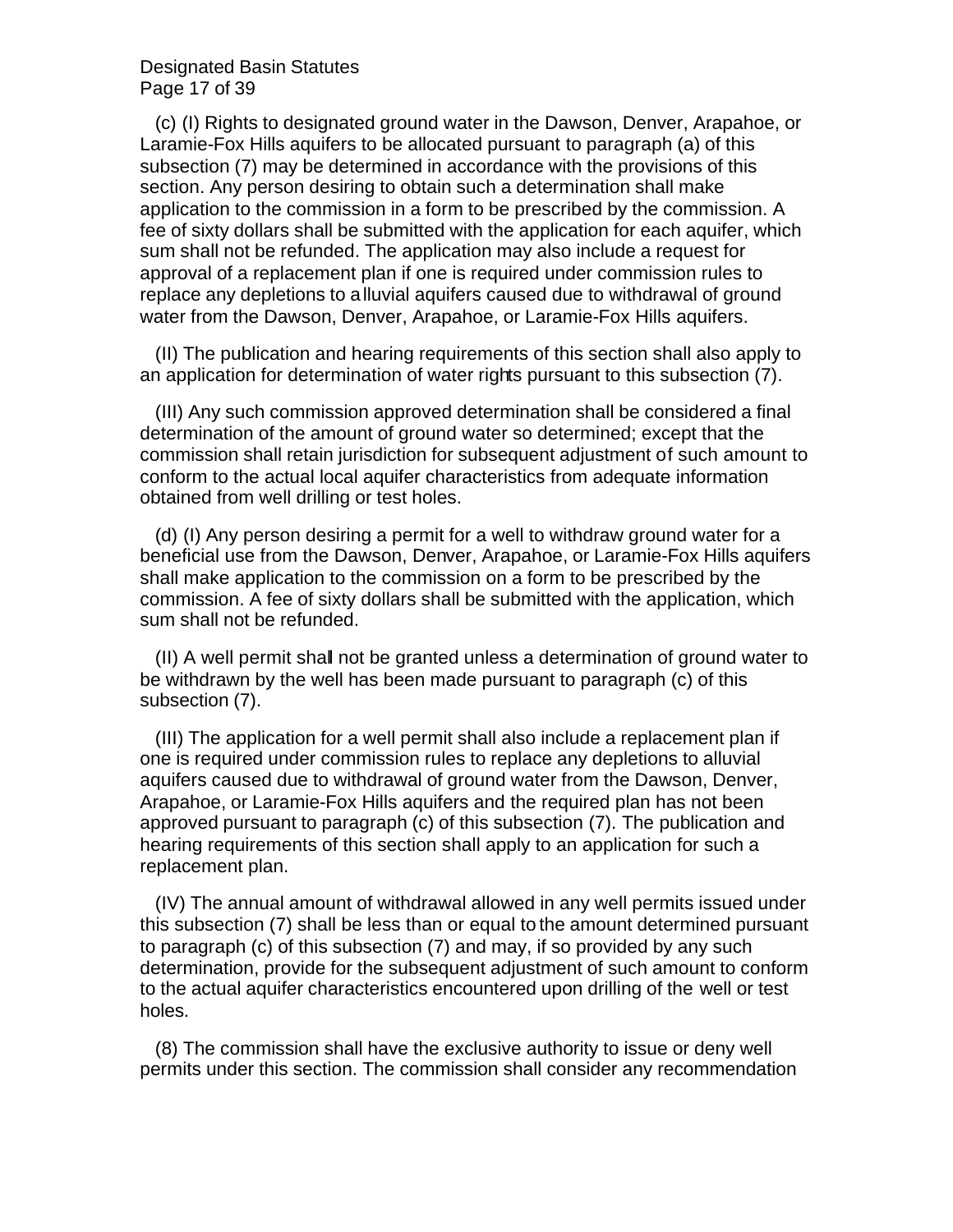(c) (I) Rights to designated ground water in the Dawson, Denver, Arapahoe, or Laramie-Fox Hills aquifers to be allocated pursuant to paragraph (a) of this subsection (7) may be determined in accordance with the provisions of this section. Any person desiring to obtain such a determination shall make application to the commission in a form to be prescribed by the commission. A fee of sixty dollars shall be submitted with the application for each aquifer, which sum shall not be refunded. The application may also include a request for approval of a replacement plan if one is required under commission rules to replace any depletions to alluvial aquifers caused due to withdrawal of ground water from the Dawson, Denver, Arapahoe, or Laramie-Fox Hills aquifers.

 (II) The publication and hearing requirements of this section shall also apply to an application for determination of water rights pursuant to this subsection (7).

 (III) Any such commission approved determination shall be considered a final determination of the amount of ground water so determined; except that the commission shall retain jurisdiction for subsequent adjustment of such amount to conform to the actual local aquifer characteristics from adequate information obtained from well drilling or test holes.

 (d) (I) Any person desiring a permit for a well to withdraw ground water for a beneficial use from the Dawson, Denver, Arapahoe, or Laramie-Fox Hills aquifers shall make application to the commission on a form to be prescribed by the commission. A fee of sixty dollars shall be submitted with the application, which sum shall not be refunded.

 (II) A well permit shall not be granted unless a determination of ground water to be withdrawn by the well has been made pursuant to paragraph (c) of this subsection (7).

 (III) The application for a well permit shall also include a replacement plan if one is required under commission rules to replace any depletions to alluvial aquifers caused due to withdrawal of ground water from the Dawson, Denver, Arapahoe, or Laramie-Fox Hills aquifers and the required plan has not been approved pursuant to paragraph (c) of this subsection (7). The publication and hearing requirements of this section shall apply to an application for such a replacement plan.

 (IV) The annual amount of withdrawal allowed in any well permits issued under this subsection (7) shall be less than or equal to the amount determined pursuant to paragraph (c) of this subsection (7) and may, if so provided by any such determination, provide for the subsequent adjustment of such amount to conform to the actual aquifer characteristics encountered upon drilling of the well or test holes.

 (8) The commission shall have the exclusive authority to issue or deny well permits under this section. The commission shall consider any recommendation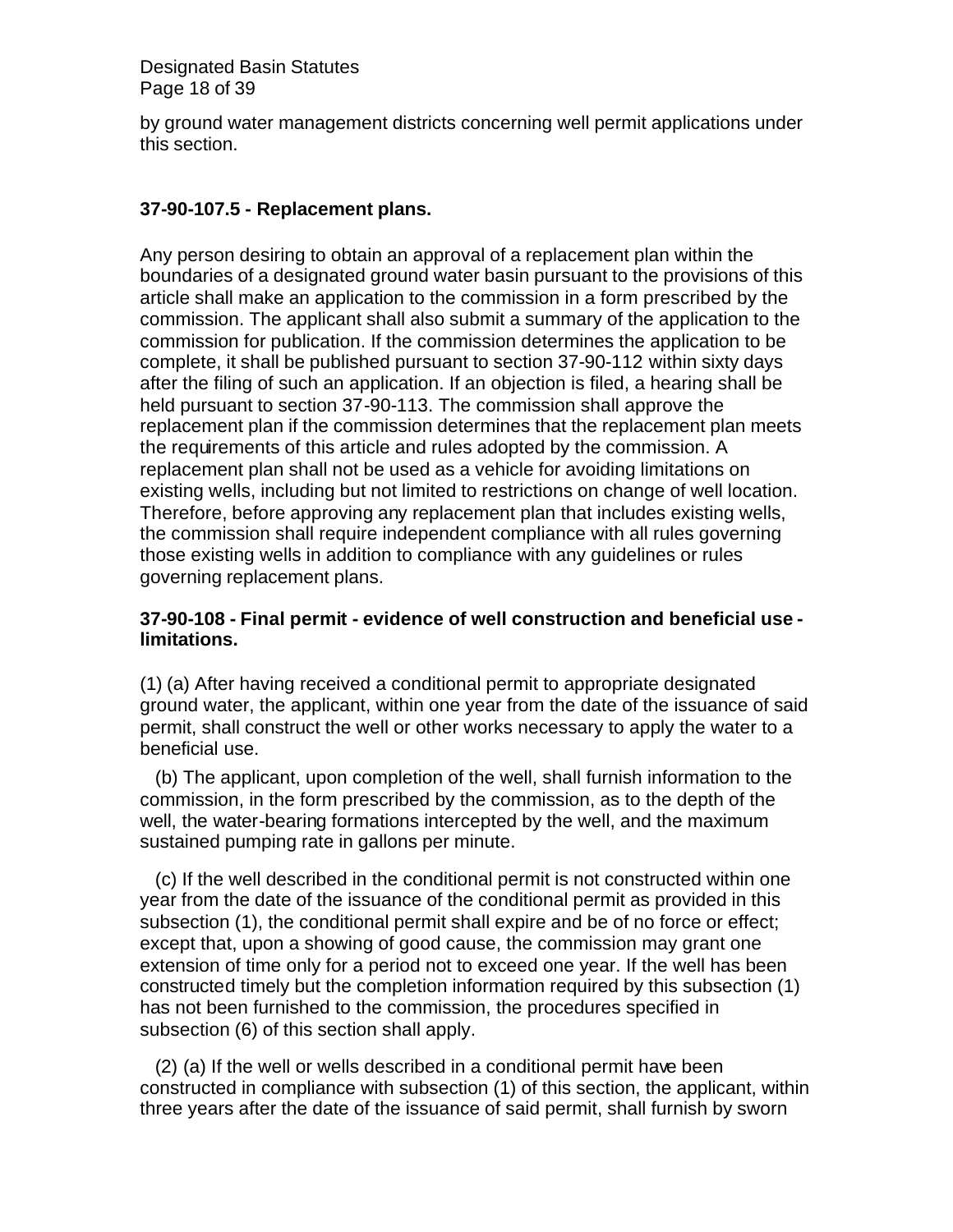Designated Basin Statutes Page 18 of 39

by ground water management districts concerning well permit applications under this section.

## **37-90-107.5 - Replacement plans.**

Any person desiring to obtain an approval of a replacement plan within the boundaries of a designated ground water basin pursuant to the provisions of this article shall make an application to the commission in a form prescribed by the commission. The applicant shall also submit a summary of the application to the commission for publication. If the commission determines the application to be complete, it shall be published pursuant to section 37-90-112 within sixty days after the filing of such an application. If an objection is filed, a hearing shall be held pursuant to section 37-90-113. The commission shall approve the replacement plan if the commission determines that the replacement plan meets the requirements of this article and rules adopted by the commission. A replacement plan shall not be used as a vehicle for avoiding limitations on existing wells, including but not limited to restrictions on change of well location. Therefore, before approving any replacement plan that includes existing wells, the commission shall require independent compliance with all rules governing those existing wells in addition to compliance with any guidelines or rules governing replacement plans.

## **37-90-108 - Final permit - evidence of well construction and beneficial use limitations.**

(1) (a) After having received a conditional permit to appropriate designated ground water, the applicant, within one year from the date of the issuance of said permit, shall construct the well or other works necessary to apply the water to a beneficial use.

 (b) The applicant, upon completion of the well, shall furnish information to the commission, in the form prescribed by the commission, as to the depth of the well, the water-bearing formations intercepted by the well, and the maximum sustained pumping rate in gallons per minute.

 (c) If the well described in the conditional permit is not constructed within one year from the date of the issuance of the conditional permit as provided in this subsection (1), the conditional permit shall expire and be of no force or effect; except that, upon a showing of good cause, the commission may grant one extension of time only for a period not to exceed one year. If the well has been constructed timely but the completion information required by this subsection (1) has not been furnished to the commission, the procedures specified in subsection (6) of this section shall apply.

 (2) (a) If the well or wells described in a conditional permit have been constructed in compliance with subsection (1) of this section, the applicant, within three years after the date of the issuance of said permit, shall furnish by sworn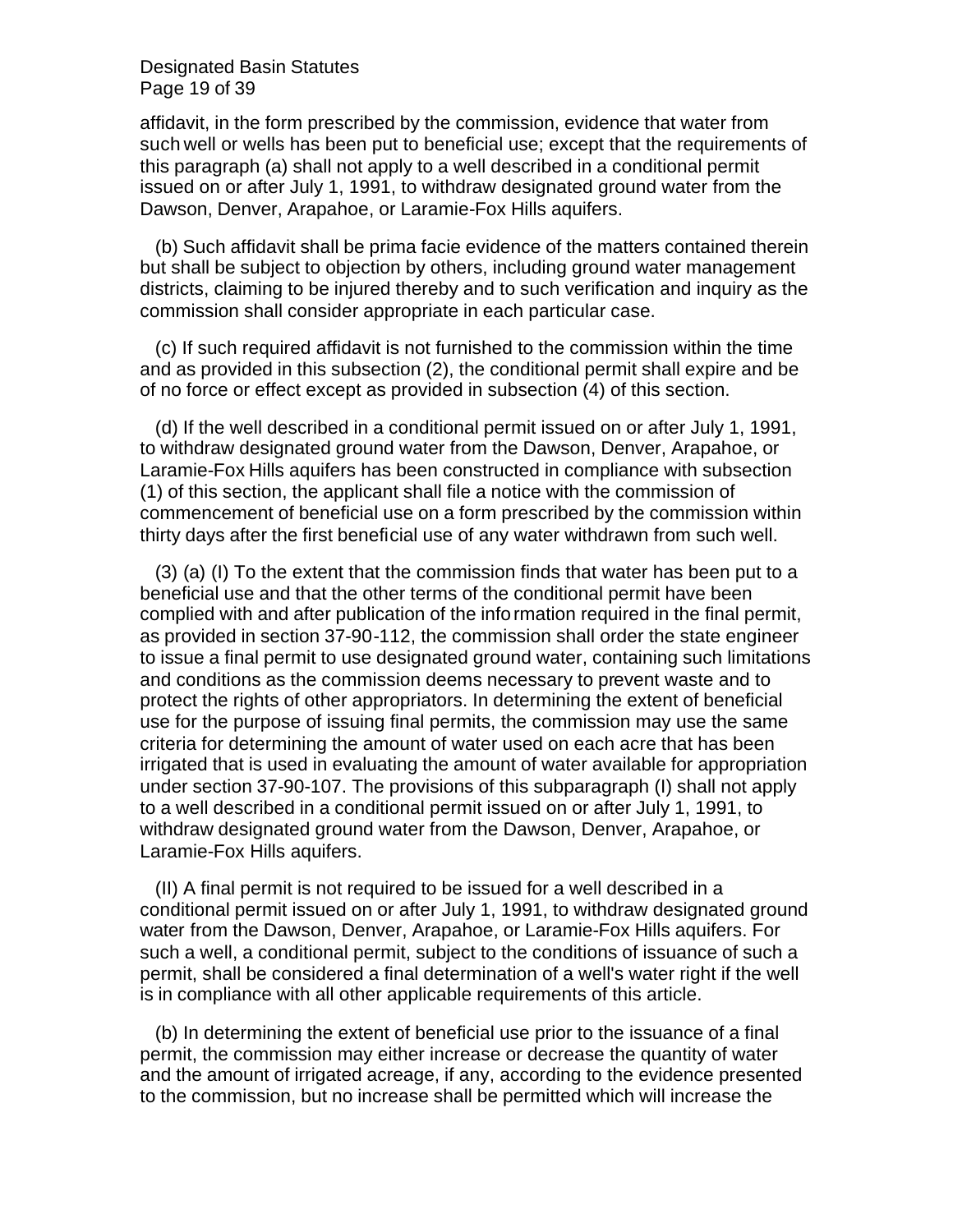#### Designated Basin Statutes Page 19 of 39

affidavit, in the form prescribed by the commission, evidence that water from such well or wells has been put to beneficial use; except that the requirements of this paragraph (a) shall not apply to a well described in a conditional permit issued on or after July 1, 1991, to withdraw designated ground water from the Dawson, Denver, Arapahoe, or Laramie-Fox Hills aquifers.

 (b) Such affidavit shall be prima facie evidence of the matters contained therein but shall be subject to objection by others, including ground water management districts, claiming to be injured thereby and to such verification and inquiry as the commission shall consider appropriate in each particular case.

 (c) If such required affidavit is not furnished to the commission within the time and as provided in this subsection (2), the conditional permit shall expire and be of no force or effect except as provided in subsection (4) of this section.

 (d) If the well described in a conditional permit issued on or after July 1, 1991, to withdraw designated ground water from the Dawson, Denver, Arapahoe, or Laramie-Fox Hills aquifers has been constructed in compliance with subsection (1) of this section, the applicant shall file a notice with the commission of commencement of beneficial use on a form prescribed by the commission within thirty days after the first beneficial use of any water withdrawn from such well.

 (3) (a) (I) To the extent that the commission finds that water has been put to a beneficial use and that the other terms of the conditional permit have been complied with and after publication of the information required in the final permit, as provided in section 37-90-112, the commission shall order the state engineer to issue a final permit to use designated ground water, containing such limitations and conditions as the commission deems necessary to prevent waste and to protect the rights of other appropriators. In determining the extent of beneficial use for the purpose of issuing final permits, the commission may use the same criteria for determining the amount of water used on each acre that has been irrigated that is used in evaluating the amount of water available for appropriation under section 37-90-107. The provisions of this subparagraph (I) shall not apply to a well described in a conditional permit issued on or after July 1, 1991, to withdraw designated ground water from the Dawson, Denver, Arapahoe, or Laramie-Fox Hills aquifers.

 (II) A final permit is not required to be issued for a well described in a conditional permit issued on or after July 1, 1991, to withdraw designated ground water from the Dawson, Denver, Arapahoe, or Laramie-Fox Hills aquifers. For such a well, a conditional permit, subject to the conditions of issuance of such a permit, shall be considered a final determination of a well's water right if the well is in compliance with all other applicable requirements of this article.

 (b) In determining the extent of beneficial use prior to the issuance of a final permit, the commission may either increase or decrease the quantity of water and the amount of irrigated acreage, if any, according to the evidence presented to the commission, but no increase shall be permitted which will increase the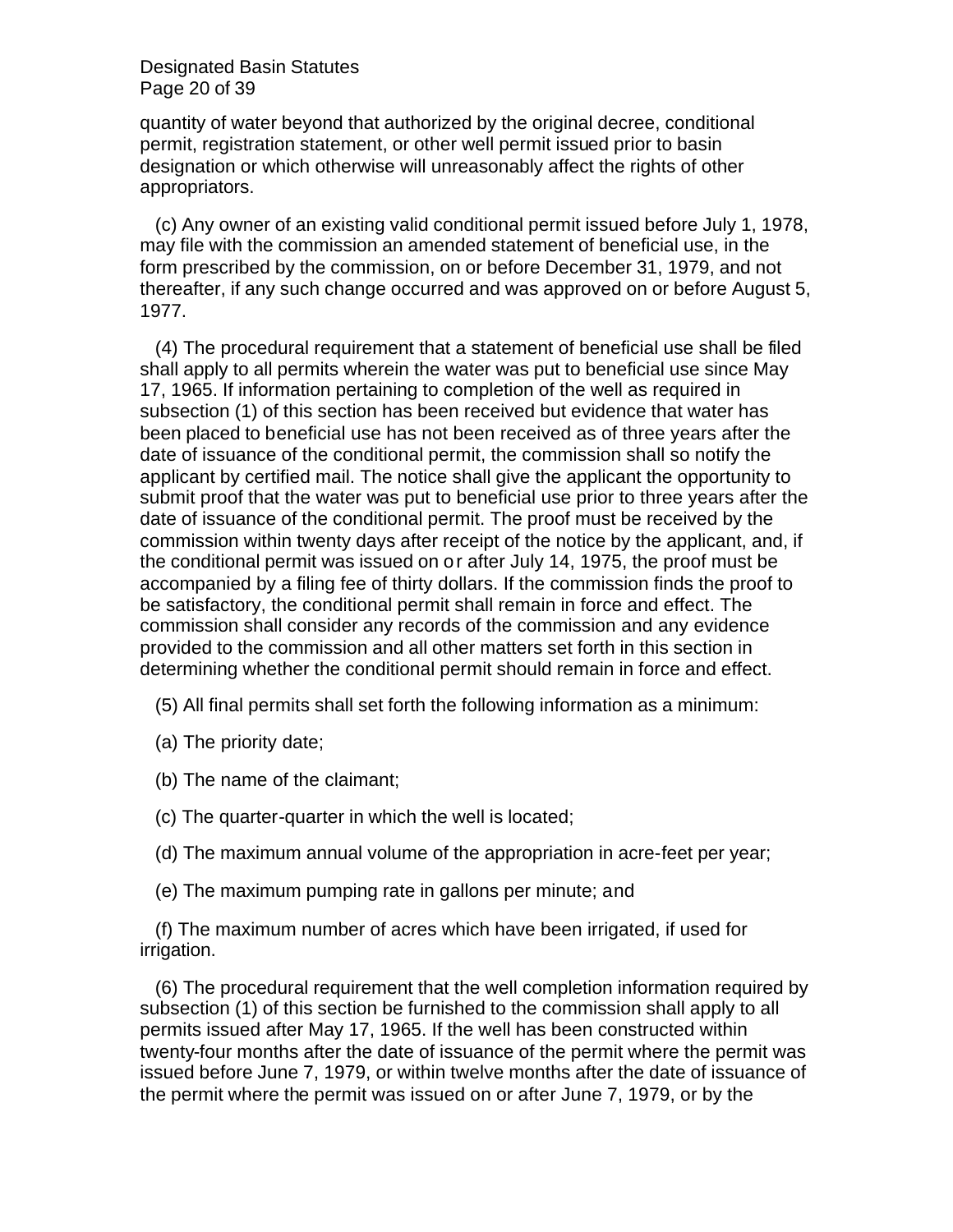Designated Basin Statutes Page 20 of 39

quantity of water beyond that authorized by the original decree, conditional permit, registration statement, or other well permit issued prior to basin designation or which otherwise will unreasonably affect the rights of other appropriators.

 (c) Any owner of an existing valid conditional permit issued before July 1, 1978, may file with the commission an amended statement of beneficial use, in the form prescribed by the commission, on or before December 31, 1979, and not thereafter, if any such change occurred and was approved on or before August 5, 1977.

 (4) The procedural requirement that a statement of beneficial use shall be filed shall apply to all permits wherein the water was put to beneficial use since May 17, 1965. If information pertaining to completion of the well as required in subsection (1) of this section has been received but evidence that water has been placed to beneficial use has not been received as of three years after the date of issuance of the conditional permit, the commission shall so notify the applicant by certified mail. The notice shall give the applicant the opportunity to submit proof that the water was put to beneficial use prior to three years after the date of issuance of the conditional permit. The proof must be received by the commission within twenty days after receipt of the notice by the applicant, and, if the conditional permit was issued on or after July 14, 1975, the proof must be accompanied by a filing fee of thirty dollars. If the commission finds the proof to be satisfactory, the conditional permit shall remain in force and effect. The commission shall consider any records of the commission and any evidence provided to the commission and all other matters set forth in this section in determining whether the conditional permit should remain in force and effect.

(5) All final permits shall set forth the following information as a minimum:

(a) The priority date;

(b) The name of the claimant;

(c) The quarter-quarter in which the well is located;

- (d) The maximum annual volume of the appropriation in acre-feet per year;
- (e) The maximum pumping rate in gallons per minute; and

 (f) The maximum number of acres which have been irrigated, if used for irrigation.

 (6) The procedural requirement that the well completion information required by subsection (1) of this section be furnished to the commission shall apply to all permits issued after May 17, 1965. If the well has been constructed within twenty-four months after the date of issuance of the permit where the permit was issued before June 7, 1979, or within twelve months after the date of issuance of the permit where the permit was issued on or after June 7, 1979, or by the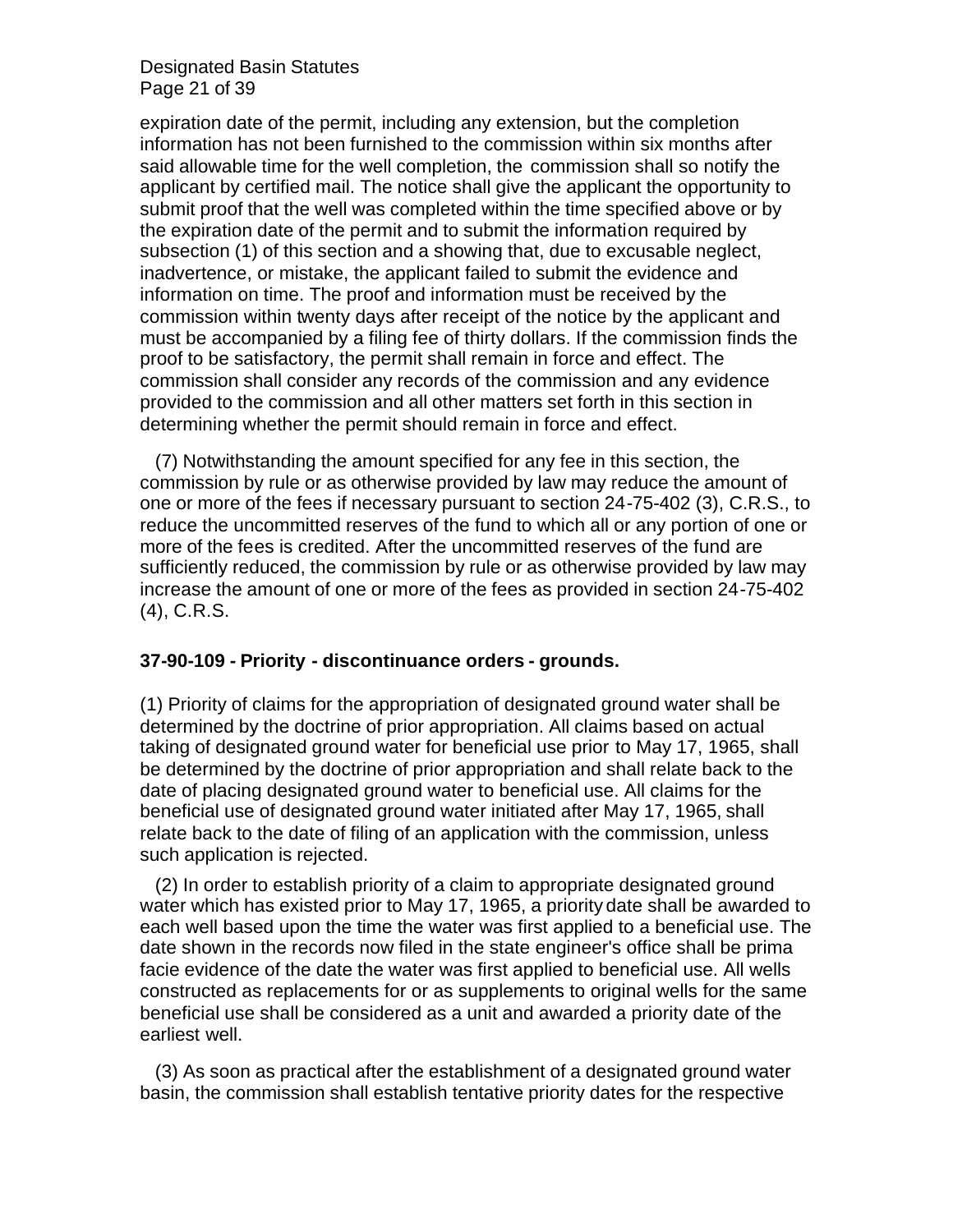#### Designated Basin Statutes Page 21 of 39

expiration date of the permit, including any extension, but the completion information has not been furnished to the commission within six months after said allowable time for the well completion, the commission shall so notify the applicant by certified mail. The notice shall give the applicant the opportunity to submit proof that the well was completed within the time specified above or by the expiration date of the permit and to submit the information required by subsection (1) of this section and a showing that, due to excusable neglect, inadvertence, or mistake, the applicant failed to submit the evidence and information on time. The proof and information must be received by the commission within twenty days after receipt of the notice by the applicant and must be accompanied by a filing fee of thirty dollars. If the commission finds the proof to be satisfactory, the permit shall remain in force and effect. The commission shall consider any records of the commission and any evidence provided to the commission and all other matters set forth in this section in determining whether the permit should remain in force and effect.

 (7) Notwithstanding the amount specified for any fee in this section, the commission by rule or as otherwise provided by law may reduce the amount of one or more of the fees if necessary pursuant to section 24-75-402 (3), C.R.S., to reduce the uncommitted reserves of the fund to which all or any portion of one or more of the fees is credited. After the uncommitted reserves of the fund are sufficiently reduced, the commission by rule or as otherwise provided by law may increase the amount of one or more of the fees as provided in section 24-75-402 (4), C.R.S.

## **37-90-109 - Priority - discontinuance orders - grounds.**

(1) Priority of claims for the appropriation of designated ground water shall be determined by the doctrine of prior appropriation. All claims based on actual taking of designated ground water for beneficial use prior to May 17, 1965, shall be determined by the doctrine of prior appropriation and shall relate back to the date of placing designated ground water to beneficial use. All claims for the beneficial use of designated ground water initiated after May 17, 1965, shall relate back to the date of filing of an application with the commission, unless such application is rejected.

 (2) In order to establish priority of a claim to appropriate designated ground water which has existed prior to May 17, 1965, a priority date shall be awarded to each well based upon the time the water was first applied to a beneficial use. The date shown in the records now filed in the state engineer's office shall be prima facie evidence of the date the water was first applied to beneficial use. All wells constructed as replacements for or as supplements to original wells for the same beneficial use shall be considered as a unit and awarded a priority date of the earliest well.

 (3) As soon as practical after the establishment of a designated ground water basin, the commission shall establish tentative priority dates for the respective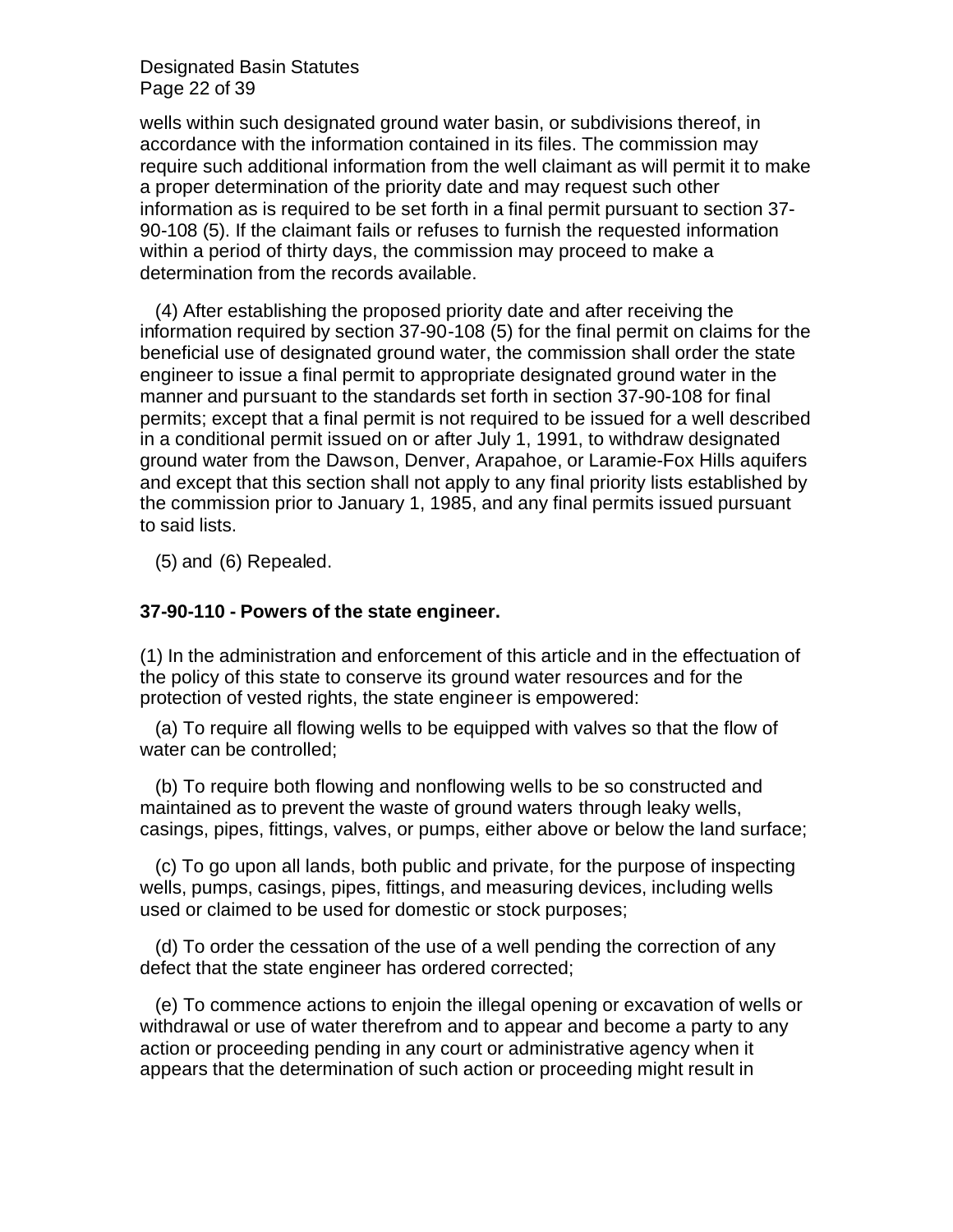Designated Basin Statutes Page 22 of 39

wells within such designated ground water basin, or subdivisions thereof, in accordance with the information contained in its files. The commission may require such additional information from the well claimant as will permit it to make a proper determination of the priority date and may request such other information as is required to be set forth in a final permit pursuant to section 37- 90-108 (5). If the claimant fails or refuses to furnish the requested information within a period of thirty days, the commission may proceed to make a determination from the records available.

 (4) After establishing the proposed priority date and after receiving the information required by section 37-90-108 (5) for the final permit on claims for the beneficial use of designated ground water, the commission shall order the state engineer to issue a final permit to appropriate designated ground water in the manner and pursuant to the standards set forth in section 37-90-108 for final permits; except that a final permit is not required to be issued for a well described in a conditional permit issued on or after July 1, 1991, to withdraw designated ground water from the Dawson, Denver, Arapahoe, or Laramie-Fox Hills aquifers and except that this section shall not apply to any final priority lists established by the commission prior to January 1, 1985, and any final permits issued pursuant to said lists.

(5) and (6) Repealed.

## **37-90-110 - Powers of the state engineer.**

(1) In the administration and enforcement of this article and in the effectuation of the policy of this state to conserve its ground water resources and for the protection of vested rights, the state engineer is empowered:

 (a) To require all flowing wells to be equipped with valves so that the flow of water can be controlled;

 (b) To require both flowing and nonflowing wells to be so constructed and maintained as to prevent the waste of ground waters through leaky wells, casings, pipes, fittings, valves, or pumps, either above or below the land surface;

 (c) To go upon all lands, both public and private, for the purpose of inspecting wells, pumps, casings, pipes, fittings, and measuring devices, including wells used or claimed to be used for domestic or stock purposes;

 (d) To order the cessation of the use of a well pending the correction of any defect that the state engineer has ordered corrected;

 (e) To commence actions to enjoin the illegal opening or excavation of wells or withdrawal or use of water therefrom and to appear and become a party to any action or proceeding pending in any court or administrative agency when it appears that the determination of such action or proceeding might result in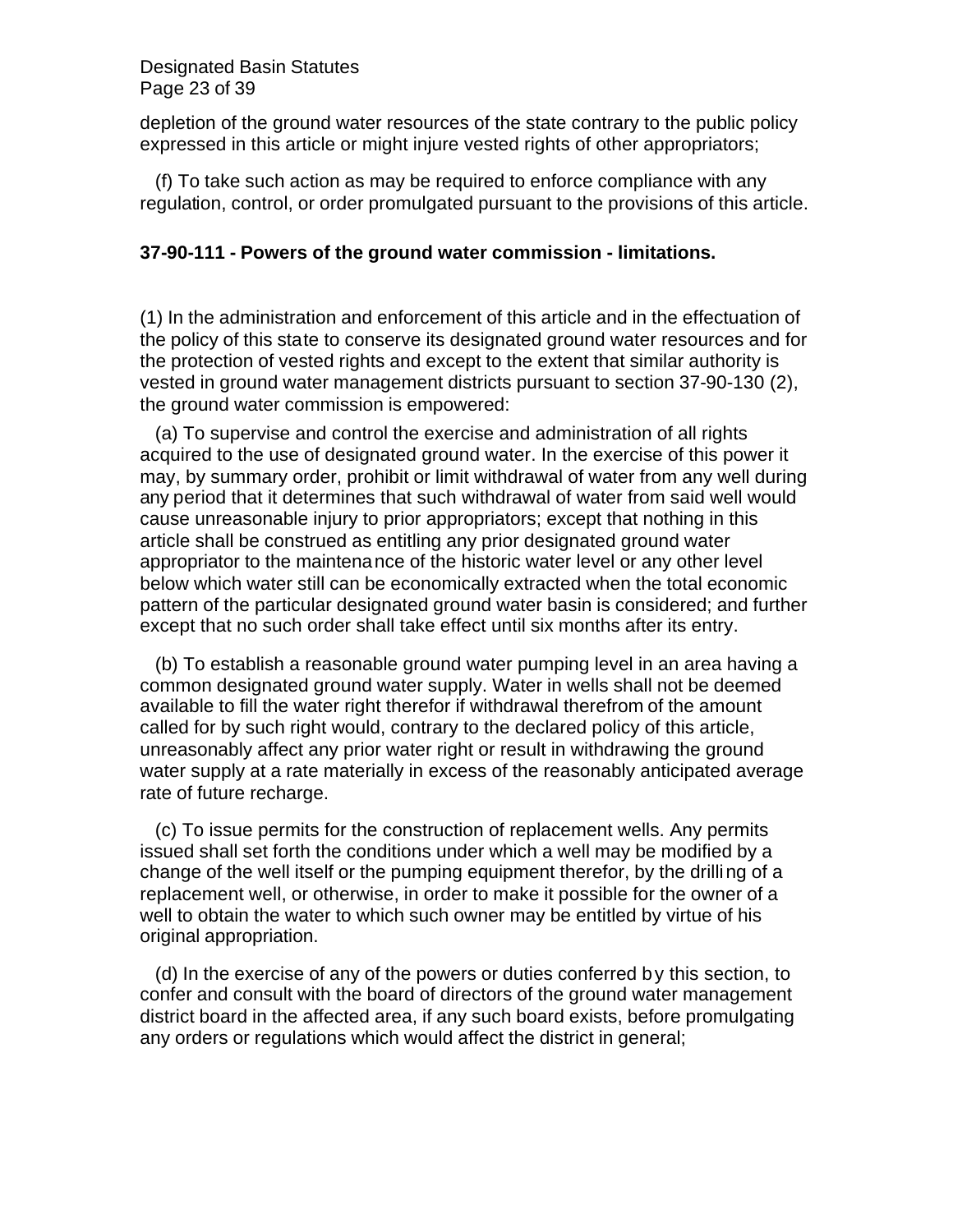#### Designated Basin Statutes Page 23 of 39

depletion of the ground water resources of the state contrary to the public policy expressed in this article or might injure vested rights of other appropriators;

 (f) To take such action as may be required to enforce compliance with any regulation, control, or order promulgated pursuant to the provisions of this article.

## **37-90-111 - Powers of the ground water commission - limitations.**

(1) In the administration and enforcement of this article and in the effectuation of the policy of this state to conserve its designated ground water resources and for the protection of vested rights and except to the extent that similar authority is vested in ground water management districts pursuant to section 37-90-130 (2), the ground water commission is empowered:

 (a) To supervise and control the exercise and administration of all rights acquired to the use of designated ground water. In the exercise of this power it may, by summary order, prohibit or limit withdrawal of water from any well during any period that it determines that such withdrawal of water from said well would cause unreasonable injury to prior appropriators; except that nothing in this article shall be construed as entitling any prior designated ground water appropriator to the maintenance of the historic water level or any other level below which water still can be economically extracted when the total economic pattern of the particular designated ground water basin is considered; and further except that no such order shall take effect until six months after its entry.

 (b) To establish a reasonable ground water pumping level in an area having a common designated ground water supply. Water in wells shall not be deemed available to fill the water right therefor if withdrawal therefrom of the amount called for by such right would, contrary to the declared policy of this article, unreasonably affect any prior water right or result in withdrawing the ground water supply at a rate materially in excess of the reasonably anticipated average rate of future recharge.

 (c) To issue permits for the construction of replacement wells. Any permits issued shall set forth the conditions under which a well may be modified by a change of the well itself or the pumping equipment therefor, by the drilling of a replacement well, or otherwise, in order to make it possible for the owner of a well to obtain the water to which such owner may be entitled by virtue of his original appropriation.

 (d) In the exercise of any of the powers or duties conferred by this section, to confer and consult with the board of directors of the ground water management district board in the affected area, if any such board exists, before promulgating any orders or regulations which would affect the district in general;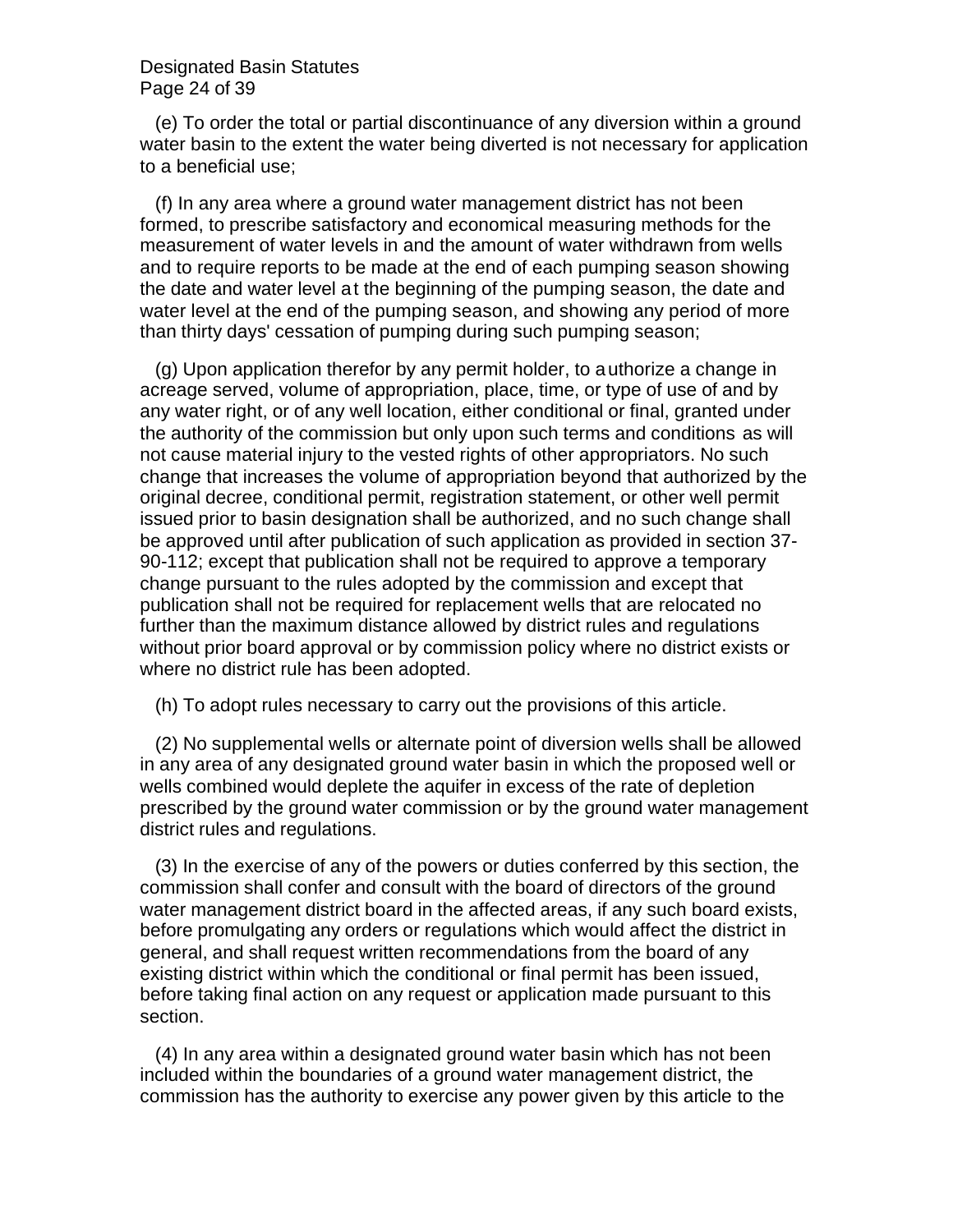#### Designated Basin Statutes Page 24 of 39

 (e) To order the total or partial discontinuance of any diversion within a ground water basin to the extent the water being diverted is not necessary for application to a beneficial use;

 (f) In any area where a ground water management district has not been formed, to prescribe satisfactory and economical measuring methods for the measurement of water levels in and the amount of water withdrawn from wells and to require reports to be made at the end of each pumping season showing the date and water level at the beginning of the pumping season, the date and water level at the end of the pumping season, and showing any period of more than thirty days' cessation of pumping during such pumping season;

 (g) Upon application therefor by any permit holder, to authorize a change in acreage served, volume of appropriation, place, time, or type of use of and by any water right, or of any well location, either conditional or final, granted under the authority of the commission but only upon such terms and conditions as will not cause material injury to the vested rights of other appropriators. No such change that increases the volume of appropriation beyond that authorized by the original decree, conditional permit, registration statement, or other well permit issued prior to basin designation shall be authorized, and no such change shall be approved until after publication of such application as provided in section 37- 90-112; except that publication shall not be required to approve a temporary change pursuant to the rules adopted by the commission and except that publication shall not be required for replacement wells that are relocated no further than the maximum distance allowed by district rules and regulations without prior board approval or by commission policy where no district exists or where no district rule has been adopted.

(h) To adopt rules necessary to carry out the provisions of this article.

 (2) No supplemental wells or alternate point of diversion wells shall be allowed in any area of any designated ground water basin in which the proposed well or wells combined would deplete the aquifer in excess of the rate of depletion prescribed by the ground water commission or by the ground water management district rules and regulations.

 (3) In the exercise of any of the powers or duties conferred by this section, the commission shall confer and consult with the board of directors of the ground water management district board in the affected areas, if any such board exists, before promulgating any orders or regulations which would affect the district in general, and shall request written recommendations from the board of any existing district within which the conditional or final permit has been issued, before taking final action on any request or application made pursuant to this section.

 (4) In any area within a designated ground water basin which has not been included within the boundaries of a ground water management district, the commission has the authority to exercise any power given by this article to the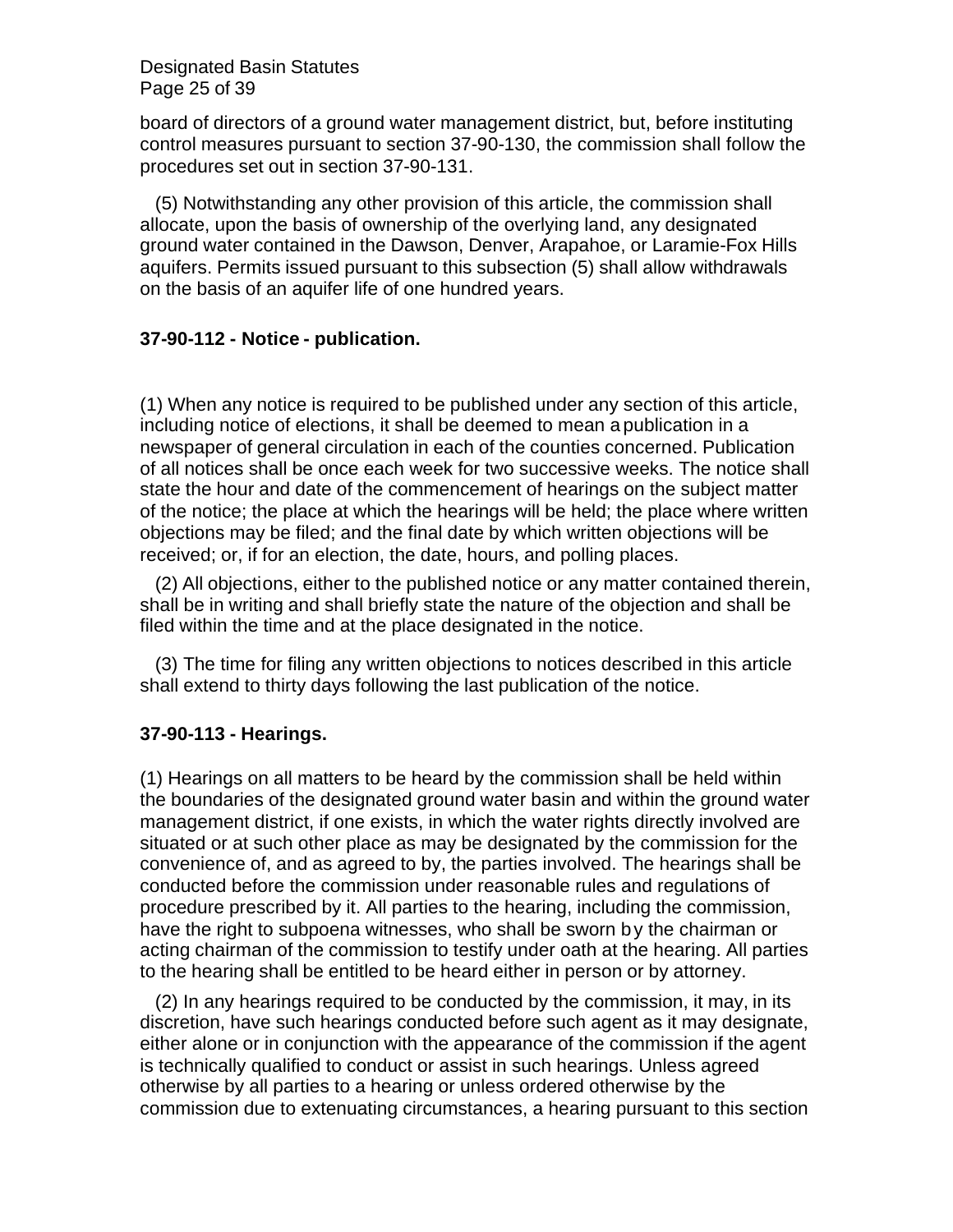#### Designated Basin Statutes Page 25 of 39

board of directors of a ground water management district, but, before instituting control measures pursuant to section 37-90-130, the commission shall follow the procedures set out in section 37-90-131.

 (5) Notwithstanding any other provision of this article, the commission shall allocate, upon the basis of ownership of the overlying land, any designated ground water contained in the Dawson, Denver, Arapahoe, or Laramie-Fox Hills aquifers. Permits issued pursuant to this subsection (5) shall allow withdrawals on the basis of an aquifer life of one hundred years.

### **37-90-112 - Notice - publication.**

(1) When any notice is required to be published under any section of this article, including notice of elections, it shall be deemed to mean a publication in a newspaper of general circulation in each of the counties concerned. Publication of all notices shall be once each week for two successive weeks. The notice shall state the hour and date of the commencement of hearings on the subject matter of the notice; the place at which the hearings will be held; the place where written objections may be filed; and the final date by which written objections will be received; or, if for an election, the date, hours, and polling places.

 (2) All objections, either to the published notice or any matter contained therein, shall be in writing and shall briefly state the nature of the objection and shall be filed within the time and at the place designated in the notice.

 (3) The time for filing any written objections to notices described in this article shall extend to thirty days following the last publication of the notice.

## **37-90-113 - Hearings.**

(1) Hearings on all matters to be heard by the commission shall be held within the boundaries of the designated ground water basin and within the ground water management district, if one exists, in which the water rights directly involved are situated or at such other place as may be designated by the commission for the convenience of, and as agreed to by, the parties involved. The hearings shall be conducted before the commission under reasonable rules and regulations of procedure prescribed by it. All parties to the hearing, including the commission, have the right to subpoena witnesses, who shall be sworn by the chairman or acting chairman of the commission to testify under oath at the hearing. All parties to the hearing shall be entitled to be heard either in person or by attorney.

 (2) In any hearings required to be conducted by the commission, it may, in its discretion, have such hearings conducted before such agent as it may designate, either alone or in conjunction with the appearance of the commission if the agent is technically qualified to conduct or assist in such hearings. Unless agreed otherwise by all parties to a hearing or unless ordered otherwise by the commission due to extenuating circumstances, a hearing pursuant to this section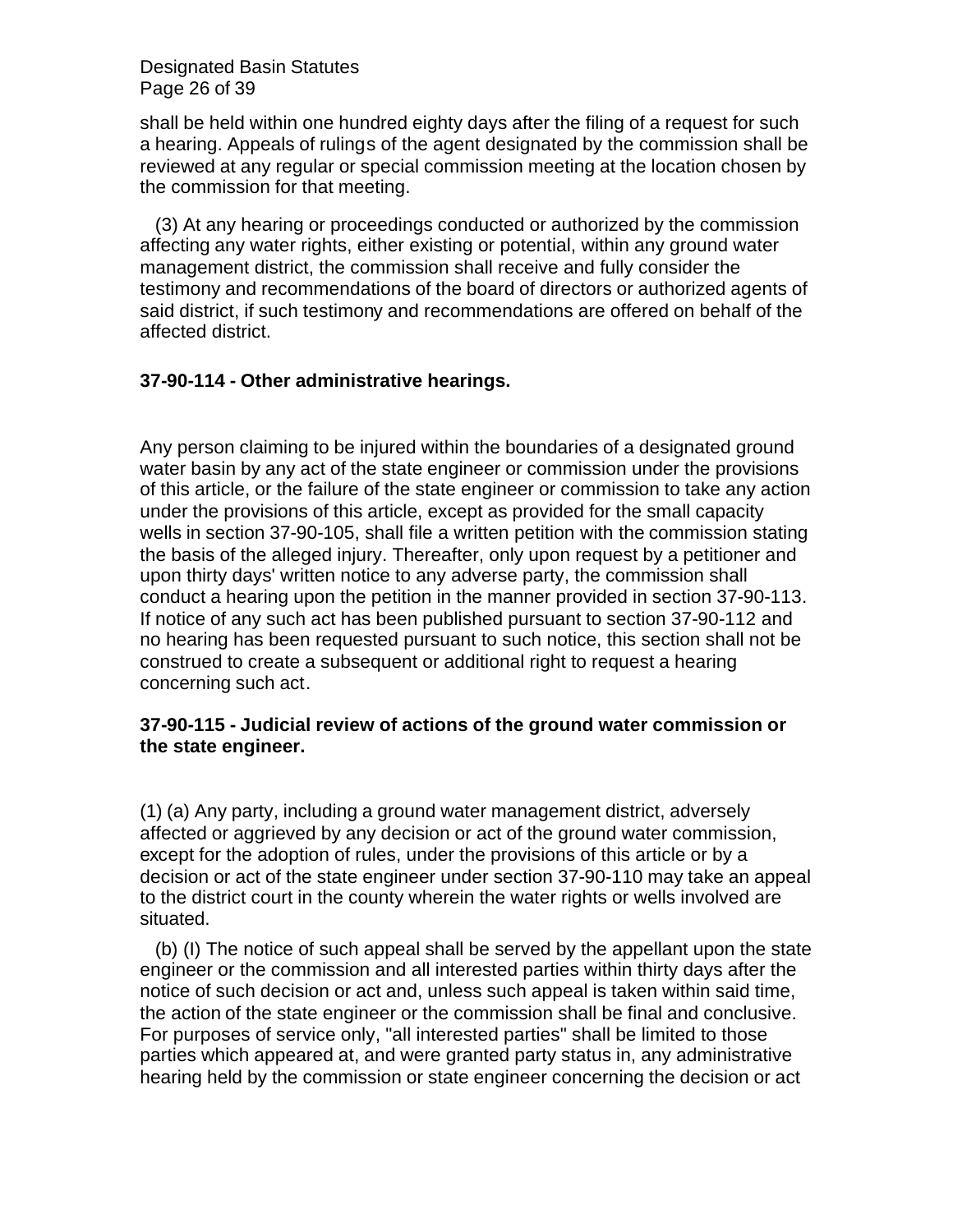Designated Basin Statutes Page 26 of 39

shall be held within one hundred eighty days after the filing of a request for such a hearing. Appeals of rulings of the agent designated by the commission shall be reviewed at any regular or special commission meeting at the location chosen by the commission for that meeting.

 (3) At any hearing or proceedings conducted or authorized by the commission affecting any water rights, either existing or potential, within any ground water management district, the commission shall receive and fully consider the testimony and recommendations of the board of directors or authorized agents of said district, if such testimony and recommendations are offered on behalf of the affected district.

## **37-90-114 - Other administrative hearings.**

Any person claiming to be injured within the boundaries of a designated ground water basin by any act of the state engineer or commission under the provisions of this article, or the failure of the state engineer or commission to take any action under the provisions of this article, except as provided for the small capacity wells in section 37-90-105, shall file a written petition with the commission stating the basis of the alleged injury. Thereafter, only upon request by a petitioner and upon thirty days' written notice to any adverse party, the commission shall conduct a hearing upon the petition in the manner provided in section 37-90-113. If notice of any such act has been published pursuant to section 37-90-112 and no hearing has been requested pursuant to such notice, this section shall not be construed to create a subsequent or additional right to request a hearing concerning such act.

### **37-90-115 - Judicial review of actions of the ground water commission or the state engineer.**

(1) (a) Any party, including a ground water management district, adversely affected or aggrieved by any decision or act of the ground water commission, except for the adoption of rules, under the provisions of this article or by a decision or act of the state engineer under section 37-90-110 may take an appeal to the district court in the county wherein the water rights or wells involved are situated.

 (b) (I) The notice of such appeal shall be served by the appellant upon the state engineer or the commission and all interested parties within thirty days after the notice of such decision or act and, unless such appeal is taken within said time, the action of the state engineer or the commission shall be final and conclusive. For purposes of service only, "all interested parties" shall be limited to those parties which appeared at, and were granted party status in, any administrative hearing held by the commission or state engineer concerning the decision or act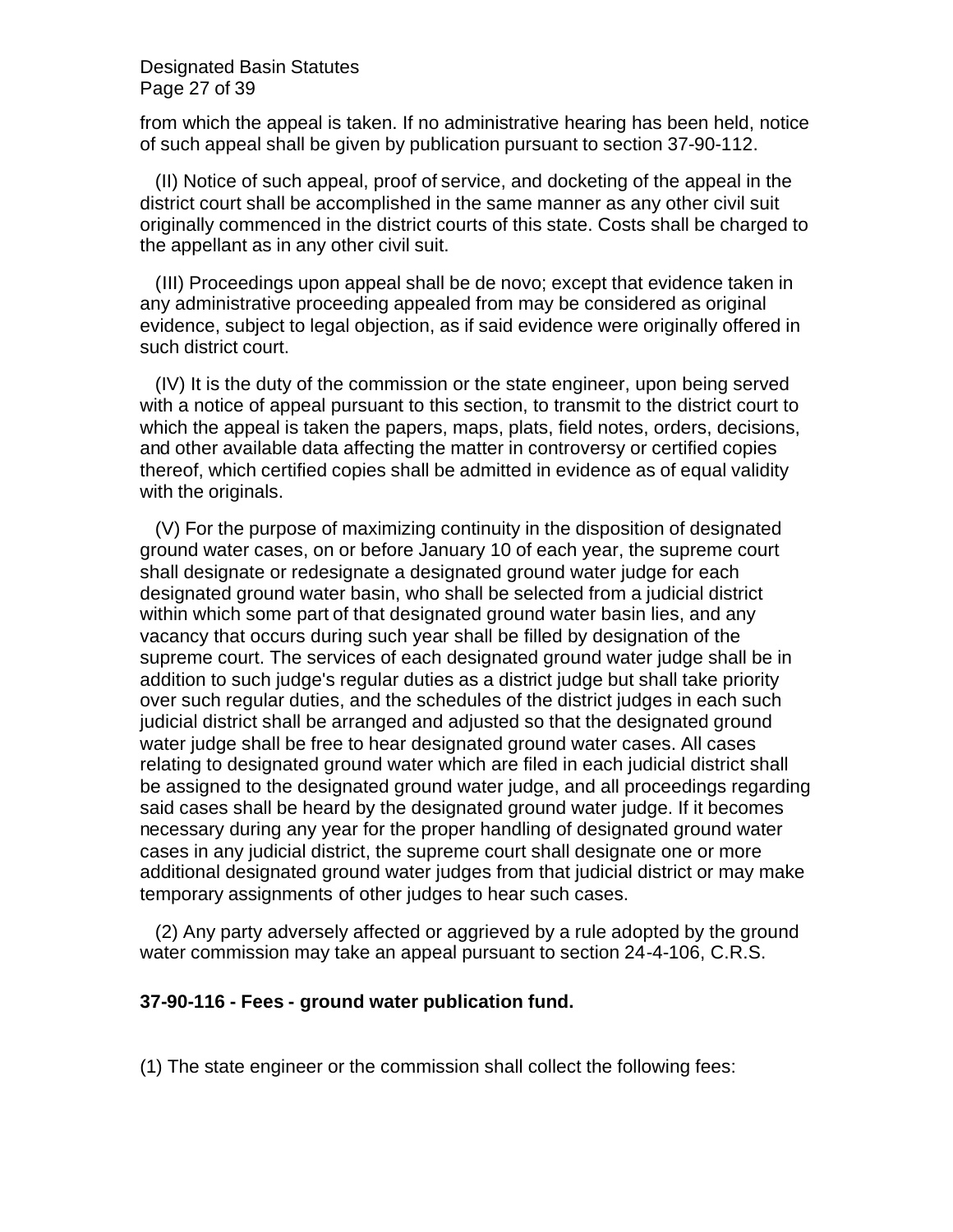#### Designated Basin Statutes Page 27 of 39

from which the appeal is taken. If no administrative hearing has been held, notice of such appeal shall be given by publication pursuant to section 37-90-112.

 (II) Notice of such appeal, proof of service, and docketing of the appeal in the district court shall be accomplished in the same manner as any other civil suit originally commenced in the district courts of this state. Costs shall be charged to the appellant as in any other civil suit.

 (III) Proceedings upon appeal shall be de novo; except that evidence taken in any administrative proceeding appealed from may be considered as original evidence, subject to legal objection, as if said evidence were originally offered in such district court.

 (IV) It is the duty of the commission or the state engineer, upon being served with a notice of appeal pursuant to this section, to transmit to the district court to which the appeal is taken the papers, maps, plats, field notes, orders, decisions, and other available data affecting the matter in controversy or certified copies thereof, which certified copies shall be admitted in evidence as of equal validity with the originals.

 (V) For the purpose of maximizing continuity in the disposition of designated ground water cases, on or before January 10 of each year, the supreme court shall designate or redesignate a designated ground water judge for each designated ground water basin, who shall be selected from a judicial district within which some part of that designated ground water basin lies, and any vacancy that occurs during such year shall be filled by designation of the supreme court. The services of each designated ground water judge shall be in addition to such judge's regular duties as a district judge but shall take priority over such regular duties, and the schedules of the district judges in each such judicial district shall be arranged and adjusted so that the designated ground water judge shall be free to hear designated ground water cases. All cases relating to designated ground water which are filed in each judicial district shall be assigned to the designated ground water judge, and all proceedings regarding said cases shall be heard by the designated ground water judge. If it becomes necessary during any year for the proper handling of designated ground water cases in any judicial district, the supreme court shall designate one or more additional designated ground water judges from that judicial district or may make temporary assignments of other judges to hear such cases.

 (2) Any party adversely affected or aggrieved by a rule adopted by the ground water commission may take an appeal pursuant to section 24-4-106, C.R.S.

#### **37-90-116 - Fees - ground water publication fund.**

(1) The state engineer or the commission shall collect the following fees: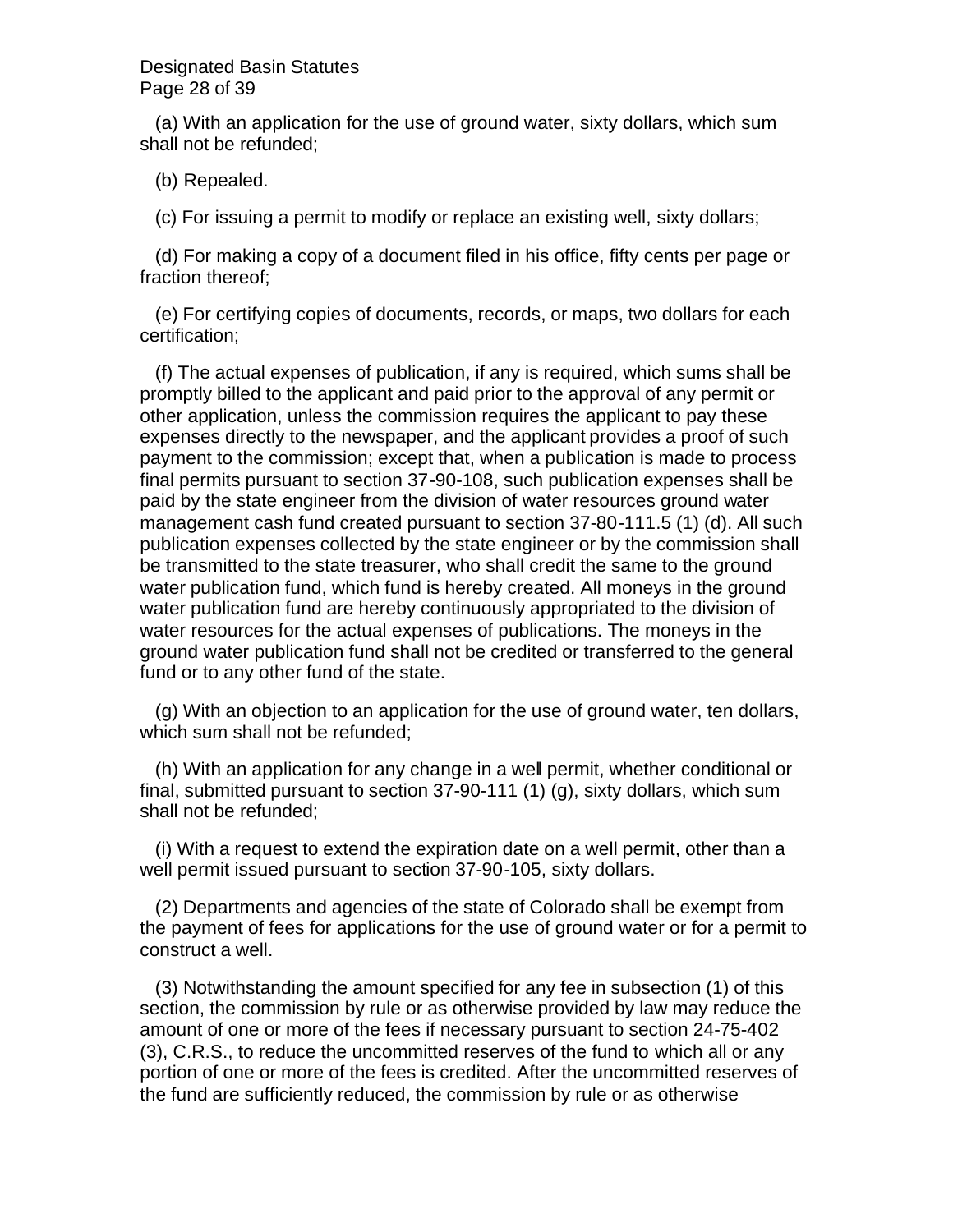#### Designated Basin Statutes Page 28 of 39

 (a) With an application for the use of ground water, sixty dollars, which sum shall not be refunded;

(b) Repealed.

(c) For issuing a permit to modify or replace an existing well, sixty dollars;

 (d) For making a copy of a document filed in his office, fifty cents per page or fraction thereof;

 (e) For certifying copies of documents, records, or maps, two dollars for each certification;

 (f) The actual expenses of publication, if any is required, which sums shall be promptly billed to the applicant and paid prior to the approval of any permit or other application, unless the commission requires the applicant to pay these expenses directly to the newspaper, and the applicant provides a proof of such payment to the commission; except that, when a publication is made to process final permits pursuant to section 37-90-108, such publication expenses shall be paid by the state engineer from the division of water resources ground water management cash fund created pursuant to section 37-80-111.5 (1) (d). All such publication expenses collected by the state engineer or by the commission shall be transmitted to the state treasurer, who shall credit the same to the ground water publication fund, which fund is hereby created. All moneys in the ground water publication fund are hereby continuously appropriated to the division of water resources for the actual expenses of publications. The moneys in the ground water publication fund shall not be credited or transferred to the general fund or to any other fund of the state.

 (g) With an objection to an application for the use of ground water, ten dollars, which sum shall not be refunded;

 (h) With an application for any change in a well permit, whether conditional or final, submitted pursuant to section 37-90-111 (1) (g), sixty dollars, which sum shall not be refunded;

 (i) With a request to extend the expiration date on a well permit, other than a well permit issued pursuant to section 37-90-105, sixty dollars.

 (2) Departments and agencies of the state of Colorado shall be exempt from the payment of fees for applications for the use of ground water or for a permit to construct a well.

 (3) Notwithstanding the amount specified for any fee in subsection (1) of this section, the commission by rule or as otherwise provided by law may reduce the amount of one or more of the fees if necessary pursuant to section 24-75-402 (3), C.R.S., to reduce the uncommitted reserves of the fund to which all or any portion of one or more of the fees is credited. After the uncommitted reserves of the fund are sufficiently reduced, the commission by rule or as otherwise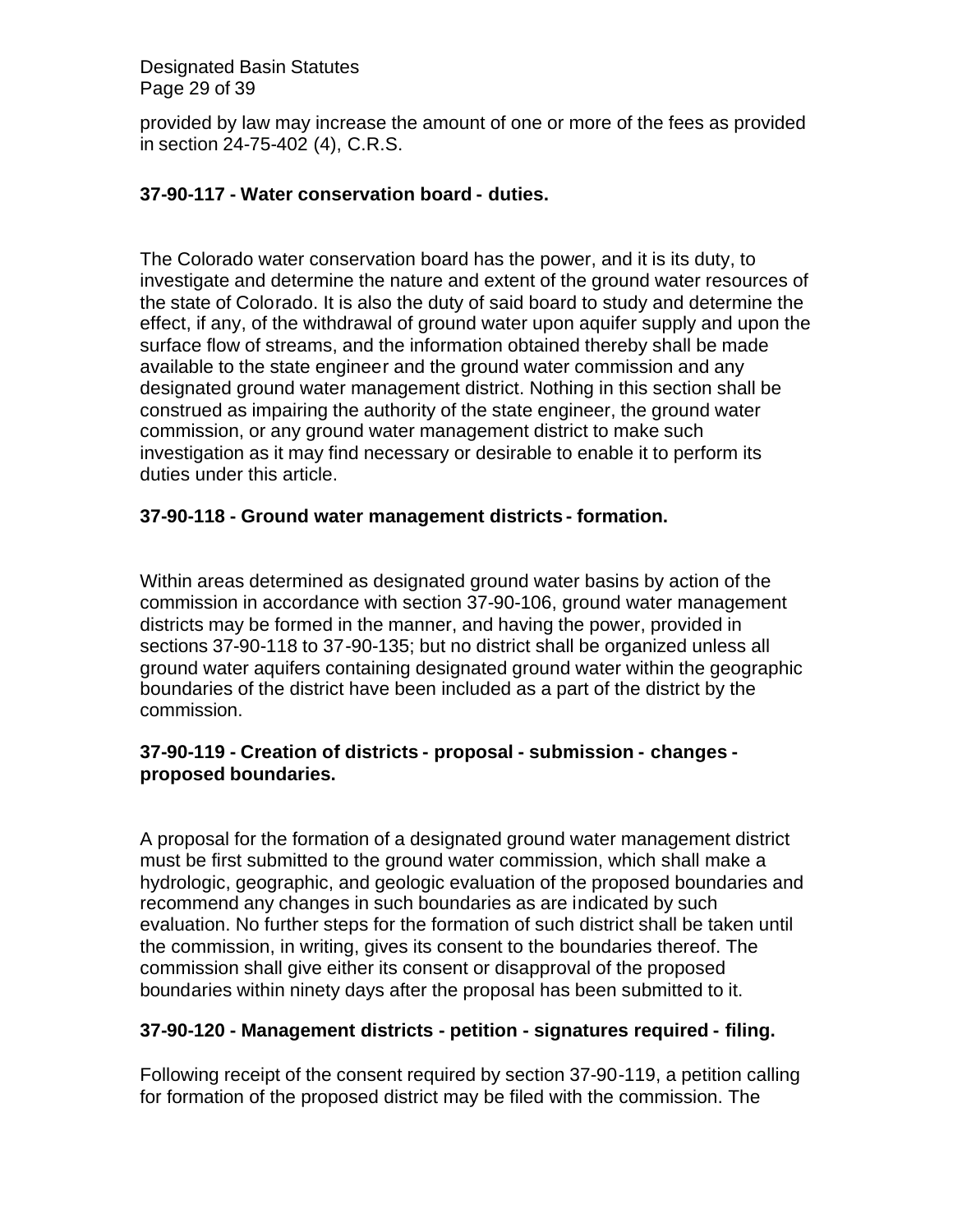Designated Basin Statutes Page 29 of 39

provided by law may increase the amount of one or more of the fees as provided in section 24-75-402 (4), C.R.S.

## **37-90-117 - Water conservation board - duties.**

The Colorado water conservation board has the power, and it is its duty, to investigate and determine the nature and extent of the ground water resources of the state of Colorado. It is also the duty of said board to study and determine the effect, if any, of the withdrawal of ground water upon aquifer supply and upon the surface flow of streams, and the information obtained thereby shall be made available to the state engineer and the ground water commission and any designated ground water management district. Nothing in this section shall be construed as impairing the authority of the state engineer, the ground water commission, or any ground water management district to make such investigation as it may find necessary or desirable to enable it to perform its duties under this article.

## **37-90-118 - Ground water management districts - formation.**

Within areas determined as designated ground water basins by action of the commission in accordance with section 37-90-106, ground water management districts may be formed in the manner, and having the power, provided in sections 37-90-118 to 37-90-135; but no district shall be organized unless all ground water aquifers containing designated ground water within the geographic boundaries of the district have been included as a part of the district by the commission.

## **37-90-119 - Creation of districts - proposal - submission - changes proposed boundaries.**

A proposal for the formation of a designated ground water management district must be first submitted to the ground water commission, which shall make a hydrologic, geographic, and geologic evaluation of the proposed boundaries and recommend any changes in such boundaries as are indicated by such evaluation. No further steps for the formation of such district shall be taken until the commission, in writing, gives its consent to the boundaries thereof. The commission shall give either its consent or disapproval of the proposed boundaries within ninety days after the proposal has been submitted to it.

## **37-90-120 - Management districts - petition - signatures required - filing.**

Following receipt of the consent required by section 37-90-119, a petition calling for formation of the proposed district may be filed with the commission. The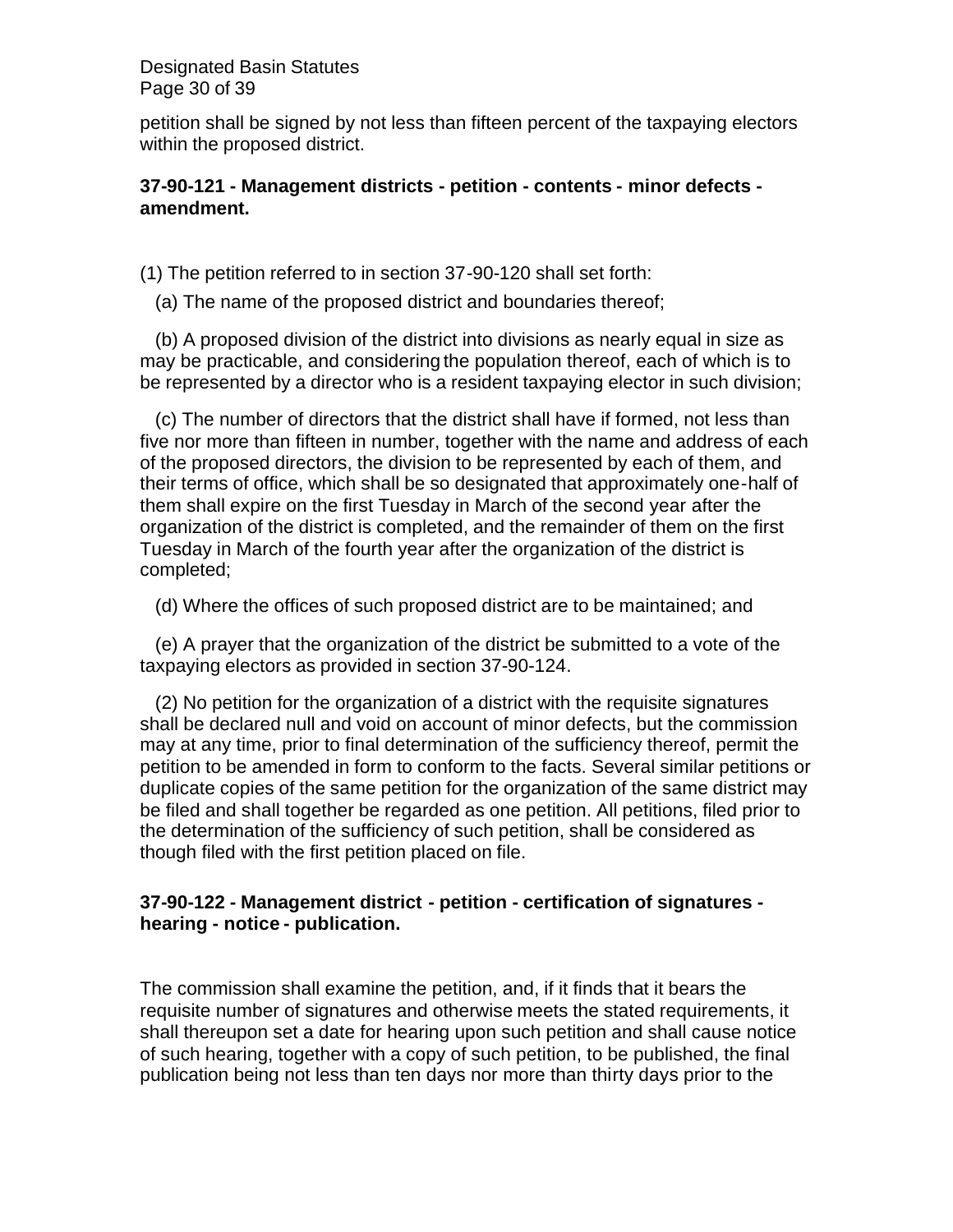Designated Basin Statutes Page 30 of 39

petition shall be signed by not less than fifteen percent of the taxpaying electors within the proposed district.

## **37-90-121 - Management districts - petition - contents - minor defects amendment.**

(1) The petition referred to in section 37-90-120 shall set forth:

(a) The name of the proposed district and boundaries thereof;

 (b) A proposed division of the district into divisions as nearly equal in size as may be practicable, and considering the population thereof, each of which is to be represented by a director who is a resident taxpaying elector in such division;

 (c) The number of directors that the district shall have if formed, not less than five nor more than fifteen in number, together with the name and address of each of the proposed directors, the division to be represented by each of them, and their terms of office, which shall be so designated that approximately one-half of them shall expire on the first Tuesday in March of the second year after the organization of the district is completed, and the remainder of them on the first Tuesday in March of the fourth year after the organization of the district is completed;

(d) Where the offices of such proposed district are to be maintained; and

 (e) A prayer that the organization of the district be submitted to a vote of the taxpaying electors as provided in section 37-90-124.

 (2) No petition for the organization of a district with the requisite signatures shall be declared null and void on account of minor defects, but the commission may at any time, prior to final determination of the sufficiency thereof, permit the petition to be amended in form to conform to the facts. Several similar petitions or duplicate copies of the same petition for the organization of the same district may be filed and shall together be regarded as one petition. All petitions, filed prior to the determination of the sufficiency of such petition, shall be considered as though filed with the first petition placed on file.

## **37-90-122 - Management district - petition - certification of signatures hearing - notice - publication.**

The commission shall examine the petition, and, if it finds that it bears the requisite number of signatures and otherwise meets the stated requirements, it shall thereupon set a date for hearing upon such petition and shall cause notice of such hearing, together with a copy of such petition, to be published, the final publication being not less than ten days nor more than thirty days prior to the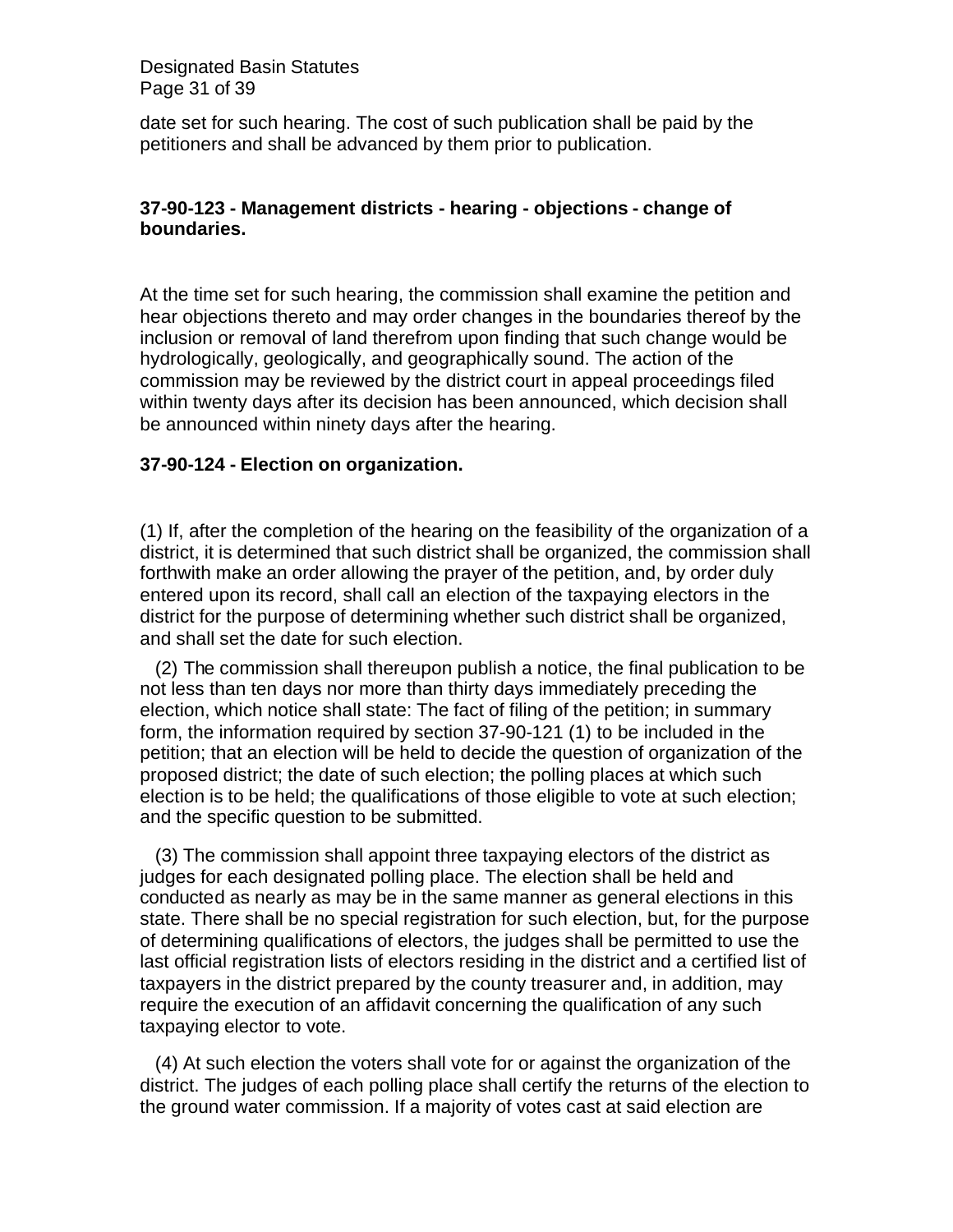Designated Basin Statutes Page 31 of 39

date set for such hearing. The cost of such publication shall be paid by the petitioners and shall be advanced by them prior to publication.

## **37-90-123 - Management districts - hearing - objections - change of boundaries.**

At the time set for such hearing, the commission shall examine the petition and hear objections thereto and may order changes in the boundaries thereof by the inclusion or removal of land therefrom upon finding that such change would be hydrologically, geologically, and geographically sound. The action of the commission may be reviewed by the district court in appeal proceedings filed within twenty days after its decision has been announced, which decision shall be announced within ninety days after the hearing.

## **37-90-124 - Election on organization.**

(1) If, after the completion of the hearing on the feasibility of the organization of a district, it is determined that such district shall be organized, the commission shall forthwith make an order allowing the prayer of the petition, and, by order duly entered upon its record, shall call an election of the taxpaying electors in the district for the purpose of determining whether such district shall be organized, and shall set the date for such election.

 (2) The commission shall thereupon publish a notice, the final publication to be not less than ten days nor more than thirty days immediately preceding the election, which notice shall state: The fact of filing of the petition; in summary form, the information required by section 37-90-121 (1) to be included in the petition; that an election will be held to decide the question of organization of the proposed district; the date of such election; the polling places at which such election is to be held; the qualifications of those eligible to vote at such election; and the specific question to be submitted.

 (3) The commission shall appoint three taxpaying electors of the district as judges for each designated polling place. The election shall be held and conducted as nearly as may be in the same manner as general elections in this state. There shall be no special registration for such election, but, for the purpose of determining qualifications of electors, the judges shall be permitted to use the last official registration lists of electors residing in the district and a certified list of taxpayers in the district prepared by the county treasurer and, in addition, may require the execution of an affidavit concerning the qualification of any such taxpaying elector to vote.

 (4) At such election the voters shall vote for or against the organization of the district. The judges of each polling place shall certify the returns of the election to the ground water commission. If a majority of votes cast at said election are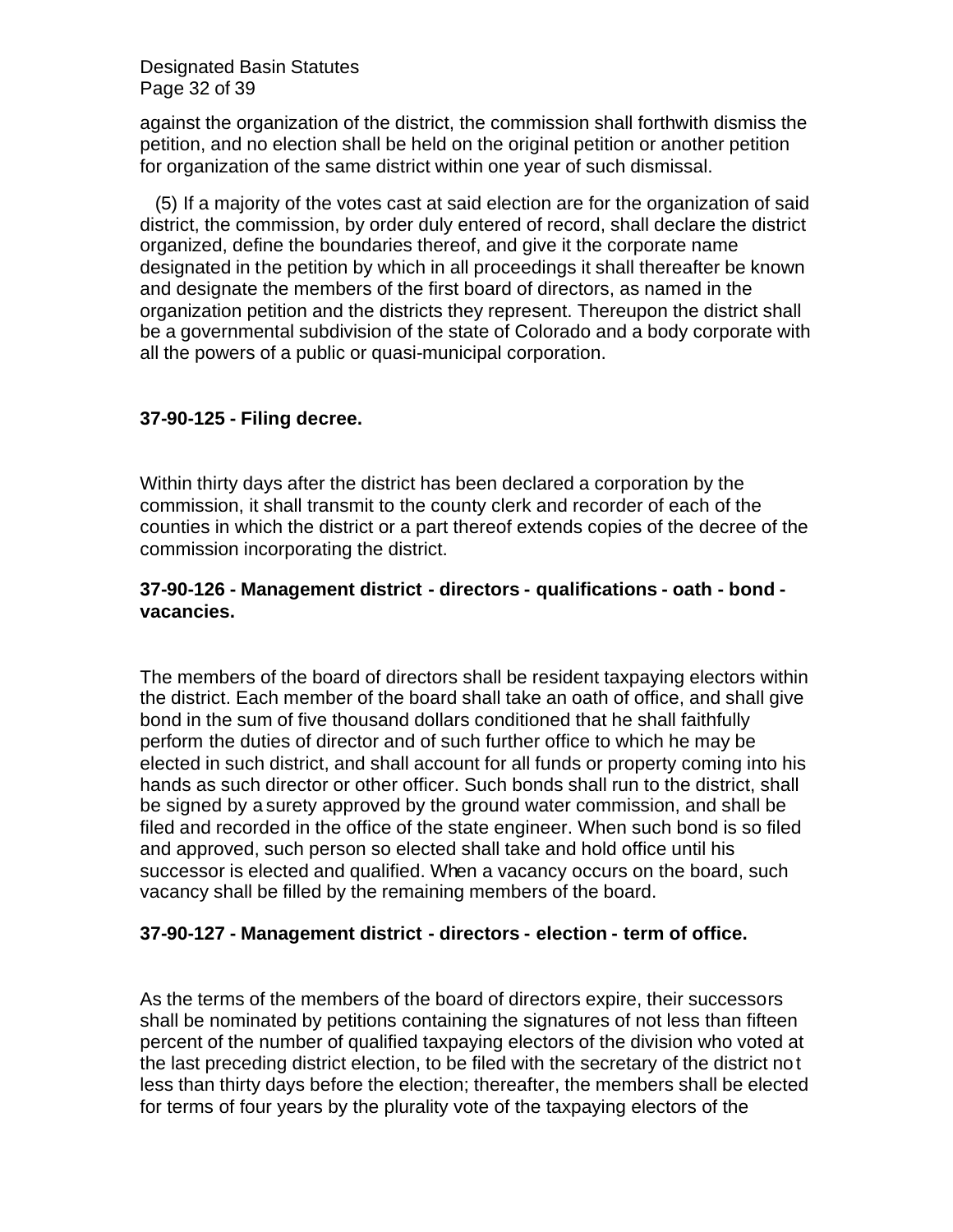Designated Basin Statutes Page 32 of 39

against the organization of the district, the commission shall forthwith dismiss the petition, and no election shall be held on the original petition or another petition for organization of the same district within one year of such dismissal.

 (5) If a majority of the votes cast at said election are for the organization of said district, the commission, by order duly entered of record, shall declare the district organized, define the boundaries thereof, and give it the corporate name designated in the petition by which in all proceedings it shall thereafter be known and designate the members of the first board of directors, as named in the organization petition and the districts they represent. Thereupon the district shall be a governmental subdivision of the state of Colorado and a body corporate with all the powers of a public or quasi-municipal corporation.

## **37-90-125 - Filing decree.**

Within thirty days after the district has been declared a corporation by the commission, it shall transmit to the county clerk and recorder of each of the counties in which the district or a part thereof extends copies of the decree of the commission incorporating the district.

## **37-90-126 - Management district - directors - qualifications - oath - bond vacancies.**

The members of the board of directors shall be resident taxpaying electors within the district. Each member of the board shall take an oath of office, and shall give bond in the sum of five thousand dollars conditioned that he shall faithfully perform the duties of director and of such further office to which he may be elected in such district, and shall account for all funds or property coming into his hands as such director or other officer. Such bonds shall run to the district, shall be signed by a surety approved by the ground water commission, and shall be filed and recorded in the office of the state engineer. When such bond is so filed and approved, such person so elected shall take and hold office until his successor is elected and qualified. When a vacancy occurs on the board, such vacancy shall be filled by the remaining members of the board.

## **37-90-127 - Management district - directors - election - term of office.**

As the terms of the members of the board of directors expire, their successors shall be nominated by petitions containing the signatures of not less than fifteen percent of the number of qualified taxpaying electors of the division who voted at the last preceding district election, to be filed with the secretary of the district not less than thirty days before the election; thereafter, the members shall be elected for terms of four years by the plurality vote of the taxpaying electors of the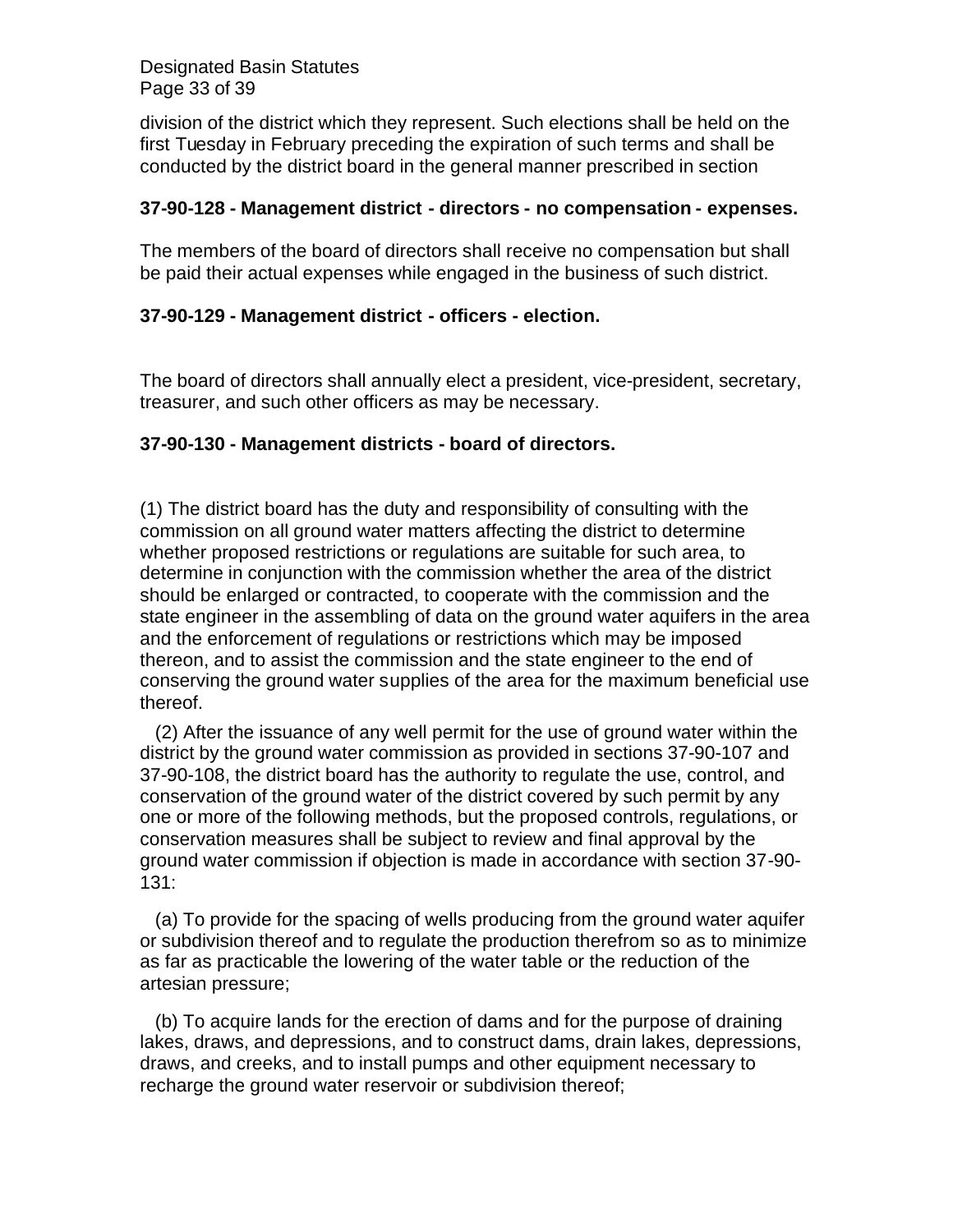Designated Basin Statutes Page 33 of 39

division of the district which they represent. Such elections shall be held on the first Tuesday in February preceding the expiration of such terms and shall be conducted by the district board in the general manner prescribed in section

### **37-90-128 - Management district - directors - no compensation - expenses.**

The members of the board of directors shall receive no compensation but shall be paid their actual expenses while engaged in the business of such district.

## **37-90-129 - Management district - officers - election.**

The board of directors shall annually elect a president, vice-president, secretary, treasurer, and such other officers as may be necessary.

## **37-90-130 - Management districts - board of directors.**

(1) The district board has the duty and responsibility of consulting with the commission on all ground water matters affecting the district to determine whether proposed restrictions or regulations are suitable for such area, to determine in conjunction with the commission whether the area of the district should be enlarged or contracted, to cooperate with the commission and the state engineer in the assembling of data on the ground water aquifers in the area and the enforcement of regulations or restrictions which may be imposed thereon, and to assist the commission and the state engineer to the end of conserving the ground water supplies of the area for the maximum beneficial use thereof.

 (2) After the issuance of any well permit for the use of ground water within the district by the ground water commission as provided in sections 37-90-107 and 37-90-108, the district board has the authority to regulate the use, control, and conservation of the ground water of the district covered by such permit by any one or more of the following methods, but the proposed controls, regulations, or conservation measures shall be subject to review and final approval by the ground water commission if objection is made in accordance with section 37-90- 131:

 (a) To provide for the spacing of wells producing from the ground water aquifer or subdivision thereof and to regulate the production therefrom so as to minimize as far as practicable the lowering of the water table or the reduction of the artesian pressure;

 (b) To acquire lands for the erection of dams and for the purpose of draining lakes, draws, and depressions, and to construct dams, drain lakes, depressions, draws, and creeks, and to install pumps and other equipment necessary to recharge the ground water reservoir or subdivision thereof;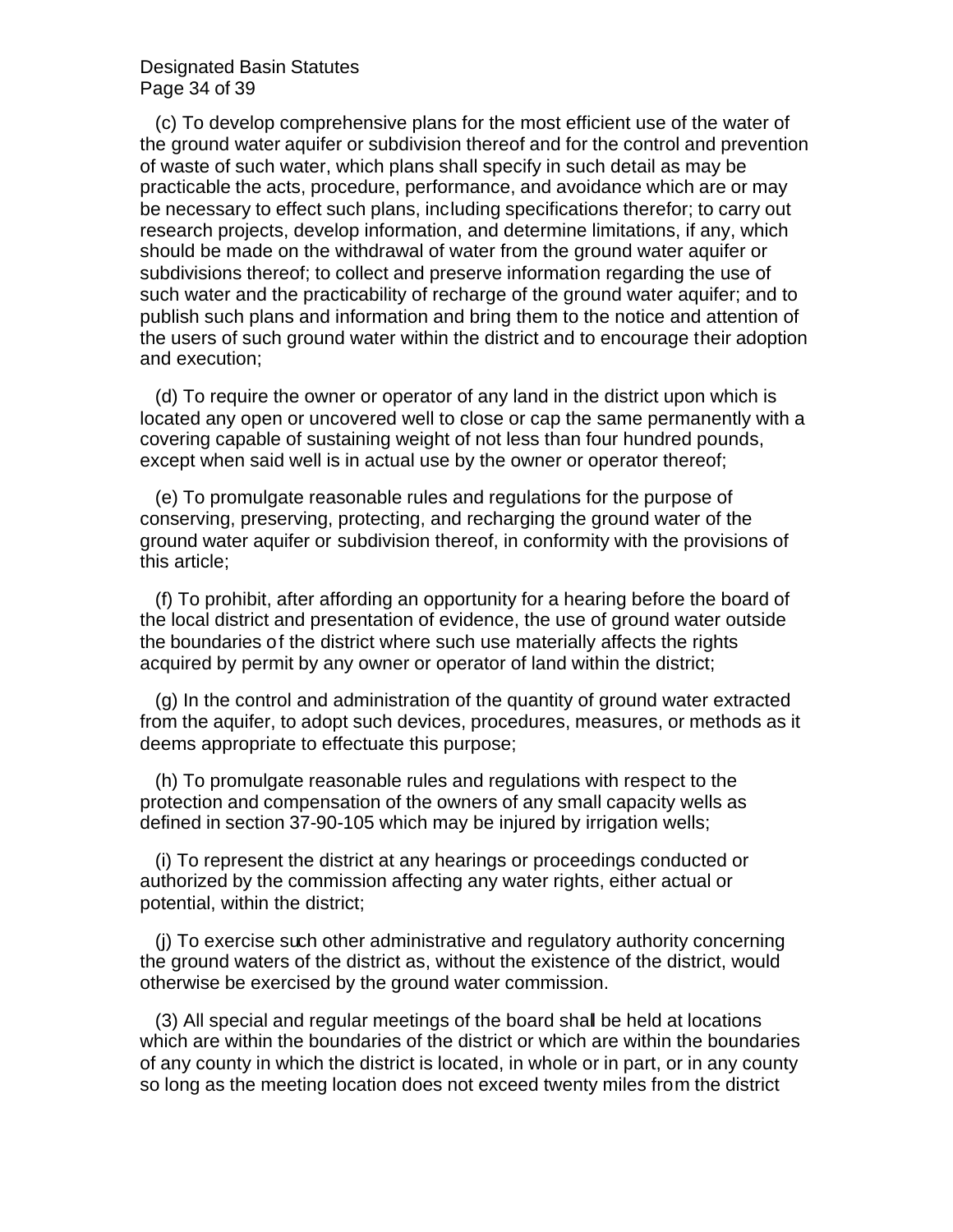#### Designated Basin Statutes Page 34 of 39

 (c) To develop comprehensive plans for the most efficient use of the water of the ground water aquifer or subdivision thereof and for the control and prevention of waste of such water, which plans shall specify in such detail as may be practicable the acts, procedure, performance, and avoidance which are or may be necessary to effect such plans, including specifications therefor; to carry out research projects, develop information, and determine limitations, if any, which should be made on the withdrawal of water from the ground water aquifer or subdivisions thereof; to collect and preserve information regarding the use of such water and the practicability of recharge of the ground water aquifer; and to publish such plans and information and bring them to the notice and attention of the users of such ground water within the district and to encourage their adoption and execution;

 (d) To require the owner or operator of any land in the district upon which is located any open or uncovered well to close or cap the same permanently with a covering capable of sustaining weight of not less than four hundred pounds, except when said well is in actual use by the owner or operator thereof;

 (e) To promulgate reasonable rules and regulations for the purpose of conserving, preserving, protecting, and recharging the ground water of the ground water aquifer or subdivision thereof, in conformity with the provisions of this article;

 (f) To prohibit, after affording an opportunity for a hearing before the board of the local district and presentation of evidence, the use of ground water outside the boundaries of the district where such use materially affects the rights acquired by permit by any owner or operator of land within the district;

 (g) In the control and administration of the quantity of ground water extracted from the aquifer, to adopt such devices, procedures, measures, or methods as it deems appropriate to effectuate this purpose;

 (h) To promulgate reasonable rules and regulations with respect to the protection and compensation of the owners of any small capacity wells as defined in section 37-90-105 which may be injured by irrigation wells;

 (i) To represent the district at any hearings or proceedings conducted or authorized by the commission affecting any water rights, either actual or potential, within the district;

 (j) To exercise such other administrative and regulatory authority concerning the ground waters of the district as, without the existence of the district, would otherwise be exercised by the ground water commission.

 (3) All special and regular meetings of the board shall be held at locations which are within the boundaries of the district or which are within the boundaries of any county in which the district is located, in whole or in part, or in any county so long as the meeting location does not exceed twenty miles from the district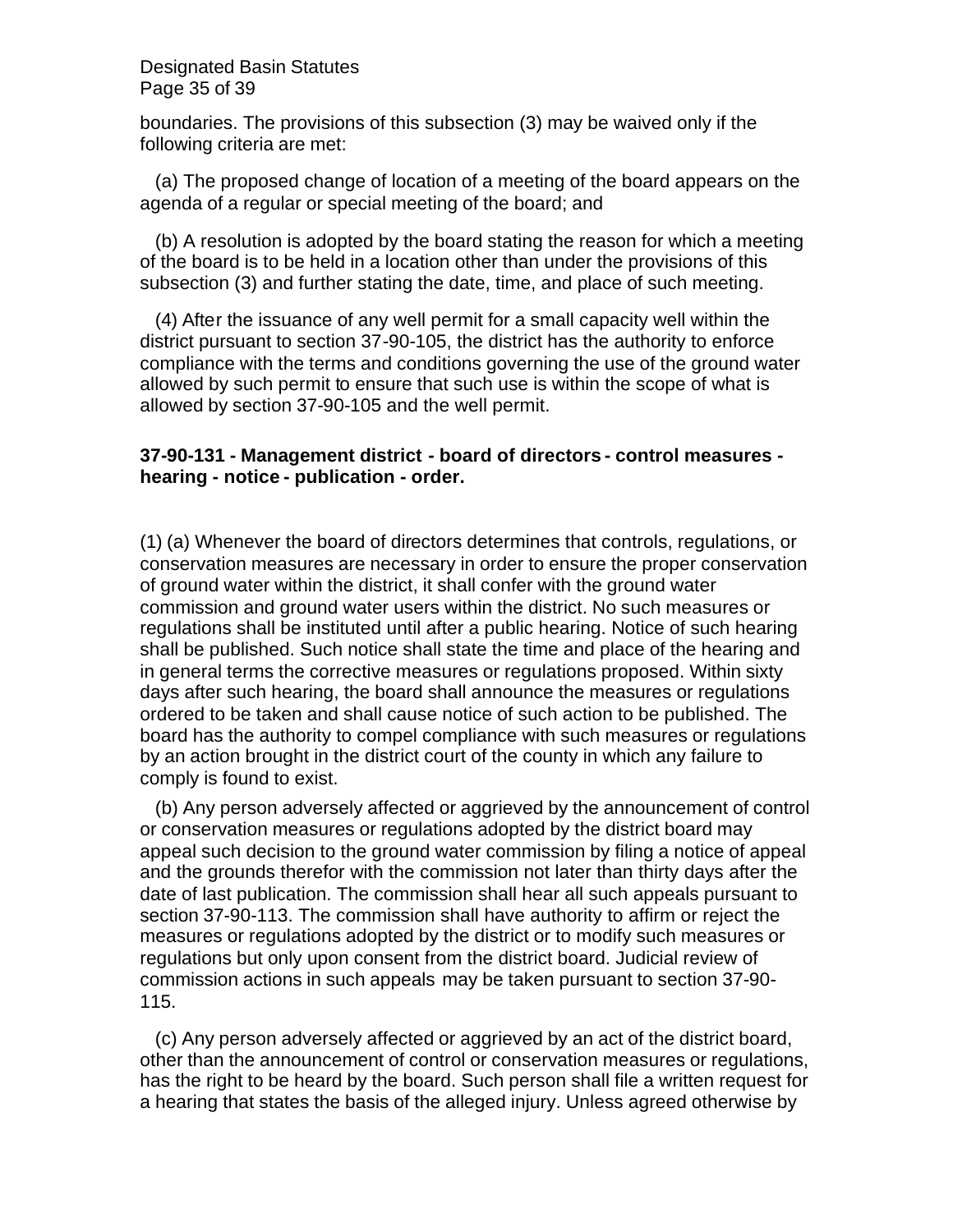Designated Basin Statutes Page 35 of 39

boundaries. The provisions of this subsection (3) may be waived only if the following criteria are met:

 (a) The proposed change of location of a meeting of the board appears on the agenda of a regular or special meeting of the board; and

 (b) A resolution is adopted by the board stating the reason for which a meeting of the board is to be held in a location other than under the provisions of this subsection (3) and further stating the date, time, and place of such meeting.

 (4) After the issuance of any well permit for a small capacity well within the district pursuant to section 37-90-105, the district has the authority to enforce compliance with the terms and conditions governing the use of the ground water allowed by such permit to ensure that such use is within the scope of what is allowed by section 37-90-105 and the well permit.

### **37-90-131 - Management district - board of directors - control measures hearing - notice - publication - order.**

(1) (a) Whenever the board of directors determines that controls, regulations, or conservation measures are necessary in order to ensure the proper conservation of ground water within the district, it shall confer with the ground water commission and ground water users within the district. No such measures or regulations shall be instituted until after a public hearing. Notice of such hearing shall be published. Such notice shall state the time and place of the hearing and in general terms the corrective measures or regulations proposed. Within sixty days after such hearing, the board shall announce the measures or regulations ordered to be taken and shall cause notice of such action to be published. The board has the authority to compel compliance with such measures or regulations by an action brought in the district court of the county in which any failure to comply is found to exist.

 (b) Any person adversely affected or aggrieved by the announcement of control or conservation measures or regulations adopted by the district board may appeal such decision to the ground water commission by filing a notice of appeal and the grounds therefor with the commission not later than thirty days after the date of last publication. The commission shall hear all such appeals pursuant to section 37-90-113. The commission shall have authority to affirm or reject the measures or regulations adopted by the district or to modify such measures or regulations but only upon consent from the district board. Judicial review of commission actions in such appeals may be taken pursuant to section 37-90- 115.

 (c) Any person adversely affected or aggrieved by an act of the district board, other than the announcement of control or conservation measures or regulations, has the right to be heard by the board. Such person shall file a written request for a hearing that states the basis of the alleged injury. Unless agreed otherwise by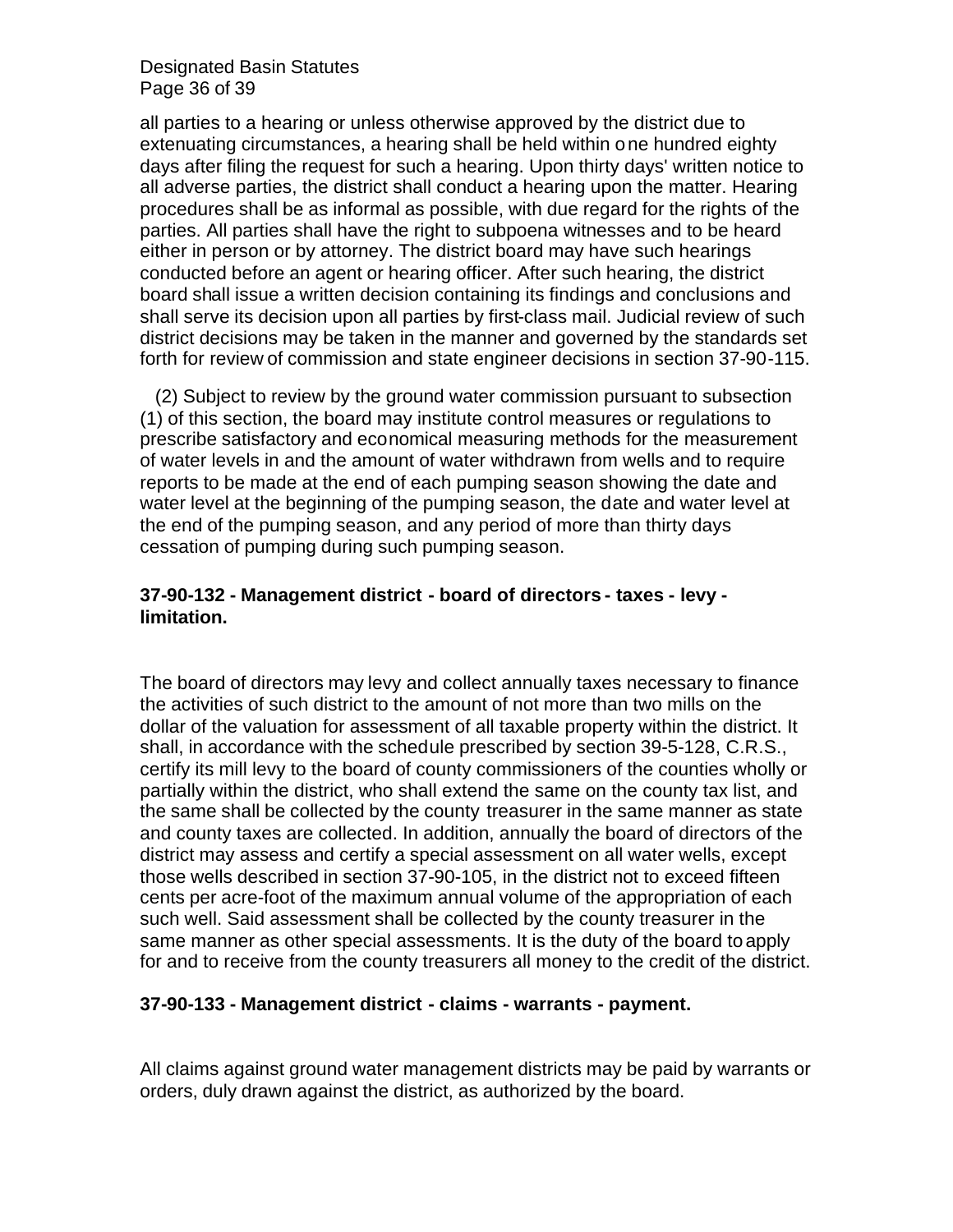#### Designated Basin Statutes Page 36 of 39

all parties to a hearing or unless otherwise approved by the district due to extenuating circumstances, a hearing shall be held within one hundred eighty days after filing the request for such a hearing. Upon thirty days' written notice to all adverse parties, the district shall conduct a hearing upon the matter. Hearing procedures shall be as informal as possible, with due regard for the rights of the parties. All parties shall have the right to subpoena witnesses and to be heard either in person or by attorney. The district board may have such hearings conducted before an agent or hearing officer. After such hearing, the district board shall issue a written decision containing its findings and conclusions and shall serve its decision upon all parties by first-class mail. Judicial review of such district decisions may be taken in the manner and governed by the standards set forth for review of commission and state engineer decisions in section 37-90-115.

 (2) Subject to review by the ground water commission pursuant to subsection (1) of this section, the board may institute control measures or regulations to prescribe satisfactory and economical measuring methods for the measurement of water levels in and the amount of water withdrawn from wells and to require reports to be made at the end of each pumping season showing the date and water level at the beginning of the pumping season, the date and water level at the end of the pumping season, and any period of more than thirty days cessation of pumping during such pumping season.

## **37-90-132 - Management district - board of directors - taxes - levy limitation.**

The board of directors may levy and collect annually taxes necessary to finance the activities of such district to the amount of not more than two mills on the dollar of the valuation for assessment of all taxable property within the district. It shall, in accordance with the schedule prescribed by section 39-5-128, C.R.S., certify its mill levy to the board of county commissioners of the counties wholly or partially within the district, who shall extend the same on the county tax list, and the same shall be collected by the county treasurer in the same manner as state and county taxes are collected. In addition, annually the board of directors of the district may assess and certify a special assessment on all water wells, except those wells described in section 37-90-105, in the district not to exceed fifteen cents per acre-foot of the maximum annual volume of the appropriation of each such well. Said assessment shall be collected by the county treasurer in the same manner as other special assessments. It is the duty of the board to apply for and to receive from the county treasurers all money to the credit of the district.

## **37-90-133 - Management district - claims - warrants - payment.**

All claims against ground water management districts may be paid by warrants or orders, duly drawn against the district, as authorized by the board.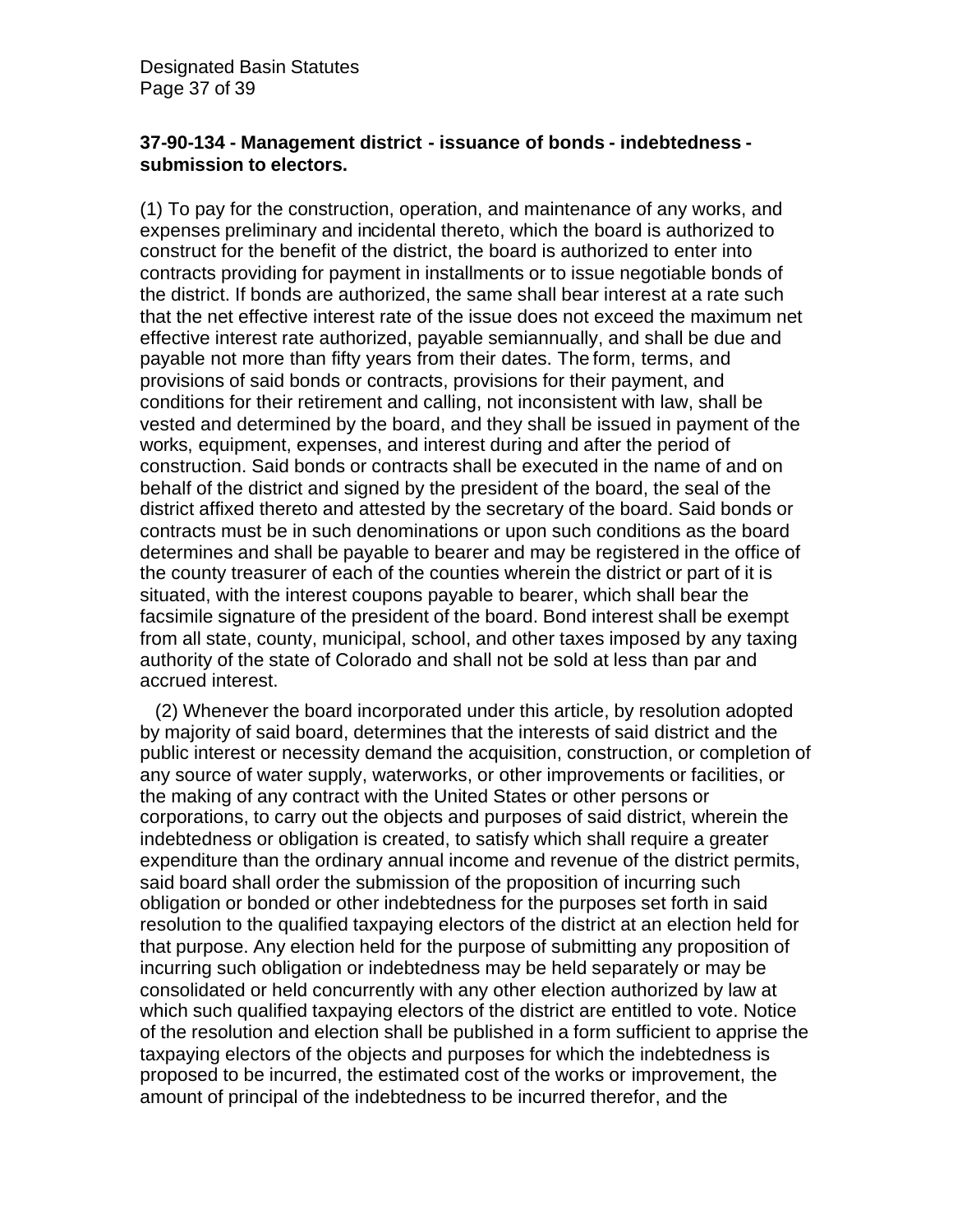## **37-90-134 - Management district - issuance of bonds - indebtedness submission to electors.**

(1) To pay for the construction, operation, and maintenance of any works, and expenses preliminary and incidental thereto, which the board is authorized to construct for the benefit of the district, the board is authorized to enter into contracts providing for payment in installments or to issue negotiable bonds of the district. If bonds are authorized, the same shall bear interest at a rate such that the net effective interest rate of the issue does not exceed the maximum net effective interest rate authorized, payable semiannually, and shall be due and payable not more than fifty years from their dates. The form, terms, and provisions of said bonds or contracts, provisions for their payment, and conditions for their retirement and calling, not inconsistent with law, shall be vested and determined by the board, and they shall be issued in payment of the works, equipment, expenses, and interest during and after the period of construction. Said bonds or contracts shall be executed in the name of and on behalf of the district and signed by the president of the board, the seal of the district affixed thereto and attested by the secretary of the board. Said bonds or contracts must be in such denominations or upon such conditions as the board determines and shall be payable to bearer and may be registered in the office of the county treasurer of each of the counties wherein the district or part of it is situated, with the interest coupons payable to bearer, which shall bear the facsimile signature of the president of the board. Bond interest shall be exempt from all state, county, municipal, school, and other taxes imposed by any taxing authority of the state of Colorado and shall not be sold at less than par and accrued interest.

 (2) Whenever the board incorporated under this article, by resolution adopted by majority of said board, determines that the interests of said district and the public interest or necessity demand the acquisition, construction, or completion of any source of water supply, waterworks, or other improvements or facilities, or the making of any contract with the United States or other persons or corporations, to carry out the objects and purposes of said district, wherein the indebtedness or obligation is created, to satisfy which shall require a greater expenditure than the ordinary annual income and revenue of the district permits, said board shall order the submission of the proposition of incurring such obligation or bonded or other indebtedness for the purposes set forth in said resolution to the qualified taxpaying electors of the district at an election held for that purpose. Any election held for the purpose of submitting any proposition of incurring such obligation or indebtedness may be held separately or may be consolidated or held concurrently with any other election authorized by law at which such qualified taxpaying electors of the district are entitled to vote. Notice of the resolution and election shall be published in a form sufficient to apprise the taxpaying electors of the objects and purposes for which the indebtedness is proposed to be incurred, the estimated cost of the works or improvement, the amount of principal of the indebtedness to be incurred therefor, and the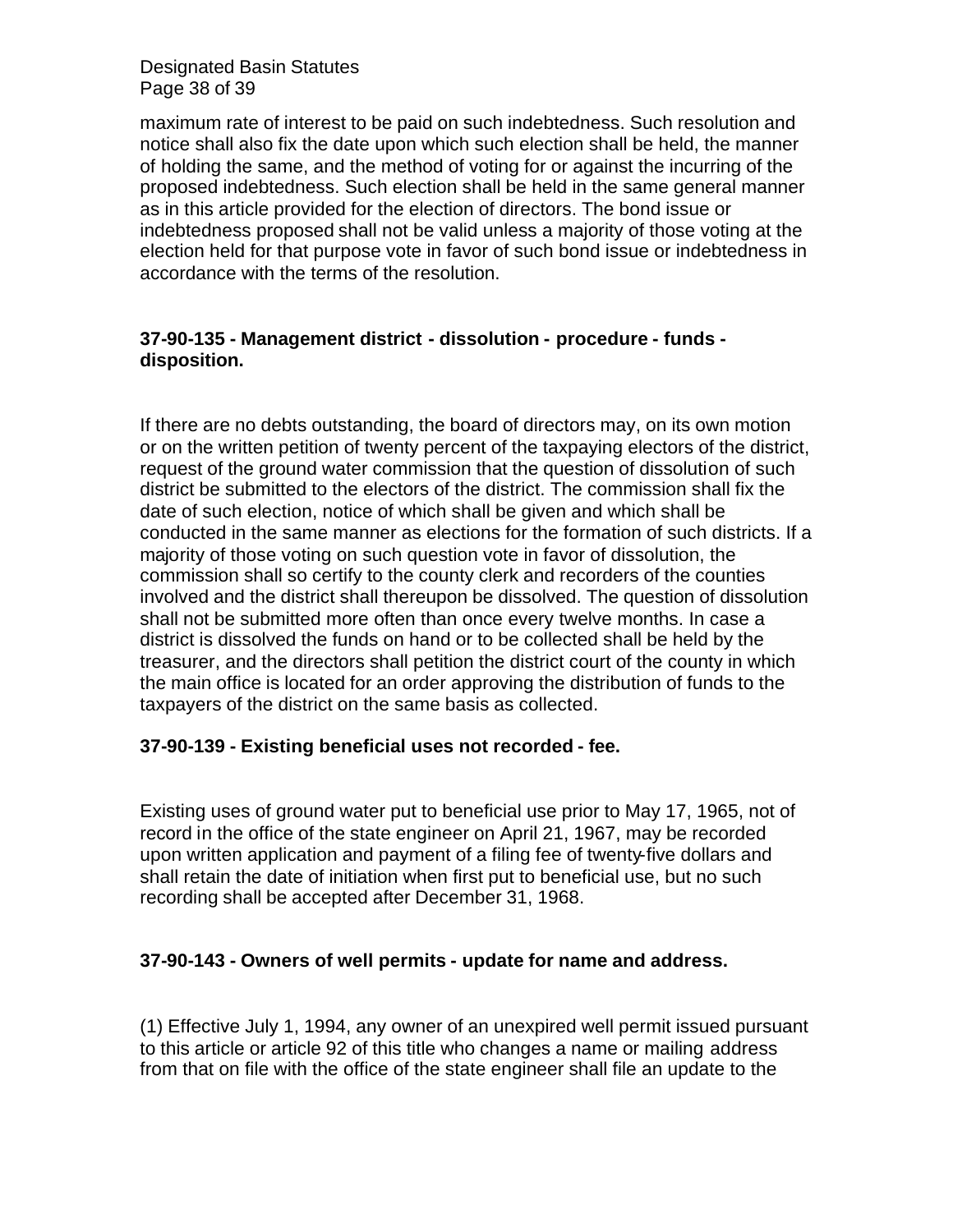Designated Basin Statutes Page 38 of 39

maximum rate of interest to be paid on such indebtedness. Such resolution and notice shall also fix the date upon which such election shall be held, the manner of holding the same, and the method of voting for or against the incurring of the proposed indebtedness. Such election shall be held in the same general manner as in this article provided for the election of directors. The bond issue or indebtedness proposed shall not be valid unless a majority of those voting at the election held for that purpose vote in favor of such bond issue or indebtedness in accordance with the terms of the resolution.

## **37-90-135 - Management district - dissolution - procedure - funds disposition.**

If there are no debts outstanding, the board of directors may, on its own motion or on the written petition of twenty percent of the taxpaying electors of the district, request of the ground water commission that the question of dissolution of such district be submitted to the electors of the district. The commission shall fix the date of such election, notice of which shall be given and which shall be conducted in the same manner as elections for the formation of such districts. If a majority of those voting on such question vote in favor of dissolution, the commission shall so certify to the county clerk and recorders of the counties involved and the district shall thereupon be dissolved. The question of dissolution shall not be submitted more often than once every twelve months. In case a district is dissolved the funds on hand or to be collected shall be held by the treasurer, and the directors shall petition the district court of the county in which the main office is located for an order approving the distribution of funds to the taxpayers of the district on the same basis as collected.

## **37-90-139 - Existing beneficial uses not recorded - fee.**

Existing uses of ground water put to beneficial use prior to May 17, 1965, not of record in the office of the state engineer on April 21, 1967, may be recorded upon written application and payment of a filing fee of twenty-five dollars and shall retain the date of initiation when first put to beneficial use, but no such recording shall be accepted after December 31, 1968.

## **37-90-143 - Owners of well permits - update for name and address.**

(1) Effective July 1, 1994, any owner of an unexpired well permit issued pursuant to this article or article 92 of this title who changes a name or mailing address from that on file with the office of the state engineer shall file an update to the